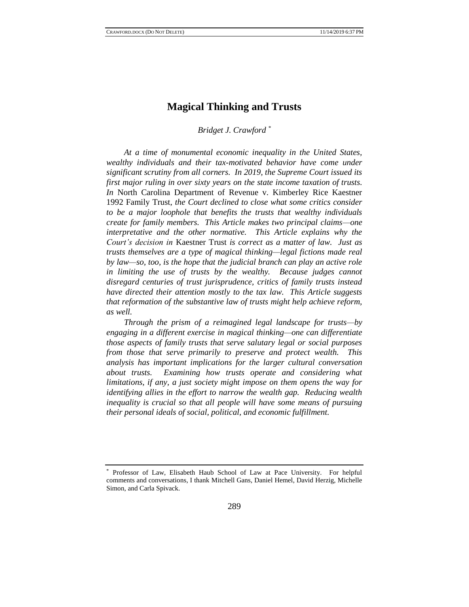# **Magical Thinking and Trusts**

# *Bridget J. Crawford \**

*At a time of monumental economic inequality in the United States, wealthy individuals and their tax-motivated behavior have come under significant scrutiny from all corners. In 2019, the Supreme Court issued its first major ruling in over sixty years on the state income taxation of trusts. In* North Carolina Department of Revenue v. Kimberley Rice Kaestner 1992 Family Trust*, the Court declined to close what some critics consider to be a major loophole that benefits the trusts that wealthy individuals create for family members. This Article makes two principal claims—one interpretative and the other normative. This Article explains why the Court's decision in* Kaestner Trust *is correct as a matter of law. Just as trusts themselves are a type of magical thinking—legal fictions made real by law—so, too, is the hope that the judicial branch can play an active role*  in limiting the use of trusts by the wealthy. Because judges cannot *disregard centuries of trust jurisprudence, critics of family trusts instead have directed their attention mostly to the tax law. This Article suggests that reformation of the substantive law of trusts might help achieve reform, as well.*

*Through the prism of a reimagined legal landscape for trusts—by engaging in a different exercise in magical thinking—one can differentiate those aspects of family trusts that serve salutary legal or social purposes from those that serve primarily to preserve and protect wealth. This analysis has important implications for the larger cultural conversation about trusts. Examining how trusts operate and considering what limitations, if any, a just society might impose on them opens the way for identifying allies in the effort to narrow the wealth gap. Reducing wealth inequality is crucial so that all people will have some means of pursuing their personal ideals of social, political, and economic fulfillment.*

Professor of Law, Elisabeth Haub School of Law at Pace University. For helpful comments and conversations, I thank Mitchell Gans, Daniel Hemel, David Herzig, Michelle Simon, and Carla Spivack.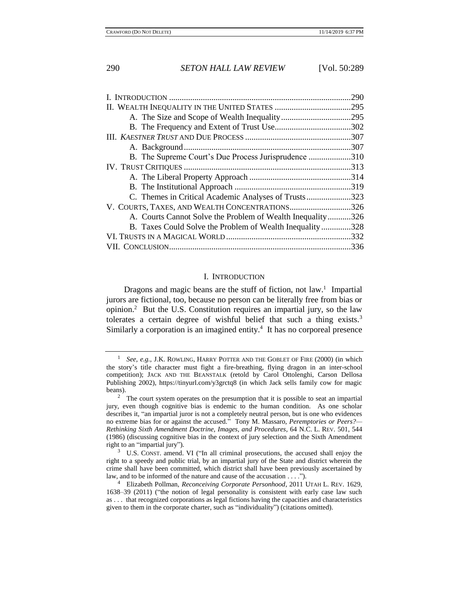|                                                         | .290 |
|---------------------------------------------------------|------|
|                                                         | .295 |
|                                                         |      |
|                                                         | .302 |
|                                                         |      |
|                                                         | .307 |
| B. The Supreme Court's Due Process Jurisprudence 310    |      |
|                                                         | .313 |
|                                                         |      |
|                                                         | .319 |
|                                                         | .323 |
| V. COURTS, TAXES, AND WEALTH CONCENTRATIONS326          |      |
| A. Courts Cannot Solve the Problem of Wealth Inequality | .326 |
| B. Taxes Could Solve the Problem of Wealth Inequality   | .328 |
|                                                         | .332 |
|                                                         |      |

#### I. INTRODUCTION

Dragons and magic beans are the stuff of fiction, not law.<sup>1</sup> Impartial jurors are fictional, too, because no person can be literally free from bias or opinion.<sup>2</sup> But the U.S. Constitution requires an impartial jury, so the law tolerates a certain degree of wishful belief that such a thing exists.<sup>3</sup> Similarly a corporation is an imagined entity.<sup>4</sup> It has no corporeal presence

<sup>&</sup>lt;sup>1</sup> See, e.g., J.K. ROWLING, HARRY POTTER AND THE GOBLET OF FIRE (2000) (in which the story's title character must fight a fire-breathing, flying dragon in an inter-school competition); JACK AND THE BEANSTALK (retold by Carol Ottolenghi, Carson Dellosa Publishing 2002), https://tinyurl.com/y3grctq8 (in which Jack sells family cow for magic beans).

<sup>&</sup>lt;sup>2</sup> The court system operates on the presumption that it is possible to seat an impartial jury, even though cognitive bias is endemic to the human condition. As one scholar describes it, "an impartial juror is not a completely neutral person, but is one who evidences no extreme bias for or against the accused." Tony M. Massaro, *Peremptories or Peers?— Rethinking Sixth Amendment Doctrine, Images, and Procedures*, 64 N.C. L. REV. 501, 544 (1986) (discussing cognitive bias in the context of jury selection and the Sixth Amendment right to an "impartial jury").

 $3$  U.S. CONST. amend. VI ("In all criminal prosecutions, the accused shall enjoy the right to a speedy and public trial, by an impartial jury of the State and district wherein the crime shall have been committed, which district shall have been previously ascertained by law, and to be informed of the nature and cause of the accusation . . . .").

<sup>4</sup> Elizabeth Pollman, *Reconceiving Corporate Personhood*, 2011 UTAH L. REV. 1629, 1638–39 (2011) ("the notion of legal personality is consistent with early case law such as . . . that recognized corporations as legal fictions having the capacities and characteristics given to them in the corporate charter, such as "individuality") (citations omitted).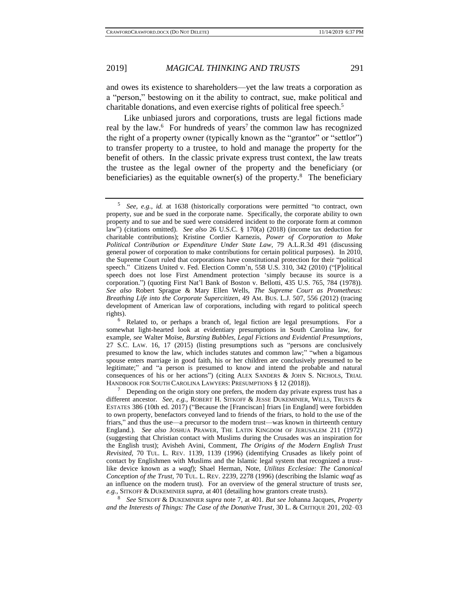<span id="page-2-1"></span>and owes its existence to shareholders—yet the law treats a corporation as a "person," bestowing on it the ability to contract, sue, make political and charitable donations, and even exercise rights of political free speech.<sup>5</sup>

<span id="page-2-3"></span>Like unbiased jurors and corporations, trusts are legal fictions made real by the law. $6$  For hundreds of years<sup>7</sup> the common law has recognized the right of a property owner (typically known as the "grantor" or "settlor") to transfer property to a trustee, to hold and manage the property for the benefit of others. In the classic private express trust context, the law treats the trustee as the legal owner of the property and the beneficiary (or beneficiaries) as the equitable owner(s) of the property.<sup>8</sup> The beneficiary

8 *See* SITKOFF & DUKEMINIER *supra* note [7,](#page-2-0) at 401. *But see* Johanna Jacques, *Property and the Interests of Things: The Case of the Donative Trust*, 30 L. & CRITIQUE 201, 202–03

<span id="page-2-2"></span><span id="page-2-0"></span>

<sup>5</sup> *See, e.g.*, *id.* at 1638 (historically corporations were permitted "to contract, own property, sue and be sued in the corporate name. Specifically, the corporate ability to own property and to sue and be sued were considered incident to the corporate form at common law") (citations omitted). *See also* 26 U.S.C. § 170(a) (2018) (income tax deduction for charitable contributions); Kristine Cordier Karnezis, *Power of Corporation to Make Political Contribution or Expenditure Under State Law*, 79 A.L.R.3d 491 (discussing general power of corporation to make contributions for certain political purposes). In 2010, the Supreme Court ruled that corporations have constitutional protection for their "political speech." Citizens United v. Fed. Election Comm'n, 558 U.S. 310, 342 (2010) ("[P]olitical speech does not lose First Amendment protection 'simply because its source is a corporation.") (quoting First Nat'l Bank of Boston v. Bellotti, 435 U.S. 765, 784 (1978)). *See also* Robert Sprague & Mary Ellen Wells, *The Supreme Court as Prometheus: Breathing Life into the Corporate Supercitizen*, 49 AM. BUS. L.J. 507, 556 (2012) (tracing development of American law of corporations, including with regard to political speech rights).

Related to, or perhaps a branch of, legal fiction are legal presumptions. For a somewhat light-hearted look at evidentiary presumptions in South Carolina law, for example, *see* Walter Moïse, *Bursting Bubbles, Legal Fictions and Evidential Presumptions*, 27 S.C. LAW. 16, 17 (2015) (listing presumptions such as "persons are conclusively presumed to know the law, which includes statutes and common law;" "when a bigamous spouse enters marriage in good faith, his or her children are conclusively presumed to be legitimate;" and "a person is presumed to know and intend the probable and natural consequences of his or her actions") (citing ALEX SANDERS & JOHN S. NICHOLS, TRIAL HANDBOOK FOR SOUTH CAROLINA LAWYERS: PRESUMPTIONS § 12 (2018)).

 $7$  Depending on the origin story one prefers, the modern day private express trust has a different ancestor. *See, e.g.,* ROBERT H. SITKOFF & JESSE DUKEMINIER, WILLS, TRUSTS & ESTATES 386 (10th ed. 2017) ("Because the [Franciscan] friars [in England] were forbidden to own property, benefactors conveyed land to friends of the friars, to hold to the use of the friars," and thus the use—a precursor to the modern trust—was known in thirteenth century England.). *See also* JOSHUA PRAWER, THE LATIN KINGDOM OF JERUSALEM 211 (1972) (suggesting that Christian contact with Muslims during the Crusades was an inspiration for the English trust); Avisheh Avini, Comment, *The Origins of the Modern English Trust Revisited*, 70 TUL. L. REV. 1139, 1139 (1996) (identifying Crusades as likely point of contact by Englishmen with Muslims and the Islamic legal system that recognized a trustlike device known as a *waqf*); Shael Herman, Note, *Utilitas Ecclesiae: The Canonical Conception of the Trust*, 70 TUL. L. REV. 2239, 2278 (1996) (describing the Islamic *waqf* as an influence on the modern trust). For an overview of the general structure of trusts *see, e.g.*, SITKOFF & DUKEMINIER *supra*, at 401 (detailing how grantors create trusts).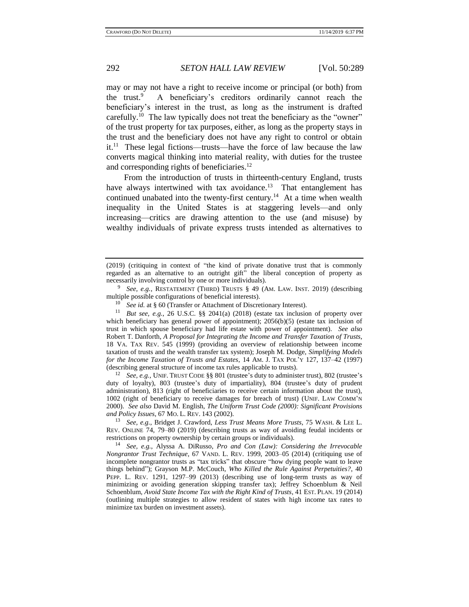may or may not have a right to receive income or principal (or both) from the trust. $9$  A beneficiary's creditors ordinarily cannot reach the beneficiary's interest in the trust, as long as the instrument is drafted carefully.<sup>10</sup> The law typically does not treat the beneficiary as the "owner" of the trust property for tax purposes, either, as long as the property stays in the trust and the beneficiary does not have any right to control or obtain it.<sup>11</sup> These legal fictions—trusts—have the force of law because the law converts magical thinking into material reality, with duties for the trustee and corresponding rights of beneficiaries.<sup>12</sup>

<span id="page-3-1"></span><span id="page-3-0"></span>From the introduction of trusts in thirteenth-century England, trusts have always intertwined with tax avoidance.<sup>13</sup> That entanglement has continued unabated into the twenty-first century.<sup>14</sup> At a time when wealth inequality in the United States is at staggering levels—and only increasing—critics are drawing attention to the use (and misuse) by wealthy individuals of private express trusts intended as alternatives to

9 *See, e.g.*, RESTATEMENT (THIRD) TRUSTS § 49 (AM. LAW. INST. 2019) (describing multiple possible configurations of beneficial interests).

<sup>11</sup> *But see, e.g.*, 26 U.S.C. §§ 2041(a) (2018) (estate tax inclusion of property over which beneficiary has general power of appointment);  $2056(b)(5)$  (estate tax inclusion of trust in which spouse beneficiary had life estate with power of appointment). *See also* Robert T. Danforth, *A Proposal for Integrating the Income and Transfer Taxation of Trusts*, 18 VA. TAX REV. 545 (1999) (providing an overview of relationship between income taxation of trusts and the wealth transfer tax system); Joseph M. Dodge, *Simplifying Models for the Income Taxation of Trusts and Estates*, 14 AM. J. TAX POL'Y 127, 137–42 (1997) (describing general structure of income tax rules applicable to trusts).

<sup>12</sup> *See, e.g., UNIF. TRUST CODE §§ 801* (trustee's duty to administer trust), 802 (trustee's duty of loyalty), 803 (trustee's duty of impartiality), 804 (trustee's duty of prudent administration), 813 (right of beneficiaries to receive certain information about the trust), 1002 (right of beneficiary to receive damages for breach of trust) (UNIF. LAW COMM'N 2000). *See also* David M. English, *The Uniform Trust Code (2000): Significant Provisions and Policy Issues*, 67 MO. L. REV. 143 (2002).

<sup>13</sup> *See, e.g.*, Bridget J. Crawford, *Less Trust Means More Trusts*, 75 WASH. & LEE L. REV. ONLINE 74, 79–80 (2019) (describing trusts as way of avoiding feudal incidents or restrictions on property ownership by certain groups or individuals).

<sup>14</sup> *See, e.g.*, Alyssa A. DiRusso, *Pro and Con (Law): Considering the Irrevocable Nongrantor Trust Technique*, 67 VAND. L. REV. 1999, 2003–05 (2014) (critiquing use of incomplete nongrantor trusts as "tax tricks" that obscure "how dying people want to leave things behind"); Grayson M.P. McCouch, *Who Killed the Rule Against Perpetuities?*, 40 PEPP. L. REV. 1291, 1297–99 (2013) (describing use of long-term trusts as way of minimizing or avoiding generation skipping transfer tax); Jeffrey Schoenblum & Neil Schoenblum, *Avoid State Income Tax with the Right Kind of Trusts*, 41 EST. PLAN. 19 (2014) (outlining multiple strategies to allow resident of states with high income tax rates to minimize tax burden on investment assets).

<sup>(2019) (</sup>critiquing in context of "the kind of private donative trust that is commonly regarded as an alternative to an outright gift" the liberal conception of property as necessarily involving control by one or more individuals).

<sup>&</sup>lt;sup>10</sup> *See id.* at § 60 (Transfer or Attachment of Discretionary Interest).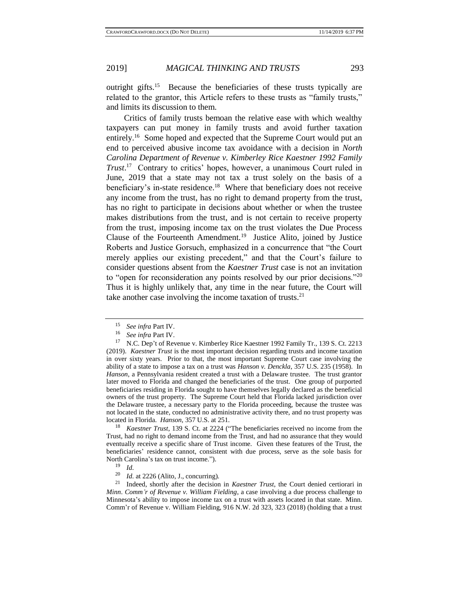<span id="page-4-1"></span>

outright gifts.<sup>15</sup> Because the beneficiaries of these trusts typically are related to the grantor, this Article refers to these trusts as "family trusts," and limits its discussion to them.

<span id="page-4-0"></span>Critics of family trusts bemoan the relative ease with which wealthy taxpayers can put money in family trusts and avoid further taxation entirely.<sup>16</sup> Some hoped and expected that the Supreme Court would put an end to perceived abusive income tax avoidance with a decision in *North Carolina Department of Revenue v. Kimberley Rice Kaestner 1992 Family Trust*. 17 Contrary to critics' hopes, however, a unanimous Court ruled in June, 2019 that a state may not tax a trust solely on the basis of a beneficiary's in-state residence.<sup>18</sup> Where that beneficiary does not receive any income from the trust, has no right to demand property from the trust, has no right to participate in decisions about whether or when the trustee makes distributions from the trust, and is not certain to receive property from the trust, imposing income tax on the trust violates the Due Process Clause of the Fourteenth Amendment.<sup>19</sup> Justice Alito, joined by Justice Roberts and Justice Gorsuch, emphasized in a concurrence that "the Court merely applies our existing precedent," and that the Court's failure to consider questions absent from the *Kaestner Trust* case is not an invitation to "open for reconsideration any points resolved by our prior decisions."<sup>20</sup> Thus it is highly unlikely that, any time in the near future, the Court will take another case involving the income taxation of trusts. $2<sup>1</sup>$ 

<sup>18</sup> *Kaestner Trust*, 139 S. Ct. at 2224 ("The beneficiaries received no income from the Trust, had no right to demand income from the Trust, and had no assurance that they would eventually receive a specific share of Trust income. Given these features of the Trust, the beneficiaries' residence cannot, consistent with due process, serve as the sole basis for North Carolina's tax on trust income.").<br> $\frac{19}{14}$ 

<sup>21</sup> Indeed, shortly after the decision in *Kaestner Trust*, the Court denied certiorari in *Minn*. *Comm'r of Revenue v. William Fielding*, a case involving a due process challenge to Minnesota's ability to impose income tax on a trust with assets located in that state. Minn. Comm'r of Revenue v. William Fielding, 916 N.W. 2d 323, 323 (2018) (holding that a trust

<sup>&</sup>lt;sup>15</sup> *See infra* Part IV.

See infra Part IV.

<sup>&</sup>lt;sup>17</sup> N.C. Dep't of Revenue v. Kimberley Rice Kaestner 1992 Family Tr., 139 S. Ct. 2213 (2019). *Kaestner Trust* is the most important decision regarding trusts and income taxation in over sixty years. Prior to that, the most important Supreme Court case involving the ability of a state to impose a tax on a trust was *Hanson v. Denckla*, 357 U.S. 235 (1958). In *Hanson*, a Pennsylvania resident created a trust with a Delaware trustee. The trust grantor later moved to Florida and changed the beneficiaries of the trust. One group of purported beneficiaries residing in Florida sought to have themselves legally declared as the beneficial owners of the trust property. The Supreme Court held that Florida lacked jurisdiction over the Delaware trustee, a necessary party to the Florida proceeding, because the trustee was not located in the state, conducted no administrative activity there, and no trust property was located in Florida. *Hanson*, 357 U.S. at 251.

 $\frac{19}{20}$  *Id.* 

 $^{20}$  *Id.* at 2226 (Alito, J., concurring).<br> $^{21}$  Indeed, shortly after the decision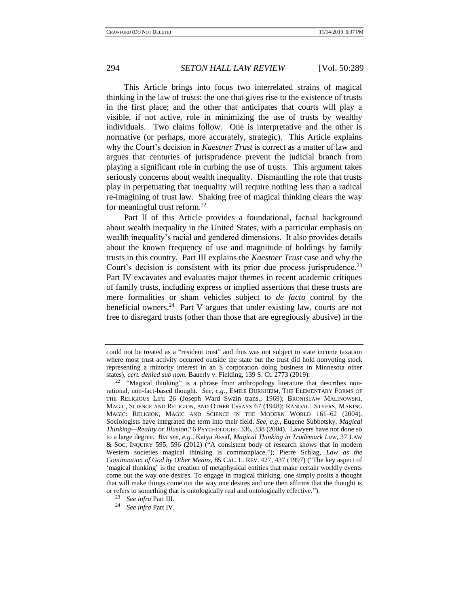This Article brings into focus two interrelated strains of magical thinking in the law of trusts: the one that gives rise to the existence of trusts in the first place; and the other that anticipates that courts will play a visible, if not active, role in minimizing the use of trusts by wealthy individuals. Two claims follow. One is interpretative and the other is normative (or perhaps, more accurately, strategic). This Article explains why the Court's decision in *Kaestner Trust* is correct as a matter of law and argues that centuries of jurisprudence prevent the judicial branch from playing a significant role in curbing the use of trusts. This argument takes seriously concerns about wealth inequality. Dismantling the role that trusts play in perpetuating that inequality will require nothing less than a radical re-imagining of trust law. Shaking free of magical thinking clears the way for meaningful trust reform.<sup>22</sup>

Part II of this Article provides a foundational, factual background about wealth inequality in the United States, with a particular emphasis on wealth inequality's racial and gendered dimensions. It also provides details about the known frequency of use and magnitude of holdings by family trusts in this country. Part III explains the *Kaestner Trust* case and why the Court's decision is consistent with its prior due process jurisprudence.<sup>23</sup> Part IV excavates and evaluates major themes in recent academic critiques of family trusts, including express or implied assertions that these trusts are mere formalities or sham vehicles subject to *de facto* control by the beneficial owners. $24$  Part V argues that under existing law, courts are not free to disregard trusts (other than those that are egregiously abusive) in the

could not be treated as a "resident trust" and thus was not subject to state income taxation where most trust activity occurred outside the state but the trust did hold nonvoting stock representing a minority interest in an S corporation doing business in Minnesota other states), *cert. denied sub nom.* Bauerly v. Fielding, 139 S. Ct. 2773 (2019).

 $22$  "Magical thinking" is a phrase from anthropology literature that describes nonrational, non-fact-based thought*. See, e.g.*, EMILE DURKHEIM, THE ELEMENTARY FORMS OF THE RELIGIOUS LIFE 26 (Joseph Ward Swain trans., 1969); BRONISLAW MALINOWSKI, MAGIC, SCIENCE AND RELIGION, AND OTHER ESSAYS 67 (1948); RANDALL STYERS, MAKING MAGIC: RELIGION, MAGIC AND SCIENCE IN THE MODERN WORLD 161–62 (2004). Sociologists have integrated the term into their field. *See, e.g.*, Eugene Subbotsky, *Magical Thinking—Reality or Illusion?* 6 PSYCHOLOGIST 336, 338 (2004). Lawyers have not done so to a large degree. *But see, e.g.*, Katya Assaf, *Magical Thinking in Trademark Law*, 37 LAW & SOC. INQUIRY 595, 596 (2012) ("A consistent body of research shows that in modern Western societies magical thinking is commonplace."); Pierre Schlag, *Law as the Continuation of God by Other Means*, 85 CAL. L. REV. 427, 437 (1997) ("The key aspect of 'magical thinking' is the creation of metaphysical entities that make certain worldly events come out the way one desires. To engage in magical thinking, one simply posits a thought that will make things come out the way one desires and one then affirms that the thought is or refers to something that is ontologically real and ontologically effective.").

<sup>23</sup> *See infra* Part III.

<sup>24</sup> *See infra* Part IV.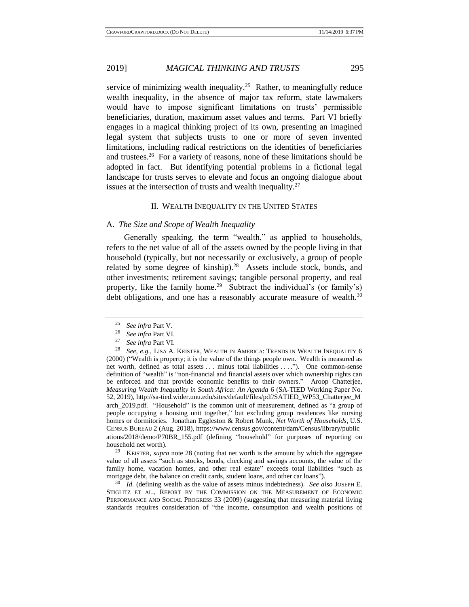service of minimizing wealth inequality.<sup>25</sup> Rather, to meaningfully reduce wealth inequality, in the absence of major tax reform, state lawmakers would have to impose significant limitations on trusts' permissible beneficiaries, duration, maximum asset values and terms. Part VI briefly engages in a magical thinking project of its own, presenting an imagined legal system that subjects trusts to one or more of seven invented limitations, including radical restrictions on the identities of beneficiaries and trustees.<sup>26</sup> For a variety of reasons, none of these limitations should be adopted in fact. But identifying potential problems in a fictional legal landscape for trusts serves to elevate and focus an ongoing dialogue about issues at the intersection of trusts and wealth inequality.<sup>27</sup>

## <span id="page-6-0"></span>II. WEALTH INEQUALITY IN THE UNITED STATES

#### A. *The Size and Scope of Wealth Inequality*

Generally speaking, the term "wealth," as applied to households, refers to the net value of all of the assets owned by the people living in that household (typically, but not necessarily or exclusively, a group of people related by some degree of kinship). $28$  Assets include stock, bonds, and other investments; retirement savings; tangible personal property, and real property, like the family home.<sup>29</sup> Subtract the individual's (or family's) debt obligations, and one has a reasonably accurate measure of wealth.<sup>30</sup>

<sup>29</sup> KEISTER, *supra* note [28](#page-6-0) (noting that net worth is the amount by which the aggregate value of all assets "such as stocks, bonds, checking and savings accounts, the value of the family home, vacation homes, and other real estate" exceeds total liabilities "such as mortgage debt, the balance on credit cards, student loans, and other car loans").

<sup>30</sup> *Id.* (defining wealth as the value of assets minus indebtedness). *See also* JOSEPH E. STIGLITZ ET AL., REPORT BY THE COMMISSION ON THE MEASUREMENT OF ECONOMIC PERFORMANCE AND SOCIAL PROGRESS 33 (2009) (suggesting that measuring material living standards requires consideration of "the income, consumption and wealth positions of

<sup>&</sup>lt;sup>25</sup> *See infra* Part V.<br><sup>26</sup> *See infra* Part VI.

<sup>&</sup>lt;sup>26</sup> *See infra* Part VI.<br><sup>27</sup> *See infra* Part VI.

<sup>&</sup>lt;sup>27</sup> *See infra* Part VI.<br><sup>28</sup> *See a.g.* LISA A

<sup>28</sup> *See, e.g.,* LISA A. KEISTER, WEALTH IN AMERICA: TRENDS IN WEALTH INEQUALITY 6 (2000) ("Wealth is property; it is the value of the things people own. Wealth is measured as net worth, defined as total assets ... minus total liabilities ...."). One common-sense definition of "wealth" is "non-financial and financial assets over which ownership rights can be enforced and that provide economic benefits to their owners." Aroop Chatterjee, *Measuring Wealth Inequality in South Africa: An Agenda* 6 (SA-TIED Working Paper No. 52, 2019), http://sa-tied.wider.unu.edu/sites/default/files/pdf/SATIED\_WP53\_Chatterjee\_M arch\_2019.pdf. "Household" is the common unit of measurement, defined as "a group of people occupying a housing unit together," but excluding group residences like nursing homes or dormitories. Jonathan Eggleston & Robert Munk, *Net Worth of Households*, U.S. CENSUS BUREAU 2 (Aug. 2018), https://www.census.gov/content/dam/Census/library/public ations/2018/demo/P70BR\_155.pdf (defining "household" for purposes of reporting on household net worth).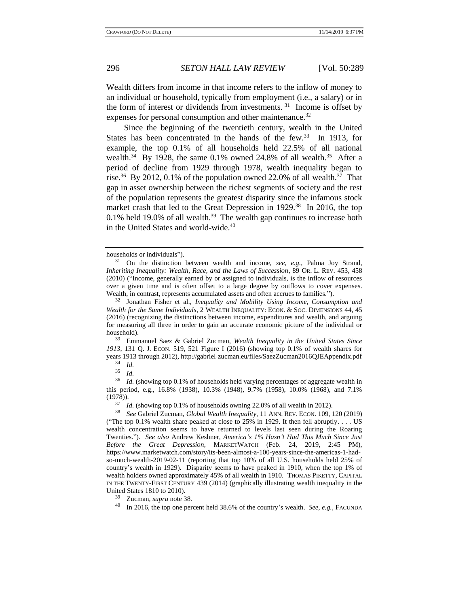Wealth differs from income in that income refers to the inflow of money to an individual or household, typically from employment (i.e., a salary) or in the form of interest or dividends from investments.  $31$  Income is offset by expenses for personal consumption and other maintenance.<sup>32</sup>

Since the beginning of the twentieth century, wealth in the United States has been concentrated in the hands of the few.<sup>33</sup> In 1913, for example, the top 0.1% of all households held 22.5% of all national wealth.<sup>34</sup> By 1928, the same 0.1% owned 24.8% of all wealth.<sup>35</sup> After a period of decline from 1929 through 1978, wealth inequality began to rise.<sup>36</sup> By 2012, 0.1% of the population owned 22.0% of all wealth.<sup>37</sup> That gap in asset ownership between the richest segments of society and the rest of the population represents the greatest disparity since the infamous stock market crash that led to the Great Depression in 1929.<sup>38</sup> In 2016, the top 0.1% held 19.0% of all wealth.<sup>39</sup> The wealth gap continues to increase both in the United States and world-wide.<sup>40</sup>

<sup>33</sup> Emmanuel Saez & Gabriel Zucman, *Wealth Inequality in the United States Since 1913*, 131 Q. J. ECON. 519, 521 Figure I (2016) (showing top 0.1% of wealth shares for years 1913 through 2012), http://gabriel-zucman.eu/files/SaezZucman2016QJEAppendix.pdf

<span id="page-7-1"></span><span id="page-7-0"></span>households or individuals").

<sup>31</sup> On the distinction between wealth and income, *see, e.g.*, Palma Joy Strand, *Inheriting Inequality: Wealth, Race, and the Laws of Succession*, 89 OR. L. REV. 453, 458 (2010) ("Income, generally earned by or assigned to individuals, is the inflow of resources over a given time and is often offset to a large degree by outflows to cover expenses. Wealth, in contrast, represents accumulated assets and often accrues to families.").

<sup>32</sup> Jonathan Fisher et al., *Inequality and Mobility Using Income, Consumption and Wealth for the Same Individuals*, 2 WEALTH INEQUALITY: ECON. & SOC. DIMENSIONS 44, 45 (2016) (recognizing the distinctions between income, expenditures and wealth, and arguing for measuring all three in order to gain an accurate economic picture of the individual or household).

<sup>34</sup> *Id.*

 $rac{35}{36}$  *Id.* 

Id. (showing top 0.1% of households held varying percentages of aggregate wealth in this period, e.g., 16.8% (1938), 10.3% (1948), 9.7% (1958), 10.0% (1968), and 7.1% (1978)).

 $\frac{37}{10}$  *Id.* (showing top 0.1% of households owning 22.0% of all wealth in 2012).<br><sup>38</sup> See Gabriel Zucman, Global Wealth Inequality 11 ANN REV ECON 109-1

<sup>38</sup> *See* Gabriel Zucman, *Global Wealth Inequality*, 11 ANN. REV. ECON. 109, 120 (2019) ("The top 0.1% wealth share peaked at close to 25% in 1929. It then fell abruptly. . . . US wealth concentration seems to have returned to levels last seen during the Roaring Twenties."). *See also* Andrew Keshner, *America's 1% Hasn't Had This Much Since Just Before the Great Depression*, MARKETWATCH (Feb. 24, 2019, 2:45 PM), https://www.marketwatch.com/story/its-been-almost-a-100-years-since-the-americas-1-hadso-much-wealth-2019-02-11 (reporting that top 10% of all U.S. households held 25% of country's wealth in 1929). Disparity seems to have peaked in 1910, when the top 1% of wealth holders owned approximately 45% of all wealth in 1910. THOMAS PIKETTY, CAPITAL IN THE TWENTY-FIRST CENTURY 439 (2014) (graphically illustrating wealth inequality in the United States 1810 to 2010).

Zucman, *supra* not[e 38.](#page-7-0)

<sup>40</sup> In 2016, the top one percent held 38.6% of the country's wealth. *See, e.g.*, FACUNDA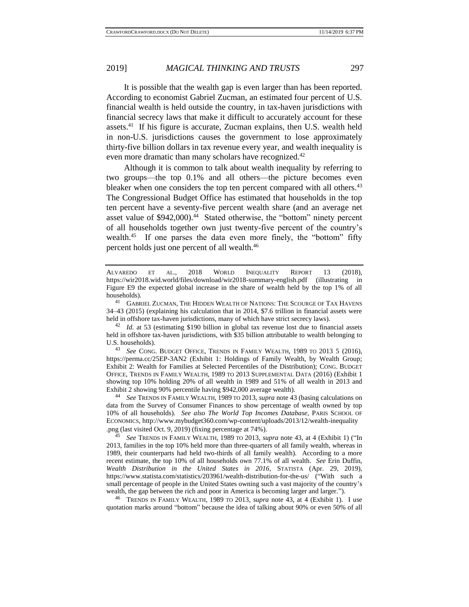<span id="page-8-1"></span>It is possible that the wealth gap is even larger than has been reported. According to economist Gabriel Zucman, an estimated four percent of U.S. financial wealth is held outside the country, in tax-haven jurisdictions with financial secrecy laws that make it difficult to accurately account for these assets.<sup>41</sup> If his figure is accurate, Zucman explains, then U.S. wealth held in non-U.S. jurisdictions causes the government to lose approximately thirty-five billion dollars in tax revenue every year, and wealth inequality is even more dramatic than many scholars have recognized.<sup>42</sup>

Although it is common to talk about wealth inequality by referring to two groups—the top 0.1% and all others—the picture becomes even bleaker when one considers the top ten percent compared with all others.<sup>43</sup> The Congressional Budget Office has estimated that households in the top ten percent have a seventy-five percent wealth share (and an average net asset value of \$942,000).<sup>44</sup> Stated otherwise, the "bottom" ninety percent of all households together own just twenty-five percent of the country's wealth.<sup>45</sup> If one parses the data even more finely, the "bottom" fifty percent holds just one percent of all wealth.<sup>46</sup>

<sup>46</sup> TRENDS IN FAMILY WEALTH, 1989 TO 2013, *supra* note [43,](#page-8-0) at 4 (Exhibit 1). I use quotation marks around "bottom" because the idea of talking about 90% or even 50% of all

<span id="page-8-2"></span><span id="page-8-0"></span>

ALVAREDO ET AL., 2018 WORLD INEQUALITY REPORT 13 (2018), https://wir2018.wid.world/files/download/wir2018-summary-english.pdf (illustrating in Figure E9 the expected global increase in the share of wealth held by the top 1% of all households).

 $^{41}$  Gabriel Zucman, The Hidden Wealth of Nations: The Scourge of Tax Havens 34–43 (2015) (explaining his calculation that in 2014, \$7.6 trillion in financial assets were held in offshore tax-haven jurisdictions, many of which have strict secrecy laws).

<sup>&</sup>lt;sup>42</sup> *Id.* at 53 (estimating \$190 billion in global tax revenue lost due to financial assets held in offshore tax-haven jurisdictions, with \$35 billion attributable to wealth belonging to U.S. households).

<sup>43</sup> *See* CONG. BUDGET OFFICE, TRENDS IN FAMILY WEALTH, 1989 TO 2013 5 (2016), https://perma.cc/25EP-3AN2 (Exhibit 1: Holdings of Family Wealth, by Wealth Group; Exhibit 2: Wealth for Families at Selected Percentiles of the Distribution); CONG. BUDGET OFFICE, TRENDS IN FAMILY WEALTH, 1989 TO 2013 SUPPLEMENTAL DATA (2016) (Exhibit 1 showing top 10% holding 20% of all wealth in 1989 and 51% of all wealth in 2013 and Exhibit 2 showing 90% percentile having \$942,000 average wealth).

<sup>44</sup> *See* TRENDS IN FAMILY WEALTH, 1989 TO 2013, *supra* not[e 43](#page-8-0) (basing calculations on data from the Survey of Consumer Finances to show percentage of wealth owned by top 10% of all households). *See also The World Top Incomes Database*, PARIS SCHOOL OF ECONOMICS, http://www.mybudget360.com/wp-content/uploads/2013/12/wealth-inequality .png (last visited Oct. 9, 2019) (fixing percentage at 74%).

<sup>45</sup> *See* TRENDS IN FAMILY WEALTH, 1989 TO 2013, *supra* note [43,](#page-8-0) at 4 (Exhibit 1) ("In 2013, families in the top 10% held more than three-quarters of all family wealth, whereas in 1989, their counterparts had held two-thirds of all family wealth). According to a more recent estimate, the top 10% of all households own 77.1% of all wealth. *See* Erin Duffin, *Wealth Distribution in the United States in 2016*, STATISTA (Apr. 29, 2019), https://www.statista.com/statistics/203961/wealth-distribution-for-the-us/ ("With such a small percentage of people in the United States owning such a vast majority of the country's wealth, the gap between the rich and poor in America is becoming larger and larger.").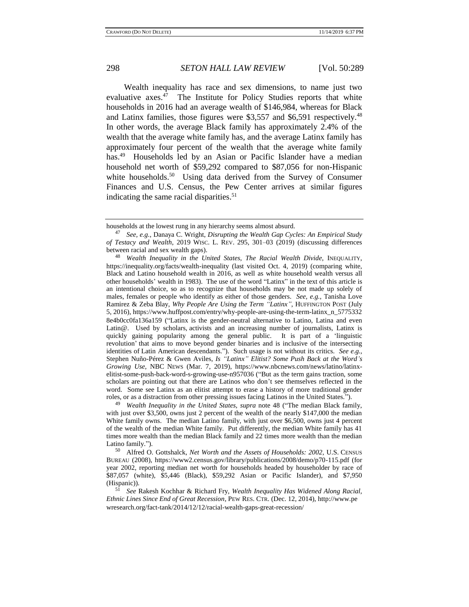<span id="page-9-0"></span>

<span id="page-9-1"></span>Wealth inequality has race and sex dimensions, to name just two evaluative axes.<sup>47</sup> The Institute for Policy Studies reports that white households in 2016 had an average wealth of \$146,984, whereas for Black and Latinx families, those figures were \$3,557 and \$6,591 respectively.<sup>48</sup> In other words, the average Black family has approximately 2.4% of the wealth that the average white family has, and the average Latinx family has approximately four percent of the wealth that the average white family has.<sup>49</sup> Households led by an Asian or Pacific Islander have a median household net worth of \$59,292 compared to \$87,056 for non-Hispanic white households.<sup>50</sup> Using data derived from the Survey of Consumer Finances and U.S. Census, the Pew Center arrives at similar figures indicating the same racial disparities.<sup>51</sup>

<sup>49</sup> *Wealth Inequality in the United States, supra* note [48](#page-9-0) ("The median Black family, with just over \$3,500, owns just 2 percent of the wealth of the nearly \$147,000 the median White family owns. The median Latino family, with just over \$6,500, owns just 4 percent of the wealth of the median White family. Put differently, the median White family has 41 times more wealth than the median Black family and 22 times more wealth than the median Latino family.").

<sup>50</sup> Alfred O. Gottshalck, *Net Worth and the Assets of Households: 2002*, U.S. CENSUS BUREAU (2008), https://www2.census.gov/library/publications/2008/demo/p70-115.pdf (for year 2002, reporting median net worth for households headed by householder by race of \$87,057 (white), \$5,446 (Black), \$59,292 Asian or Pacific Islander), and \$7,950 (Hispanic)).<br> $51 \text{ } \text{S}_{28} \text{ } \text{I}$ 

households at the lowest rung in any hierarchy seems almost absurd.

<sup>47</sup> *See, e.g.,* Danaya C. Wright, *Disrupting the Wealth Gap Cycles: An Empirical Study of Testacy and Wealth*, 2019 WISC. L. REV. 295, 301–03 (2019) (discussing differences between racial and sex wealth gaps).

<sup>48</sup> *Wealth Inequality in the United States, The Racial Wealth Divide*, INEQUALITY, https://inequality.org/facts/wealth-inequality (last visited Oct. 4, 2019) (comparing white, Black and Latino household wealth in 2016, as well as white household wealth versus all other households' wealth in 1983). The use of the word "Latinx" in the text of this article is an intentional choice, so as to recognize that households may be not made up solely of males, females or people who identify as either of those genders. *See, e.g.,* Tanisha Love Ramirez & Zeba Blay, *Why People Are Using the Term "Latinx"*, HUFFINGTON POST (July 5, 2016), https://www.huffpost.com/entry/why-people-are-using-the-term-latinx\_n\_5775332 8e4b0cc0fa136a159 ("Latinx is the gender-neutral alternative to Latino, Latina and even Latin@. Used by scholars, activists and an increasing number of journalists, Latinx is quickly gaining popularity among the general public. It is part of a 'linguistic revolution' that aims to move beyond gender binaries and is inclusive of the intersecting identities of Latin American descendants."). Such usage is not without its critics. *See e.g.,* Stephen Nuño-Pérez & Gwen Aviles, *Is "Latinx" Elitist? Some Push Back at the Word's Growing Use*, NBC NEWS (Mar. 7, 2019), https://www.nbcnews.com/news/latino/latinxelitist-some-push-back-word-s-growing-use-n957036 ("But as the term gains traction, some scholars are pointing out that there are Latinos who don't see themselves reflected in the word. Some see Latinx as an elitist attempt to erase a history of more traditional gender roles, or as a distraction from other pressing issues facing Latinos in the United States.").

<sup>51</sup> *See* Rakesh Kochhar & Richard Fry, *Wealth Inequality Has Widened Along Racial, Ethnic Lines Since End of Great Recession*, PEW RES. CTR. (Dec. 12, 2014), http://www.pe wresearch.org/fact-tank/2014/12/12/racial-wealth-gaps-great-recession/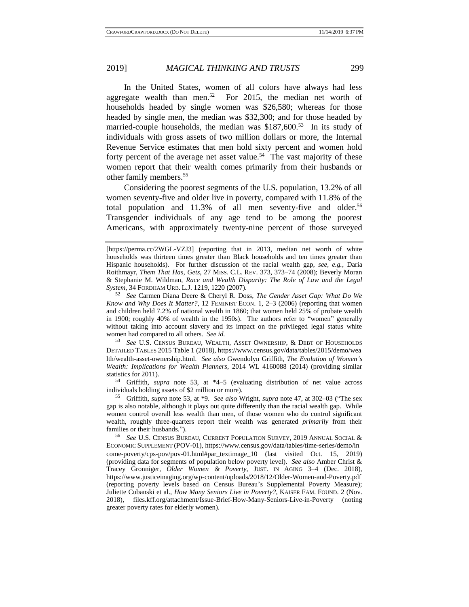In the United States, women of all colors have always had less aggregate wealth than men.<sup>52</sup> For 2015, the median net worth of households headed by single women was \$26,580; whereas for those headed by single men, the median was \$32,300; and for those headed by married-couple households, the median was \$187,600.<sup>53</sup> In its study of individuals with gross assets of two million dollars or more, the Internal Revenue Service estimates that men hold sixty percent and women hold forty percent of the average net asset value.<sup>54</sup> The vast majority of these women report that their wealth comes primarily from their husbands or other family members.<sup>55</sup>

Considering the poorest segments of the U.S. population, 13.2% of all women seventy-five and older live in poverty, compared with 11.8% of the total population and  $11.3\%$  of all men seventy-five and older.<sup>56</sup> Transgender individuals of any age tend to be among the poorest Americans, with approximately twenty-nine percent of those surveyed

<sup>53</sup> *See* U.S. CENSUS BUREAU, WEALTH, ASSET OWNERSHIP, & DEBT OF HOUSEHOLDS DETAILED TABLES 2015 Table 1 (2018), https://www.census.gov/data/tables/2015/demo/wea lth/wealth-asset-ownership.html. *See also* Gwendolyn Griffith, *The Evolution of Women's Wealth: Implications for Wealth Planners*, 2014 WL 4160088 (2014) (providing similar statistics for 2011).

<sup>54</sup> Griffith, *supra* note [53,](#page-10-0) at \*4–5 (evaluating distribution of net value across individuals holding assets of \$2 million or more).

<sup>55</sup> Griffith, *supra* note [53,](#page-10-0) at \*9. *See also* Wright, *supra* note [47,](#page-9-1) at 302–03 ("The sex gap is also notable, although it plays out quite differently than the racial wealth gap. While women control overall less wealth than men, of those women who do control significant wealth, roughly three-quarters report their wealth was generated *primarily* from their families or their husbands.").

<sup>56</sup> *See* U.S. CENSUS BUREAU, CURRENT POPULATION SURVEY, 2019 ANNUAL SOCIAL & ECONOMIC SUPPLEMENT (POV-01), https://www.census.gov/data/tables/time-series/demo/in come-poverty/cps-pov/pov-01.html#par\_textimage\_10 (last visited Oct. 15, 2019) (providing data for segments of population below poverty level). *See also* Amber Christ & Tracey Gronniger, *Older Women & Poverty*, JUST. IN AGING 3–4 (Dec. 2018), https://www.justiceinaging.org/wp-content/uploads/2018/12/Older-Women-and-Poverty.pdf (reporting poverty levels based on Census Bureau's Supplemental Poverty Measure); Juliette Cubanski et al., *How Many Seniors Live in Poverty?*, KAISER FAM. FOUND. 2 (Nov. 2018), files.kff.org/attachment/Issue-Brief-How-Many-Seniors-Live-in-Poverty (noting greater poverty rates for elderly women).

<span id="page-10-1"></span><span id="page-10-0"></span>

<sup>[</sup>https://perma.cc/2WGL-VZJ3] (reporting that in 2013, median net worth of white households was thirteen times greater than Black households and ten times greater than Hispanic households). For further discussion of the racial wealth gap, *see, e.g.*, Daria Roithmayr, *Them That Has, Gets*, 27 MISS. C.L. REV. 373, 373–74 (2008); Beverly Moran & Stephanie M. Wildman, *Race and Wealth Disparity: The Role of Law and the Legal System*, 34 FORDHAM URB. L.J. 1219, 1220 (2007).

<sup>52</sup> *See* Carmen Diana Deere & Cheryl R. Doss, *The Gender Asset Gap: What Do We Know and Why Does It Matter?*, 12 FEMINIST ECON. 1, 2–3 (2006) (reporting that women and children held 7.2% of national wealth in 1860; that women held 25% of probate wealth in 1900; roughly 40% of wealth in the 1950s). The authors refer to "women" generally without taking into account slavery and its impact on the privileged legal status white women had compared to all others. *See id.*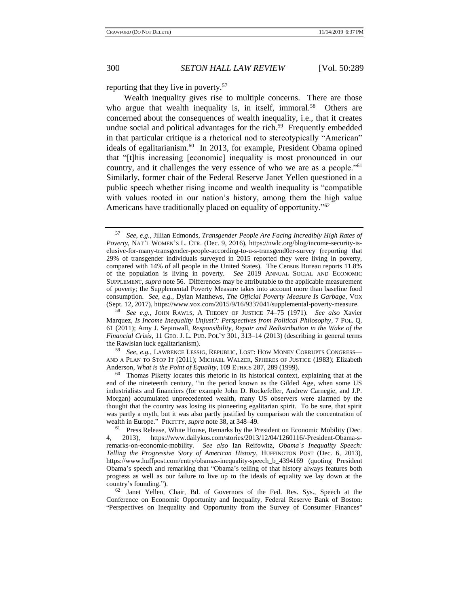<span id="page-11-2"></span>

<span id="page-11-1"></span><span id="page-11-0"></span>

reporting that they live in poverty.<sup>57</sup>

Wealth inequality gives rise to multiple concerns. There are those who argue that wealth inequality is, in itself, immoral.<sup>58</sup> Others are concerned about the consequences of wealth inequality, i.e., that it creates undue social and political advantages for the rich.<sup>59</sup> Frequently embedded in that particular critique is a rhetorical nod to stereotypically "American" ideals of egalitarianism.<sup>60</sup> In 2013, for example, President Obama opined that "[t]his increasing [economic] inequality is most pronounced in our country, and it challenges the very essence of who we are as a people."<sup>61</sup> Similarly, former chair of the Federal Reserve Janet Yellen questioned in a public speech whether rising income and wealth inequality is "compatible with values rooted in our nation's history, among them the high value Americans have traditionally placed on equality of opportunity.<sup>"62</sup>

<sup>59</sup> *See, e.g.*, LAWRENCE LESSIG, REPUBLIC, LOST: HOW MONEY CORRUPTS CONGRESS— AND A PLAN TO STOP IT (2011); MICHAEL WALZER, SPHERES OF JUSTICE (1983); Elizabeth Anderson, *What is the Point of Equality*, 109 ETHICS 287, 289 (1999).

<sup>60</sup> Thomas Piketty locates this rhetoric in its historical context, explaining that at the end of the nineteenth century, "in the period known as the Gilded Age, when some US industrialists and financiers (for example John D. Rockefeller, Andrew Carnegie, and J.P. Morgan) accumulated unprecedented wealth, many US observers were alarmed by the thought that the country was losing its pioneering egalitarian spirit. To be sure, that spirit was partly a myth, but it was also partly justified by comparison with the concentration of wealth in Europe." PIKETTY, *supra* not[e 38,](#page-7-0) at 348–49.

<sup>57</sup> *See, e.g.*, Jillian Edmonds, *Transgender People Are Facing Incredibly High Rates of Poverty*, NAT'L WOMEN'S L. CTR. (Dec. 9, 2016), https://nwlc.org/blog/income-security-iselusive-for-many-transgender-people-according-to-u-s-transgend0er-survey (reporting that 29% of transgender individuals surveyed in 2015 reported they were living in poverty, compared with 14% of all people in the United States). The Census Bureau reports 11.8% of the population is living in poverty. *See* 2019 ANNUAL SOCIAL AND ECONOMIC SUPPLEMENT, *supra* not[e 56.](#page-10-1) Differences may be attributable to the applicable measurement of poverty; the Supplemental Poverty Measure takes into account more than baseline food consumption. *See, e.g.,* Dylan Matthews, *The Official Poverty Measure Is Garbage*, VOX (Sept. 12, 2017), https://www.vox.com/2015/9/16/9337041/supplemental-poverty-measure.

<sup>58</sup> *See e.g.*, JOHN RAWLS, A THEORY OF JUSTICE 74–75 (1971). *See also* Xavier Marquez, *Is Income Inequality Unjust?: Perspectives from Political Philosophy*, 7 POL. Q. 61 (2011); Amy J. Sepinwall, *Responsibility, Repair and Redistribution in the Wake of the Financial Crisis*, 11 GEO. J. L. PUB. POL'Y 301, 313–14 (2013) (describing in general terms the Rawlsian luck egalitarianism).

<sup>&</sup>lt;sup>61</sup> Press Release, White House, Remarks by the President on Economic Mobility (Dec. 4, 2013), https://www.dailykos.com/stories/2013/12/04/1260116/-President-Obama-sremarks-on-economic-mobility. *See also* Ian Reifowitz, *Obama's Inequality Speech: Telling the Progressive Story of American History*, HUFFINGTON POST (Dec. 6, 2013), https://www.huffpost.com/entry/obamas-inequality-speech\_b\_4394169 (quoting President Obama's speech and remarking that "Obama's telling of that history always features both progress as well as our failure to live up to the ideals of equality we lay down at the country's founding.").

<sup>62</sup> Janet Yellen, Chair, Bd. of Governors of the Fed. Res. Sys., Speech at the Conference on Economic Opportunity and Inequality, Federal Reserve Bank of Boston: "Perspectives on Inequality and Opportunity from the Survey of Consumer Finances"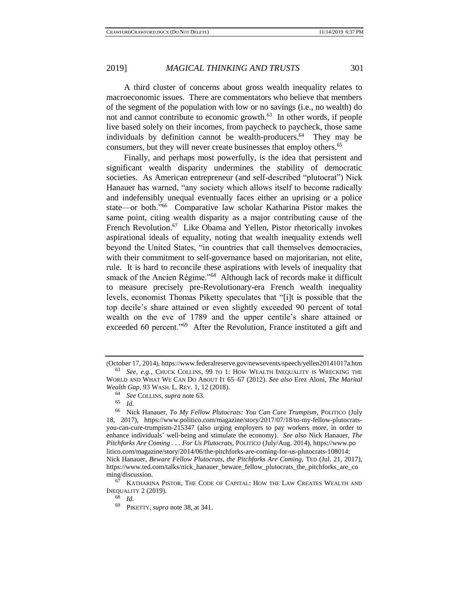<span id="page-12-1"></span>A third cluster of concerns about gross wealth inequality relates to macroeconomic issues. There are commentators who believe that members of the segment of the population with low or no savings (i.e., no wealth) do not and cannot contribute to economic growth.<sup>63</sup> In other words, if people live based solely on their incomes, from paycheck to paycheck, those same individuals by definition cannot be wealth-producers.<sup>64</sup> They may be consumers, but they will never create businesses that employ others.<sup>65</sup>

<span id="page-12-2"></span>Finally, and perhaps most powerfully, is the idea that persistent and significant wealth disparity undermines the stability of democratic societies. As American entrepreneur (and self-described "plutocrat") Nick Hanauer has warned, "any society which allows itself to become radically and indefensibly unequal eventually faces either an uprising or a police state—or both."<sup>66</sup> Comparative law scholar Katharina Pistor makes the same point, citing wealth disparity as a major contributing cause of the French Revolution.<sup>67</sup> Like Obama and Yellen, Pistor rhetorically invokes aspirational ideals of equality, noting that wealth inequality extends well beyond the United States, "in countries that call themselves democracies, with their commitment to self-governance based on majoritarian, not elite, rule. It is hard to reconcile these aspirations with levels of inequality that smack of the Ancien Régime."<sup>68</sup> Although lack of records make it difficult to measure precisely pre-Revolutionary-era French wealth inequality levels, economist Thomas Piketty speculates that "[i]t is possible that the top decile's share attained or even slightly exceeded 90 percent of total wealth on the eve of 1789 and the upper centile's share attained or exceeded 60 percent."<sup>69</sup> After the Revolution, France instituted a gift and

<sup>68</sup> *Id.*

<span id="page-12-0"></span>

<sup>(</sup>October 17, 2014), https://www.federalreserve.gov/newsevents/speech/yellen20141017a.htm <sup>63</sup> *See, e.g.*, CHUCK COLLINS, 99 TO 1: HOW WEALTH INEQUALITY IS WRECKING THE WORLD AND WHAT WE CAN DO ABOUT IT 65–67 (2012). *See also* Erez Aloni, *The Marital Wealth Gap*, 93 WASH. L. REV. 1, 12 (2018).

<sup>64</sup> *See* COLLINS, *supra* note [63.](#page-12-0)

<sup>65</sup> *Id.*

<sup>66</sup> Nick Hanauer, *To My Fellow Plutocrats: You Can Cure Trumpism*, POLITICO (July 18, 2017), https://www.politico.com/magazine/story/2017/07/18/to-my-fellow-plutocratsyou-can-cure-trumpism-215347 (also urging employers to pay workers more, in order to enhance individuals' well-being and stimulate the economy). *See also* Nick Hanauer, *The Pitchforks Are Coming . . . For Us Plutocrats*, POLITICO (July/Aug. 2014), https://www.po litico.com/magazine/story/2014/06/the-pitchforks-are-coming-for-us-plutocrats-108014; Nick Hanauer, *Beware Fellow Plutocrats, the Pitchforks Are Coming*, TED (Jul. 21, 2017), https://www.ted.com/talks/nick\_hanauer\_beware\_fellow\_plutocrats\_the\_pitchforks\_are\_co ming/discussion.

<sup>67</sup> KATHARINA PISTOR, THE CODE OF CAPITAL: HOW THE LAW CREATES WEALTH AND INEQUALITY 2  $(2019)$ .

<sup>69</sup> PIKETTY, *supra* note [38,](#page-7-0) at 341.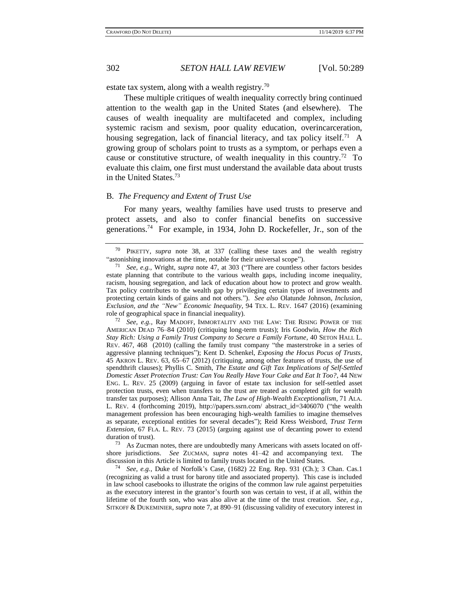<span id="page-13-0"></span>

estate tax system, along with a wealth registry.<sup>70</sup>

These multiple critiques of wealth inequality correctly bring continued attention to the wealth gap in the United States (and elsewhere). The causes of wealth inequality are multifaceted and complex, including systemic racism and sexism, poor quality education, overincarceration, housing segregation, lack of financial literacy, and tax policy itself.<sup>71</sup> A growing group of scholars point to trusts as a symptom, or perhaps even a cause or constitutive structure, of wealth inequality in this country.<sup>72</sup> To evaluate this claim, one first must understand the available data about trusts in the United States.<sup>73</sup>

#### B*. The Frequency and Extent of Trust Use*

For many years, wealthy families have used trusts to preserve and protect assets, and also to confer financial benefits on successive generations.<sup>74</sup> For example, in 1934, John D. Rockefeller, Jr., son of the

<sup>73</sup> As Zucman notes, there are undoubtedly many Americans with assets located on offshore jurisdictions. *See* ZUCMAN, *supra* notes [41–](#page-8-1)[42](#page-8-2) and accompanying text. The discussion in this Article is limited to family trusts located in the United States.

<sup>74</sup> *See, e.g.*, Duke of Norfolk's Case, (1682) 22 Eng. Rep. 931 (Ch.); 3 Chan. Cas.1 (recognizing as valid a trust for barony title and associated property). This case is included in law school casebooks to illustrate the origins of the common law rule against perpetuities as the executory interest in the grantor's fourth son was certain to vest, if at all, within the lifetime of the fourth son, who was also alive at the time of the trust creation. *See, e.g.*, SITKOFF & DUKEMINIER, *supra* note [7,](#page-2-0) at 890–91 (discussing validity of executory interest in

<sup>70</sup> PIKETTY, *supra* note [38,](#page-7-0) at 337 (calling these taxes and the wealth registry "astonishing innovations at the time, notable for their universal scope").

<sup>71</sup> *See, e.g.*, Wright, *supra* note [47,](#page-9-1) at 303 ("There are countless other factors besides estate planning that contribute to the various wealth gaps, including income inequality, racism, housing segregation, and lack of education about how to protect and grow wealth. Tax policy contributes to the wealth gap by privileging certain types of investments and protecting certain kinds of gains and not others."). *See also* Olatunde Johnson, *Inclusion, Exclusion, and the "New" Economic Inequality*, 94 TEX. L. REV. 1647 (2016) (examining role of geographical space in financial inequality).

See, e.g., Ray MADOFF, IMMORTALITY AND THE LAW: THE RISING POWER OF THE AMERICAN DEAD 76–84 (2010) (critiquing long-term trusts); Iris Goodwin, *How the Rich Stay Rich: Using a Family Trust Company to Secure a Family Fortune*, 40 SETON HALL L. REV. 467, 468 (2010) (calling the family trust company "the masterstroke in a series of aggressive planning techniques"); Kent D. Schenkel, *Exposing the Hocus Pocus of Trusts*, 45 AKRON L. REV. 63, 65–67 (2012) (critiquing, among other features of trusts, the use of spendthrift clauses); Phyllis C. Smith, *The Estate and Gift Tax Implications of Self-Settled Domestic Asset Protection Trust: Can You Really Have Your Cake and Eat It Too?*, 44 NEW ENG. L. REV. 25 (2009) (arguing in favor of estate tax inclusion for self-settled asset protection trusts, even when transfers to the trust are treated as completed gift for wealth transfer tax purposes); Allison Anna Tait, *The Law of High-Wealth Exceptionalism*, 71 ALA. L. REV. 4 (forthcoming 2019), http://papers.ssrn.com/ abstract\_id=3406070 ("the wealth management profession has been encouraging high-wealth families to imagine themselves as separate, exceptional entities for several decades"); Reid Kress Weisbord, *Trust Term Extension*, 67 FLA. L. REV. 73 (2015) (arguing against use of decanting power to extend duration of trust).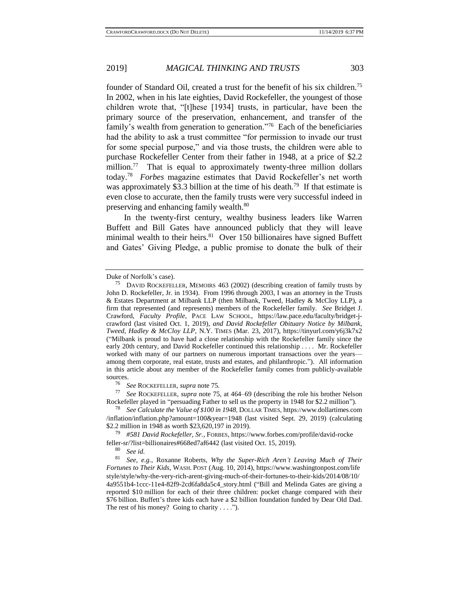founder of Standard Oil, created a trust for the benefit of his six children.<sup>75</sup>

In 2002, when in his late eighties, David Rockefeller, the youngest of those children wrote that, "[t]hese [1934] trusts, in particular, have been the primary source of the preservation, enhancement, and transfer of the family's wealth from generation to generation."<sup>76</sup> Each of the beneficiaries had the ability to ask a trust committee "for permission to invade our trust for some special purpose," and via those trusts, the children were able to purchase Rockefeller Center from their father in 1948, at a price of \$2.2 million.<sup>77</sup> That is equal to approximately twenty-three million dollars today.<sup>78</sup> *Forbes* magazine estimates that David Rockefeller's net worth was approximately \$3.3 billion at the time of his death.<sup>79</sup> If that estimate is even close to accurate, then the family trusts were very successful indeed in preserving and enhancing family wealth.<sup>80</sup>

<span id="page-14-0"></span>In the twenty-first century, wealthy business leaders like Warren Buffett and Bill Gates have announced publicly that they will leave minimal wealth to their heirs. $81$  Over 150 billionaires have signed Buffett and Gates' Giving Pledge, a public promise to donate the bulk of their

<sup>76</sup> *See* ROCKEFELLER, *supra* not[e 75.](#page-12-1)

<sup>77</sup> *See* ROCKEFELLER, *supra* note [75,](#page-12-1) at 464–69 (describing the role his brother Nelson Rockefeller played in "persuading Father to sell us the property in 1948 for \$2.2 million").

<sup>78</sup> *See Calculate the Value of \$100 in 1948*, DOLLAR TIMES, https://www.dollartimes.com /inflation/inflation.php?amount=100&year=1948 (last visited Sept. 29, 2019) (calculating \$2.2 million in 1948 as worth \$23,620,197 in 2019).

<sup>79</sup> *#581 David Rockefeller, Sr.*, FORBES, https://www.forbes.com/profile/david-rocke feller-sr/?list=billionaires#668ed7af6442 (last visited Oct. 15, 2019).<br><sup>80</sup> Section<sup>81</sup>

 $\frac{80}{81}$  *See id.* 

<sup>81</sup> *See, e.g.*, Roxanne Roberts, *Why the Super-Rich Aren't Leaving Much of Their Fortunes to Their Kids*, WASH. POST (Aug. 10, 2014), https://www.washingtonpost.com/life style/style/why-the-very-rich-arent-giving-much-of-their-fortunes-to-their-kids/2014/08/10/ 4a9551b4-1ccc-11e4-82f9-2cd6fa8da5c4\_story.html ("Bill and Melinda Gates are giving a reported \$10 million for each of their three children: pocket change compared with their \$76 billion. Buffett's three kids each have a \$2 billion foundation funded by Dear Old Dad. The rest of his money? Going to charity  $\dots$ .").

Duke of Norfolk's case).

<sup>&</sup>lt;sup>75</sup> DAVID ROCKEFELLER, MEMOIRS 463 (2002) (describing creation of family trusts by John D. Rockefeller, Jr. in 1934). From 1996 through 2003, I was an attorney in the Trusts & Estates Department at Milbank LLP (then Milbank, Tweed, Hadley & McCloy LLP), a firm that represented (and represents) members of the Rockefeller family. *See* Bridget J. Crawford, *Faculty Profile*, PACE LAW SCHOOL, https://law.pace.edu/faculty/bridget-jcrawford (last visited Oct. 1, 2019), *and David Rockefeller Obituary Notice by Milbank, Tweed, Hadley & McCloy LLP*, N.Y. TIMES (Mar. 23, 2017), https://tinyurl.com/y6j3k7x2 ("Milbank is proud to have had a close relationship with the Rockefeller family since the early 20th century, and David Rockefeller continued this relationship . . . . Mr. Rockefeller worked with many of our partners on numerous important transactions over the years among them corporate, real estate, trusts and estates, and philanthropic."). All information in this article about any member of the Rockefeller family comes from publicly-available sources.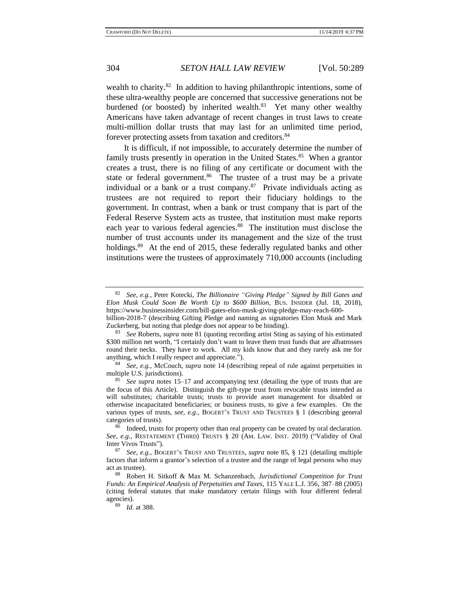wealth to charity.<sup>82</sup> In addition to having philanthropic intentions, some of these ultra-wealthy people are concerned that successive generations not be burdened (or boosted) by inherited wealth.<sup>83</sup> Yet many other wealthy Americans have taken advantage of recent changes in trust laws to create multi-million dollar trusts that may last for an unlimited time period, forever protecting assets from taxation and creditors.<sup>84</sup>

<span id="page-15-0"></span>It is difficult, if not impossible, to accurately determine the number of family trusts presently in operation in the United States.<sup>85</sup> When a grantor creates a trust, there is no filing of any certificate or document with the state or federal government.<sup>86</sup> The trustee of a trust may be a private individual or a bank or a trust company. $87$  Private individuals acting as trustees are not required to report their fiduciary holdings to the government. In contrast, when a bank or trust company that is part of the Federal Reserve System acts as trustee, that institution must make reports each year to various federal agencies.<sup>88</sup> The institution must disclose the number of trust accounts under its management and the size of the trust holdings.<sup>89</sup> At the end of 2015, these federally regulated banks and other institutions were the trustees of approximately 710,000 accounts (including

<span id="page-15-1"></span><sup>82</sup> *See, e.g.*, Peter Kotecki, *The Billionaire "Giving Pledge" Signed by Bill Gates and Elon Musk Could Soon Be Worth Up to \$600 Billion*, BUS. INSIDER (Jul. 18, 2018), https://www.businessinsider.com/bill-gates-elon-musk-giving-pledge-may-reach-600-

billion-2018-7 (describing Gifting Pledge and naming as signatories Elon Musk and Mark Zuckerberg, but noting that pledge does not appear to be binding).

<sup>83</sup> *See* Roberts, *supra* not[e 81](#page-14-0) (quoting recording artist Sting as saying of his estimated \$300 million net worth, "I certainly don't want to leave them trust funds that are albatrosses round their necks. They have to work. All my kids know that and they rarely ask me for anything, which I really respect and appreciate.").

<sup>84</sup> *See, e.g.,* McCouch, *supra* note [14](#page-3-0) (describing repeal of rule against perpetuities in multiple U.S. jurisdictions).

See supra notes [15](#page-2-1)[–17](#page-4-0) and accompanying text (detailing the type of trusts that are the focus of this Article). Distinguish the gift-type trust from revocable trusts intended as will substitutes; charitable trusts; trusts to provide asset management for disabled or otherwise incapacitated beneficiaries; or business trusts, to give a few examples. On the various types of trusts, *see, e.g.*, BOGERT'S TRUST AND TRUSTEES § 1 (describing general categories of trusts).

 $86$  Indeed, trusts for property other than real property can be created by oral declaration. *See, e.g.,* RESTATEMENT (THIRD) TRUSTS § 20 (AM. LAW. INST. 2019) ("Validity of Oral Inter Vivos Trusts").

<sup>87</sup> *See, e.g.,* BOGERT'S TRUST AND TRUSTEES, *supra* note [85,](#page-15-0) § 121 (detailing multiple factors that inform a grantor's selection of a trustee and the range of legal persons who may act as trustee).

<sup>88</sup> Robert H. Sitkoff & Max M. Schanzenbach, *Jurisdictional Competition for Trust Funds: An Empirical Analysis of Perpetuities and Taxes*, 115 YALE L.J. 356, 387–88 (2005) (citing federal statutes that make mandatory certain filings with four different federal agencies).

<sup>89</sup> *Id.* at 388.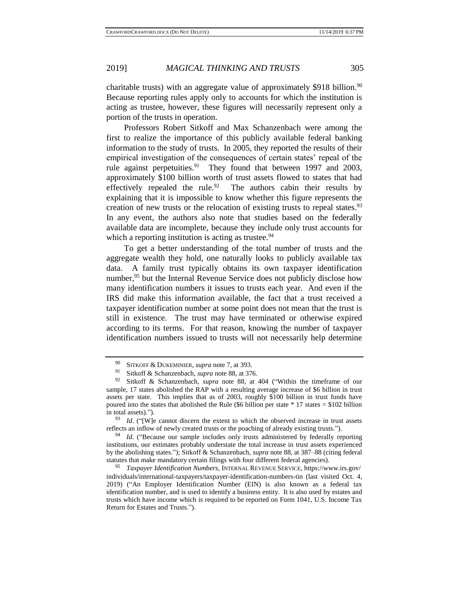charitable trusts) with an aggregate value of approximately \$918 billion.<sup>90</sup> Because reporting rules apply only to accounts for which the institution is acting as trustee, however, these figures will necessarily represent only a portion of the trusts in operation.

Professors Robert Sitkoff and Max Schanzenbach were among the first to realize the importance of this publicly available federal banking information to the study of trusts. In 2005, they reported the results of their empirical investigation of the consequences of certain states' repeal of the rule against perpetuities.<sup>91</sup> They found that between 1997 and 2003, approximately \$100 billion worth of trust assets flowed to states that had effectively repealed the rule.  $92$  The authors cabin their results by explaining that it is impossible to know whether this figure represents the creation of new trusts or the relocation of existing trusts to repeal states. $93$ In any event, the authors also note that studies based on the federally available data are incomplete, because they include only trust accounts for which a reporting institution is acting as trustee. $94$ 

To get a better understanding of the total number of trusts and the aggregate wealth they hold, one naturally looks to publicly available tax data. A family trust typically obtains its own taxpayer identification number,<sup>95</sup> but the Internal Revenue Service does not publicly disclose how many identification numbers it issues to trusts each year. And even if the IRS did make this information available, the fact that a trust received a taxpayer identification number at some point does not mean that the trust is still in existence. The trust may have terminated or otherwise expired according to its terms. For that reason, knowing the number of taxpayer identification numbers issued to trusts will not necessarily help determine

<sup>90</sup> SITKOFF & DUKEMINIER, *supra* note [7,](#page-2-0) at 393.

<sup>&</sup>lt;sup>91</sup> Sitkoff & Schanzenbach, *supra* not[e 88,](#page-15-1) at 376.<br><sup>92</sup> Sitkoff & Schanzenbach, *supra* note 88, at a

<sup>92</sup> Sitkoff & Schanzenbach*, supra* note [88,](#page-15-1) at 404 ("Within the timeframe of our sample, 17 states abolished the RAP with a resulting average increase of \$6 billion in trust assets per state. This implies that as of 2003, roughly \$100 billion in trust funds have poured into the states that abolished the Rule (\$6 billion per state  $*$  17 states = \$102 billion in total assets).").

<sup>&</sup>lt;sup>93</sup> *Id.* ("[W]e cannot discern the extent to which the observed increase in trust assets reflects an inflow of newly created trusts or the poaching of already existing trusts.").

<sup>&</sup>lt;sup>94</sup> *Id.* ("Because our sample includes only trusts administered by federally reporting institutions, our estimates probably understate the total increase in trust assets experienced by the abolishing states."); Sitkoff & Schanzenbach*, supra* not[e 88,](#page-15-1) at 387–88 (citing federal statutes that make mandatory certain filings with four different federal agencies).

<sup>95</sup> *Taxpayer Identification Numbers*, INTERNAL REVENUE SERVICE, https://www.irs.gov/ individuals/international-taxpayers/taxpayer-identification-numbers-tin (last visited Oct. 4, 2019) ("An Employer Identification Number (EIN) is also known as a federal tax identification number, and is used to identify a business entity. It is also used by estates and trusts which have income which is required to be reported on Form 1041, U.S. Income Tax Return for Estates and Trusts.").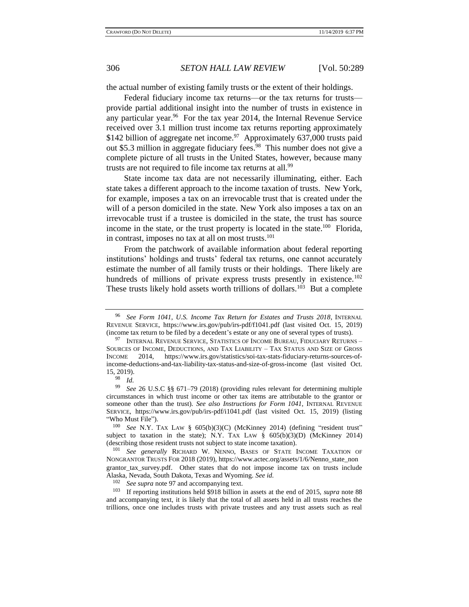the actual number of existing family trusts or the extent of their holdings.

<span id="page-17-0"></span>Federal fiduciary income tax returns—or the tax returns for trusts provide partial additional insight into the number of trusts in existence in any particular year.<sup>96</sup> For the tax year 2014, the Internal Revenue Service received over 3.1 million trust income tax returns reporting approximately \$142 billion of aggregate net income.<sup>97</sup> Approximately 637,000 trusts paid out \$5.3 million in aggregate fiduciary fees.<sup>98</sup> This number does not give a complete picture of all trusts in the United States, however, because many trusts are not required to file income tax returns at all.<sup>99</sup>

State income tax data are not necessarily illuminating, either. Each state takes a different approach to the income taxation of trusts. New York, for example, imposes a tax on an irrevocable trust that is created under the will of a person domiciled in the state. New York also imposes a tax on an irrevocable trust if a trustee is domiciled in the state, the trust has source income in the state, or the trust property is located in the state.<sup>100</sup> Florida, in contrast, imposes no tax at all on most trusts.<sup>101</sup>

<span id="page-17-1"></span>From the patchwork of available information about federal reporting institutions' holdings and trusts' federal tax returns, one cannot accurately estimate the number of all family trusts or their holdings. There likely are hundreds of millions of private express trusts presently in existence.<sup>102</sup> These trusts likely hold assets worth trillions of dollars.<sup>103</sup> But a complete

 $\frac{98}{99}$  *Id.* 

 $102$  *See supra* not[e 97](#page-17-0) and accompanying text.<br> $103$  **If reporting institutions** hold \$0.18 hillion

<sup>96</sup> *See Form 1041, U.S. Income Tax Return for Estates and Trusts 2018*, INTERNAL REVENUE SERVICE, https://www.irs.gov/pub/irs-pdf/f1041.pdf (last visited Oct. 15, 2019) (income tax return to be filed by a decedent's estate or any one of several types of trusts).

<sup>&</sup>lt;sup>97</sup> INTERNAL REVENUE SERVICE, STATISTICS OF INCOME BUREAU, FIDUCIARY RETURNS – SOURCES OF INCOME, DEDUCTIONS, AND TAX LIABILITY – TAX STATUS AND SIZE OF GROSS INCOME 2014, https://www.irs.gov/statistics/soi-tax-stats-fiduciary-returns-sources-of-INCOME 2014, https://www.irs.gov/statistics/soi-tax-stats-fiduciary-returns-sources-ofincome-deductions-and-tax-liability-tax-status-and-size-of-gross-income (last visited Oct. 15, 2019).

<sup>99</sup> *See* 26 U.S.C §§ 671–79 (2018) (providing rules relevant for determining multiple circumstances in which trust income or other tax items are attributable to the grantor or someone other than the trust). *See also Instructions for Form 1041*, INTERNAL REVENUE SERVICE, https://www.irs.gov/pub/irs-pdf/i1041.pdf (last visited Oct. 15, 2019) (listing "Who Must File").

<sup>100</sup> *See* N.Y. TAX LAW § 605(b)(3)(C) (McKinney 2014) (defining "resident trust" subject to taxation in the state); N.Y. TAX LAW  $\S$  605(b)(3)(D) (McKinney 2014) (describing those resident trusts not subject to state income taxation).

<sup>101</sup> *See generally* RICHARD W. NENNO, BASES OF STATE INCOME TAXATION OF NONGRANTOR TRUSTS FOR 2018 (2019), https://www.actec.org/assets/1/6/Nenno\_state\_non grantor\_tax\_survey.pdf. Other states that do not impose income tax on trusts include Alaska, Nevada, South Dakota, Texas and Wyoming. *See id.* 

<sup>103</sup> If reporting institutions held \$918 billion in assets at the end of 2015, *supra* note [88](#page-15-1) and accompanying text, it is likely that the total of all assets held in all trusts reaches the trillions, once one includes trusts with private trustees and any trust assets such as real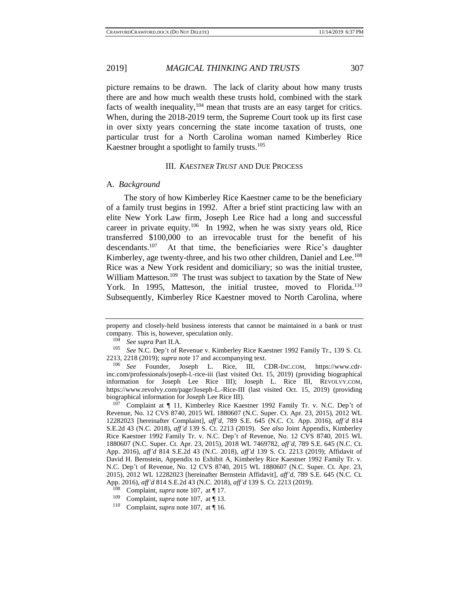picture remains to be drawn. The lack of clarity about how many trusts there are and how much wealth these trusts hold, combined with the stark facts of wealth inequality,  $104$  mean that trusts are an easy target for critics. When, during the 2018-2019 term, the Supreme Court took up its first case in over sixty years concerning the state income taxation of trusts, one particular trust for a North Carolina woman named Kimberley Rice Kaestner brought a spotlight to family trusts.<sup>105</sup>

#### III. *KAESTNER TRUST* AND DUE PROCESS

#### A. *Background*

<span id="page-18-0"></span>The story of how Kimberley Rice Kaestner came to be the beneficiary of a family trust begins in 1992. After a brief stint practicing law with an elite New York Law firm, Joseph Lee Rice had a long and successful career in private equity.<sup>106</sup> In 1992, when he was sixty years old, Rice transferred \$100,000 to an irrevocable trust for the benefit of his descendants.<sup>107</sup> At that time, the beneficiaries were Rice's daughter Kimberley, age twenty-three, and his two other children, Daniel and Lee.<sup>108</sup> Rice was a New York resident and domiciliary; so was the initial trustee, William Matteson.<sup>109</sup> The trust was subject to taxation by the State of New York. In 1995, Matteson, the initial trustee, moved to Florida.<sup>110</sup> Subsequently, Kimberley Rice Kaestner moved to North Carolina, where

property and closely-held business interests that cannot be maintained in a bank or trust company. This is, however, speculation only.

<sup>104</sup> *See supra* Part II.A.

<sup>105</sup> *See* N.C. Dep't of Revenue v. Kimberley Rice Kaestner 1992 Family Tr., 139 S. Ct. 2213, 2218 (2019); *supra* note [17](#page-4-0) and accompanying text.

<sup>106</sup> *See* Founder, Joseph L. Rice, III, CDR-INC.COM, https://www.cdrinc.com/professionals/joseph-l.-rice-iii (last visited Oct. 15, 2019) (providing biographical information for Joseph Lee Rice III); Joseph L. Rice III, REVOLVY.COM, https://www.revolvy.com/page/Joseph-L.-Rice-III (last visited Oct. 15, 2019) (providing biographical information for Joseph Lee Rice III).

Complaint at  $\P$  11, Kimberley Rice Kaestner 1992 Family Tr. v. N.C. Dep't of Revenue, No. 12 CVS 8740, 2015 WL 1880607 (N.C. Super. Ct. Apr. 23, 2015), 2012 WL 12282023 [hereinafter Complaint], *aff'd*, 789 S.E. 645 (N.C. Ct. App. 2016), *aff'd* 814 S.E.2d 43 (N.C. 2018), *aff'd* 139 S. Ct. 2213 (2019). *See also* Joint Appendix, Kimberley Rice Kaestner 1992 Family Tr. v. N.C. Dep't of Revenue, No. 12 CVS 8740, 2015 WL 1880607 (N.C. Super. Ct. Apr. 23, 2015), 2018 WL 7469782, *aff'd*, 789 S.E. 645 (N.C. Ct. App. 2016), *aff'd* 814 S.E.2d 43 (N.C. 2018), *aff'd* 139 S. Ct. 2213 (2019); Affidavit of David H. Bernstein, Appendix to Exhibit A, Kimberley Rice Kaestner 1992 Family Tr. v. N.C. Dep't of Revenue, No. 12 CVS 8740, 2015 WL 1880607 (N.C. Super. Ct. Apr. 23, 2015), 2012 WL 12282023 [hereinafter Bernstein Affidavit], *aff'd*, 789 S.E. 645 (N.C. Ct. App. 2016), *aff'd* 814 S.E.2d 43 (N.C. 2018), *aff'd* 139 S. Ct. 2213 (2019).

<sup>&</sup>lt;sup>108</sup> Complaint, *supra* not[e 107,](#page-18-0) at  $\P$  17.

<sup>&</sup>lt;sup>109</sup> Complaint, *supra* not[e 107,](#page-18-0) at  $\P$  13.

Complaint, *supra* not[e 107,](#page-18-0) at ¶ 16.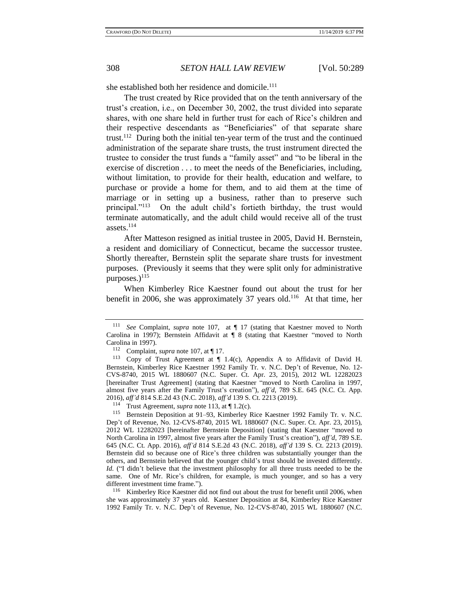she established both her residence and domicile.<sup>111</sup>

The trust created by Rice provided that on the tenth anniversary of the trust's creation, i.e., on December 30, 2002, the trust divided into separate shares, with one share held in further trust for each of Rice's children and their respective descendants as "Beneficiaries" of that separate share trust.<sup>112</sup> During both the initial ten-year term of the trust and the continued administration of the separate share trusts, the trust instrument directed the trustee to consider the trust funds a "family asset" and "to be liberal in the exercise of discretion . . . to meet the needs of the Beneficiaries, including, without limitation, to provide for their health, education and welfare, to purchase or provide a home for them, and to aid them at the time of marriage or in setting up a business, rather than to preserve such principal."<sup>113</sup> On the adult child's fortieth birthday, the trust would terminate automatically, and the adult child would receive all of the trust assets.<sup>114</sup>

<span id="page-19-0"></span>After Matteson resigned as initial trustee in 2005, David H. Bernstein, a resident and domiciliary of Connecticut, became the successor trustee. Shortly thereafter, Bernstein split the separate share trusts for investment purposes. (Previously it seems that they were split only for administrative purposes.)<sup>115</sup>

<span id="page-19-2"></span><span id="page-19-1"></span>When Kimberley Rice Kaestner found out about the trust for her benefit in 2006, she was approximately 37 years old.<sup>116</sup> At that time, her

<sup>116</sup> Kimberley Rice Kaestner did not find out about the trust for benefit until 2006, when she was approximately 37 years old. Kaestner Deposition at 84, Kimberley Rice Kaestner 1992 Family Tr. v. N.C. Dep't of Revenue, No. 12-CVS-8740, 2015 WL 1880607 (N.C.

See Complaint, *supra* note [107,](#page-18-0) at  $\P$  17 (stating that Kaestner moved to North Carolina in 1997); Bernstein Affidavit at ¶ 8 (stating that Kaestner "moved to North Carolina in 1997).

<sup>112</sup> Complaint, *supra* not[e 107,](#page-18-0) at ¶ 17.

<sup>113</sup> Copy of Trust Agreement at ¶ 1.4(c), Appendix A to Affidavit of David H. Bernstein, Kimberley Rice Kaestner 1992 Family Tr. v. N.C. Dep't of Revenue, No. 12- CVS-8740, 2015 WL 1880607 (N.C. Super. Ct. Apr. 23, 2015), 2012 WL 12282023 [hereinafter Trust Agreement] (stating that Kaestner "moved to North Carolina in 1997, almost five years after the Family Trust's creation"), *aff'd*, 789 S.E. 645 (N.C. Ct. App. 2016), *aff'd* 814 S.E.2d 43 (N.C. 2018), *aff'd* 139 S. Ct. 2213 (2019).

<sup>114</sup> Trust Agreement, *supra* not[e 113,](#page-19-0) at ¶ 1.2(c).

<sup>115</sup> Bernstein Deposition at 91–93, Kimberley Rice Kaestner 1992 Family Tr. v. N.C. Dep't of Revenue, No. 12-CVS-8740, 2015 WL 1880607 (N.C. Super. Ct. Apr. 23, 2015), 2012 WL 12282023 [hereinafter Bernstein Deposition] (stating that Kaestner "moved to North Carolina in 1997, almost five years after the Family Trust's creation"), *aff'd*, 789 S.E. 645 (N.C. Ct. App. 2016), *aff'd* 814 S.E.2d 43 (N.C. 2018), *aff'd* 139 S. Ct. 2213 (2019). Bernstein did so because one of Rice's three children was substantially younger than the others, and Bernstein believed that the younger child's trust should be invested differently. *Id.* ("I didn't believe that the investment philosophy for all three trusts needed to be the same. One of Mr. Rice's children, for example, is much younger, and so has a very different investment time frame.").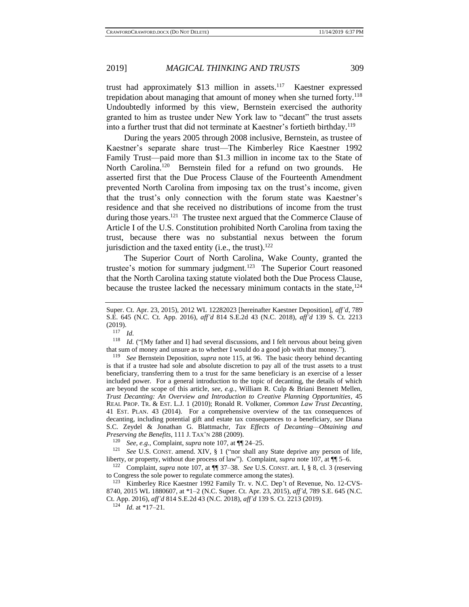<span id="page-20-0"></span>trust had approximately \$13 million in assets.<sup>117</sup> Kaestner expressed trepidation about managing that amount of money when she turned forty.<sup>118</sup> Undoubtedly informed by this view, Bernstein exercised the authority granted to him as trustee under New York law to "decant" the trust assets into a further trust that did not terminate at Kaestner's fortieth birthday.<sup>119</sup>

<span id="page-20-1"></span>During the years 2005 through 2008 inclusive, Bernstein, as trustee of Kaestner's separate share trust—The Kimberley Rice Kaestner 1992 Family Trust—paid more than \$1.3 million in income tax to the State of North Carolina.<sup>120</sup> Bernstein filed for a refund on two grounds. He asserted first that the Due Process Clause of the Fourteenth Amendment prevented North Carolina from imposing tax on the trust's income, given that the trust's only connection with the forum state was Kaestner's residence and that she received no distributions of income from the trust during those years.<sup>121</sup> The trustee next argued that the Commerce Clause of Article I of the U.S. Constitution prohibited North Carolina from taxing the trust, because there was no substantial nexus between the forum jurisdiction and the taxed entity (i.e., the trust).<sup>122</sup>

The Superior Court of North Carolina, Wake County, granted the trustee's motion for summary judgment.<sup>123</sup> The Superior Court reasoned that the North Carolina taxing statute violated both the Due Process Clause, because the trustee lacked the necessary minimum contacts in the state,  $124$ 

Super. Ct. Apr. 23, 2015), 2012 WL 12282023 [hereinafter Kaestner Deposition], *aff'd*, 789 S.E. 645 (N.C. Ct. App. 2016), *aff'd* 814 S.E.2d 43 (N.C. 2018), *aff'd* 139 S. Ct. 2213 (2019).

 $\frac{117}{118}$  *Id.* 

*Id.* ("[My father and I] had several discussions, and I felt nervous about being given that sum of money and unsure as to whether I would do a good job with that money.").

<sup>119</sup> *See* Bernstein Deposition, *supra* note [115,](#page-19-1) at 96. The basic theory behind decanting is that if a trustee had sole and absolute discretion to pay all of the trust assets to a trust beneficiary, transferring them to a trust for the same beneficiary is an exercise of a lesser included power. For a general introduction to the topic of decanting, the details of which are beyond the scope of this article, *see, e.g.*, William R. Culp & Briani Bennett Mellen, *Trust Decanting: An Overview and Introduction to Creative Planning Opportunities*, 45 REAL PROP. TR. & EST. L.J. 1 (2010); Ronald R. Volkmer, *Common Law Trust Decanting*, 41 EST. PLAN. 43 (2014). For a comprehensive overview of the tax consequences of decanting, including potential gift and estate tax consequences to a beneficiary, *see* Diana S.C. Zeydel & Jonathan G. Blattmachr, *Tax Effects of Decanting—Obtaining and Preserving the Benefits*, 111 J. TAX'N 288 (2009).

<sup>120</sup> *See, e.g.,* Complaint, *supra* not[e 107,](#page-18-0) at ¶¶ 24–25.

<sup>&</sup>lt;sup>121</sup> *See* U.S. CONST. amend. XIV, § 1 ("nor shall any State deprive any person of life, liberty, or property, without due process of law"). Complaint, *supra* not[e 107,](#page-18-0) at ¶¶ 5–6.

<sup>122</sup> Complaint, *supra* note [107,](#page-18-0) at ¶¶ 37–38. *See* U.S. CONST. art. I, § 8, cl. 3 (reserving to Congress the sole power to regulate commerce among the states).

<sup>123</sup> Kimberley Rice Kaestner 1992 Family Tr. v. N.C. Dep't of Revenue, No. 12-CVS-8740, 2015 WL 1880607, at \*1–2 (N.C. Super. Ct. Apr. 23, 2015), *aff'd*, 789 S.E. 645 (N.C. Ct. App. 2016), *aff'd* 814 S.E.2d 43 (N.C. 2018), *aff'd* 139 S. Ct. 2213 (2019).

<sup>124</sup> *Id.* at \*17–21.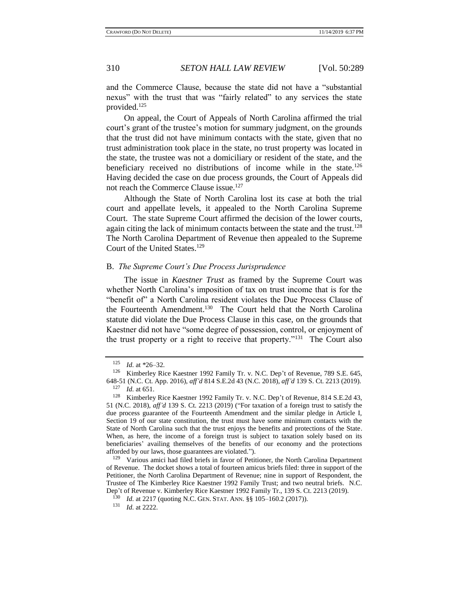and the Commerce Clause, because the state did not have a "substantial nexus" with the trust that was "fairly related" to any services the state provided.<sup>125</sup>

On appeal, the Court of Appeals of North Carolina affirmed the trial court's grant of the trustee's motion for summary judgment, on the grounds that the trust did not have minimum contacts with the state, given that no trust administration took place in the state, no trust property was located in the state, the trustee was not a domiciliary or resident of the state, and the beneficiary received no distributions of income while in the state.<sup>126</sup> Having decided the case on due process grounds, the Court of Appeals did not reach the Commerce Clause issue.<sup>127</sup>

Although the State of North Carolina lost its case at both the trial court and appellate levels, it appealed to the North Carolina Supreme Court. The state Supreme Court affirmed the decision of the lower courts, again citing the lack of minimum contacts between the state and the trust.<sup>128</sup> The North Carolina Department of Revenue then appealed to the Supreme Court of the United States.<sup>129</sup>

#### <span id="page-21-0"></span>B. *The Supreme Court's Due Process Jurisprudence*

The issue in *Kaestner Trust* as framed by the Supreme Court was whether North Carolina's imposition of tax on trust income that is for the "benefit of" a North Carolina resident violates the Due Process Clause of the Fourteenth Amendment.<sup>130</sup> The Court held that the North Carolina statute did violate the Due Process Clause in this case, on the grounds that Kaestner did not have "some degree of possession, control, or enjoyment of the trust property or a right to receive that property."<sup>131</sup> The Court also

<sup>129</sup> Various amici had filed briefs in favor of Petitioner, the North Carolina Department of Revenue. The docket shows a total of fourteen amicus briefs filed: three in support of the Petitioner, the North Carolina Department of Revenue; nine in support of Respondent, the Trustee of The Kimberley Rice Kaestner 1992 Family Trust; and two neutral briefs. N.C. Dep't of Revenue v. Kimberley Rice Kaestner 1992 Family Tr., 139 S. Ct. 2213 (2019).

<sup>125</sup> *Id.* at \*26–32.

<sup>126</sup> Kimberley Rice Kaestner 1992 Family Tr. v. N.C. Dep't of Revenue, 789 S.E. 645, 648-51 (N.C. Ct. App. 2016), *aff'd* 814 S.E.2d 43 (N.C. 2018), *aff'd* 139 S. Ct. 2213 (2019).

 $\frac{127}{128}$  *Id.* at 651.

Kimberley Rice Kaestner 1992 Family Tr. v. N.C. Dep't of Revenue, 814 S.E.2d 43, 51 (N.C. 2018), *aff'd* 139 S. Ct. 2213 (2019) ("For taxation of a foreign trust to satisfy the due process guarantee of the Fourteenth Amendment and the similar pledge in Article I, Section 19 of our state constitution, the trust must have some minimum contacts with the State of North Carolina such that the trust enjoys the benefits and protections of the State. When, as here, the income of a foreign trust is subject to taxation solely based on its beneficiaries' availing themselves of the benefits of our economy and the protections afforded by our laws, those guarantees are violated.").

<sup>&</sup>lt;sup>130</sup> *Id.* at 2217 (quoting N.C. GEN. STAT. ANN. §§ 105–160.2 (2017)).

<sup>131</sup> *Id.* at 2222.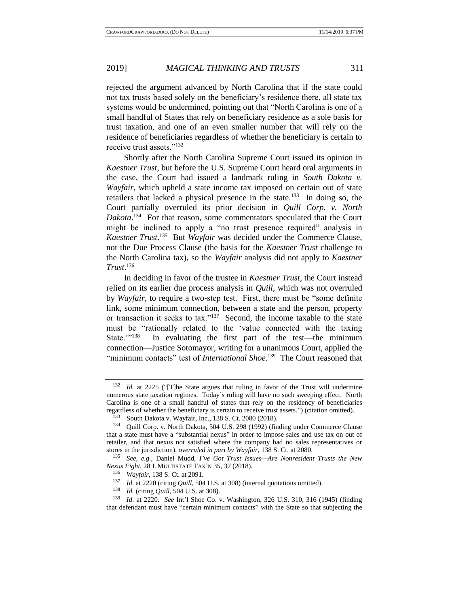rejected the argument advanced by North Carolina that if the state could not tax trusts based solely on the beneficiary's residence there, all state tax systems would be undermined, pointing out that "North Carolina is one of a small handful of States that rely on beneficiary residence as a sole basis for trust taxation, and one of an even smaller number that will rely on the residence of beneficiaries regardless of whether the beneficiary is certain to receive trust assets."<sup>132</sup>

Shortly after the North Carolina Supreme Court issued its opinion in *Kaestner Trust*, but before the U.S. Supreme Court heard oral arguments in the case, the Court had issued a landmark ruling in *South Dakota v. Wayfair*, which upheld a state income tax imposed on certain out of state retailers that lacked a physical presence in the state.<sup>133</sup> In doing so, the Court partially overruled its prior decision in *Quill Corp. v. North*  Dakota.<sup>134</sup> For that reason, some commentators speculated that the Court might be inclined to apply a "no trust presence required" analysis in *Kaestner Trust*. 135 But *Wayfair* was decided under the Commerce Clause, not the Due Process Clause (the basis for the *Kaestner Trust* challenge to the North Carolina tax), so the *Wayfair* analysis did not apply to *Kaestner Trust*. 136

In deciding in favor of the trustee in *Kaestner Trust*, the Court instead relied on its earlier due process analysis in *Quill,* which was not overruled by *Wayfair*, to require a two-step test. First, there must be "some definite link, some minimum connection, between a state and the person, property or transaction it seeks to tax."<sup>137</sup> Second, the income taxable to the state must be "rationally related to the 'value connected with the taxing State.""<sup>138</sup> In evaluating the first part of the test—the minimum connection—Justice Sotomayor, writing for a unanimous Court, applied the "minimum contacts" test of *International Shoe*.<sup>139</sup> The Court reasoned that

<sup>132</sup> *Id.* at 2225 ("[T]he State argues that ruling in favor of the Trust will undermine numerous state taxation regimes. Today's ruling will have no such sweeping effect. North Carolina is one of a small handful of states that rely on the residency of beneficiaries regardless of whether the beneficiary is certain to receive trust assets.") (citation omitted).

<sup>&</sup>lt;sup>133</sup> South Dakota v. Wayfair, Inc., 138 S. Ct. 2080 (2018).<br><sup>134</sup> Ouill Corp v. North Dakota, 504 U.S. 298 (1992) (fin

Quill Corp. v. North Dakota, 504 U.S. 298 (1992) (finding under Commerce Clause that a state must have a "substantial nexus" in order to impose sales and use tax on out of retailer, and that nexus not satisfied where the company had no sales representatives or stores in the jurisdiction), *overruled in part by Wayfair*, 138 S. Ct. at 2080.

<sup>135</sup> *See, e.g.*, Daniel Mudd, *I've Got Trust Issues—Are Nonresident Trusts the New Nexus Fight*, 28 J. MULTISTATE TAX'N 35, 37 (2018).

<sup>&</sup>lt;sup>136</sup> *Wayfair*, 138 S. Ct. at 2091.

<sup>&</sup>lt;sup>137</sup> *Id.* at 2220 (citing *Quill*, 504 U.S. at 308) (internal quotations omitted).

*Id.* (citing *Quill*, 504 U.S. at 308).

<sup>139</sup> *Id.* at 2220. *See* Int'l Shoe Co. v. Washington, 326 U.S. 310, 316 (1945) (finding that defendant must have "certain minimum contacts" with the State so that subjecting the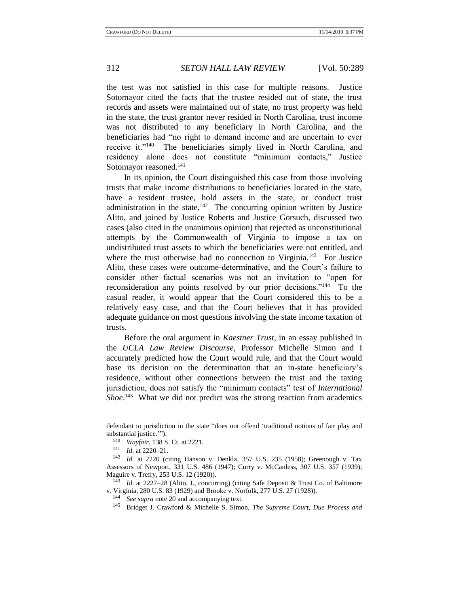the test was not satisfied in this case for multiple reasons. Justice Sotomayor cited the facts that the trustee resided out of state, the trust records and assets were maintained out of state, no trust property was held in the state, the trust grantor never resided in North Carolina, trust income was not distributed to any beneficiary in North Carolina, and the beneficiaries had "no right to demand income and are uncertain to ever receive it."<sup>140</sup> The beneficiaries simply lived in North Carolina, and residency alone does not constitute "minimum contacts," Justice Sotomayor reasoned.<sup>141</sup>

<span id="page-23-1"></span>In its opinion, the Court distinguished this case from those involving trusts that make income distributions to beneficiaries located in the state, have a resident trustee, hold assets in the state, or conduct trust administration in the state.<sup>142</sup> The concurring opinion written by Justice Alito, and joined by Justice Roberts and Justice Gorsuch, discussed two cases (also cited in the unanimous opinion) that rejected as unconstitutional attempts by the Commonwealth of Virginia to impose a tax on undistributed trust assets to which the beneficiaries were not entitled, and where the trust otherwise had no connection to Virginia.<sup>143</sup> For Justice Alito, these cases were outcome-determinative, and the Court's failure to consider other factual scenarios was not an invitation to "open for reconsideration any points resolved by our prior decisions."<sup>144</sup> To the casual reader, it would appear that the Court considered this to be a relatively easy case, and that the Court believes that it has provided adequate guidance on most questions involving the state income taxation of trusts.

Before the oral argument in *Kaestner Trust*, in an essay published in the *UCLA Law Review Discourse*, Professor Michelle Simon and I accurately predicted how the Court would rule, and that the Court would base its decision on the determination that an in-state beneficiary's residence, without other connections between the trust and the taxing jurisdiction, does not satisfy the "minimum contacts" test of *International*  Shoe.<sup>145</sup> What we did not predict was the strong reaction from academics

<span id="page-23-0"></span>defendant to jurisdiction in the state "does not offend 'traditional notions of fair play and substantial justice.'").

<sup>140</sup> *Wayfair*, 138 S. Ct. at 2221.

<sup>141</sup> *Id*. at 2220–21.

<sup>142</sup> *Id.* at 2220 (citing Hanson v. Denkla, 357 U.S. 235 (1958); Greenough v. Tax Assessors of Newport, 331 U.S. 486 (1947); Curry v. McCanless, 307 U.S. 357 (1939); Maguire v. Trefry, 253 U.S. 12 (1920)).

<sup>&</sup>lt;sup>143</sup> *Id.* at 2227–28 (Alito, J., concurring) (citing Safe Deposit & Trust Co. of Baltimore v. Virginia, 280 U.S. 83 (1929) and Brooke v. Norfolk, 277 U.S. 27 (1928)).

*See supra* not[e 20](#page-4-1) and accompanying text.

<sup>145</sup> Bridget J. Crawford & Michelle S. Simon, *The Supreme Court, Due Process and*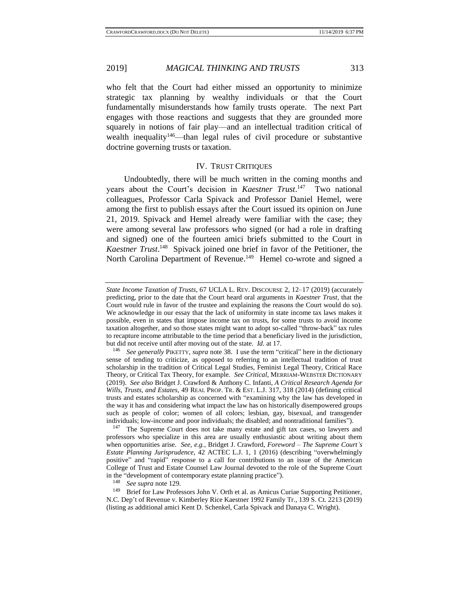<span id="page-24-1"></span>who felt that the Court had either missed an opportunity to minimize strategic tax planning by wealthy individuals or that the Court fundamentally misunderstands how family trusts operate. The next Part engages with those reactions and suggests that they are grounded more squarely in notions of fair play—and an intellectual tradition critical of wealth inequality<sup>146</sup>—than legal rules of civil procedure or substantive doctrine governing trusts or taxation.

#### <span id="page-24-2"></span>IV. TRUST CRITIQUES

Undoubtedly, there will be much written in the coming months and years about the Court's decision in *Kaestner Trust*.<sup>147</sup> Two national colleagues, Professor Carla Spivack and Professor Daniel Hemel, were among the first to publish essays after the Court issued its opinion on June 21, 2019. Spivack and Hemel already were familiar with the case; they were among several law professors who signed (or had a role in drafting and signed) one of the fourteen amici briefs submitted to the Court in *Kaestner Trust*. 148 Spivack joined one brief in favor of the Petitioner, the North Carolina Department of Revenue.<sup>149</sup> Hemel co-wrote and signed a

<span id="page-24-0"></span>*State Income Taxation of Trusts*, 67 UCLA L. REV. DISCOURSE 2, 12–17 (2019) (accurately predicting, prior to the date that the Court heard oral arguments in *Kaestner Trust*, that the Court would rule in favor of the trustee and explaining the reasons the Court would do so). We acknowledge in our essay that the lack of uniformity in state income tax laws makes it possible, even in states that impose income tax on trusts, for some trusts to avoid income taxation altogether, and so those states might want to adopt so-called "throw-back" tax rules to recapture income attributable to the time period that a beneficiary lived in the jurisdiction, but did not receive until after moving out of the state. *Id.* at 17.

<sup>146</sup> *See generally* PIKETTY, *supra* note [38.](#page-7-0) I use the term "critical" here in the dictionary sense of tending to criticize, as opposed to referring to an intellectual tradition of trust scholarship in the tradition of Critical Legal Studies, Feminist Legal Theory, Critical Race Theory, or Critical Tax Theory, for example. *See Critical*, MERRIAM-WEBSTER DICTIONARY (2019). *See also* Bridget J. Crawford & Anthony C. Infanti, *A Critical Research Agenda for Wills, Trusts, and Estates*, 49 REAL PROP. TR. & EST. L.J. 317, 318 (2014) (defining critical trusts and estates scholarship as concerned with "examining why the law has developed in the way it has and considering what impact the law has on historically disempowered groups such as people of color; women of all colors; lesbian, gay, bisexual, and transgender individuals; low-income and poor individuals; the disabled; and nontraditional families").

<sup>&</sup>lt;sup>147</sup> The Supreme Court does not take many estate and gift tax cases, so lawyers and professors who specialize in this area are usually enthusiastic about writing about them when opportunities arise. *See, e.g.,* Bridget J. Crawford, *Foreword – The Supreme Court's Estate Planning Jurisprudence*, 42 ACTEC L.J. 1, 1 (2016) (describing "overwhelmingly positive" and "rapid" response to a call for contributions to an issue of the American College of Trust and Estate Counsel Law Journal devoted to the role of the Supreme Court in the "development of contemporary estate planning practice").<br> $\frac{148}{148}$  See sung note 120

<sup>&</sup>lt;sup>148</sup> *See supra* not[e 129.](#page-21-0)<br><sup>149</sup> Brief for Law Profe

Brief for Law Professors John V. Orth et al. as Amicus Curiae Supporting Petitioner, N.C. Dep't of Revenue v. Kimberley Rice Kaestner 1992 Family Tr., 139 S. Ct. 2213 (2019) (listing as additional amici Kent D. Schenkel, Carla Spivack and Danaya C. Wright).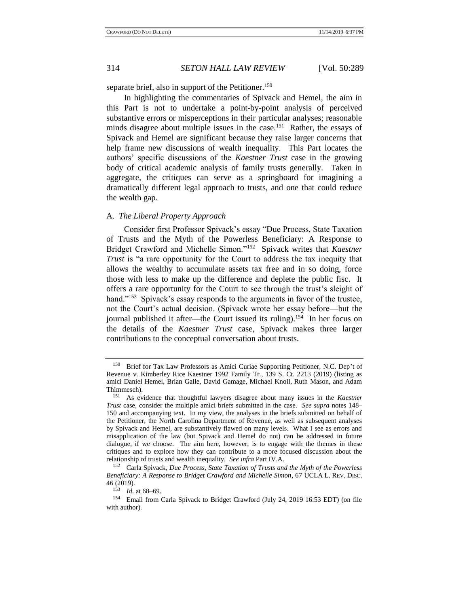separate brief, also in support of the Petitioner.<sup>150</sup>

In highlighting the commentaries of Spivack and Hemel, the aim in this Part is not to undertake a point-by-point analysis of perceived substantive errors or misperceptions in their particular analyses; reasonable minds disagree about multiple issues in the case.<sup>151</sup> Rather, the essays of Spivack and Hemel are significant because they raise larger concerns that help frame new discussions of wealth inequality. This Part locates the authors' specific discussions of the *Kaestner Trust* case in the growing body of critical academic analysis of family trusts generally. Taken in aggregate, the critiques can serve as a springboard for imagining a dramatically different legal approach to trusts, and one that could reduce the wealth gap.

#### A. *The Liberal Property Approach*

<span id="page-25-0"></span>Consider first Professor Spivack's essay "Due Process, State Taxation of Trusts and the Myth of the Powerless Beneficiary: A Response to Bridget Crawford and Michelle Simon."<sup>152</sup> Spivack writes that *Kaestner Trust* is "a rare opportunity for the Court to address the tax inequity that allows the wealthy to accumulate assets tax free and in so doing, force those with less to make up the difference and deplete the public fisc. It offers a rare opportunity for the Court to see through the trust's sleight of hand."<sup>153</sup> Spivack's essay responds to the arguments in favor of the trustee, not the Court's actual decision. (Spivack wrote her essay before—but the journal published it after—the Court issued its ruling).<sup>154</sup> In her focus on the details of the *Kaestner Trust* case, Spivack makes three larger contributions to the conceptual conversation about trusts.

<span id="page-25-1"></span><sup>150</sup> Brief for Tax Law Professors as Amici Curiae Supporting Petitioner, N.C. Dep't of Revenue v. Kimberley Rice Kaestner 1992 Family Tr., 139 S. Ct. 2213 (2019) (listing as amici Daniel Hemel, Brian Galle, David Gamage, Michael Knoll, Ruth Mason, and Adam Thimmesch).

<sup>151</sup> As evidence that thoughtful lawyers disagree about many issues in the *Kaestner Trust* case, consider the multiple amici briefs submitted in the case. *See supra* notes [148–](#page-24-0) [150](#page-24-1) and accompanying text. In my view, the analyses in the briefs submitted on behalf of the Petitioner, the North Carolina Department of Revenue, as well as subsequent analyses by Spivack and Hemel, are substantively flawed on many levels. What I see as errors and misapplication of the law (but Spivack and Hemel do not) can be addressed in future dialogue, if we choose. The aim here, however, is to engage with the themes in these critiques and to explore how they can contribute to a more focused discussion about the relationship of trusts and wealth inequality. *See infra* Part IV.A.

<sup>152</sup> Carla Spivack, *Due Process, State Taxation of Trusts and the Myth of the Powerless Beneficiary: A Response to Bridget Crawford and Michelle Simon*, 67 UCLA L. REV. DISC. 46 (2019).

 $1\dot{5}3$  *Id.* at 68–69.

<sup>154</sup> Email from Carla Spivack to Bridget Crawford (July 24, 2019 16:53 EDT) (on file with author).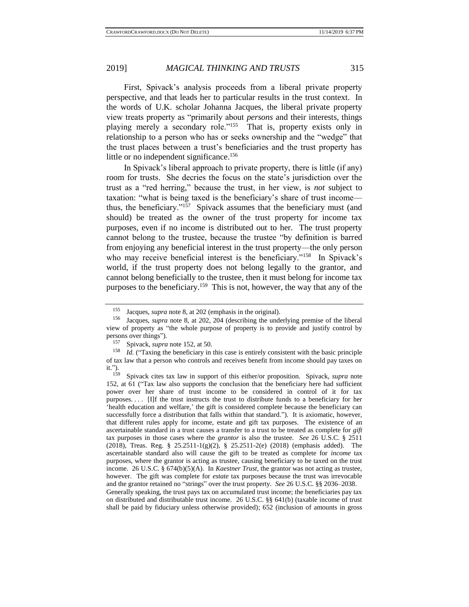First, Spivack's analysis proceeds from a liberal private property perspective, and that leads her to particular results in the trust context. In the words of U.K. scholar Johanna Jacques, the liberal private property view treats property as "primarily about *persons* and their interests, things playing merely a secondary role."<sup>155</sup> That is, property exists only in relationship to a person who has or seeks ownership and the "wedge" that the trust places between a trust's beneficiaries and the trust property has little or no independent significance.<sup>156</sup>

In Spivack's liberal approach to private property, there is little (if any) room for trusts. She decries the focus on the state's jurisdiction over the trust as a "red herring," because the trust, in her view, is *not* subject to taxation: "what is being taxed is the beneficiary's share of trust income thus, the beneficiary."<sup>157</sup> Spivack assumes that the beneficiary must (and should) be treated as the owner of the trust property for income tax purposes, even if no income is distributed out to her. The trust property cannot belong to the trustee, because the trustee "by definition is barred from enjoying any beneficial interest in the trust property—the only person who may receive beneficial interest is the beneficiary."<sup>158</sup> In Spivack's world, if the trust property does not belong legally to the grantor, and cannot belong beneficially to the trustee, then it must belong for income tax purposes to the beneficiary.<sup>159</sup> This is not, however, the way that any of the

<sup>155</sup> Jacques, *supra* not[e 8,](#page-2-2) at 202 (emphasis in the original).

<sup>156</sup> Jacques, *supra* note [8,](#page-2-2) at 202, 204 (describing the underlying premise of the liberal view of property as "the whole purpose of property is to provide and justify control by persons over things").

<sup>157</sup> Spivack, *supra* not[e 152,](#page-25-0) at 50.

<sup>&</sup>lt;sup>158</sup> *Id.* ("Taxing the beneficiary in this case is entirely consistent with the basic principle of tax law that a person who controls and receives benefit from income should pay taxes on it.").<br> $159$ 

<sup>159</sup> Spivack cites tax law in support of this either/or proposition. Spivack, *supra* note [152,](#page-25-0) at 61 ("Tax law also supports the conclusion that the beneficiary here had sufficient power over her share of trust income to be considered in control of it for tax purposes.... [I]f the trust instructs the trust to distribute funds to a beneficiary for her 'health education and welfare,' the gift is considered complete because the beneficiary can successfully force a distribution that falls within that standard."). It is axiomatic, however, that different rules apply for income, estate and gift tax purposes. The existence of an ascertainable standard in a trust causes a transfer to a trust to be treated as complete for *gift* tax purposes in those cases where the *grantor* is also the trustee. *See* 26 U.S.C. § 2511 (2018), Treas. Reg. § 25.2511-1(g)(2), § 25.2511-2(e) (2018) (emphasis added). The ascertainable standard also will cause the gift to be treated as complete for *income* tax purposes, where the grantor is acting as trustee, causing beneficiary to be taxed on the trust income. 26 U.S.C. § 674(b)(5)(A). In *Kaestner Trust*, the grantor was not acting as trustee, however. The gift was complete for *estate* tax purposes because the trust was irrevocable and the grantor retained no "strings" over the trust property. *See* 26 U.S.C. §§ 2036–2038. Generally speaking, the trust pays tax on accumulated trust income; the beneficiaries pay tax on distributed and distributable trust income. 26 U.S.C. §§ 641(b) (taxable income of trust shall be paid by fiduciary unless otherwise provided); 652 (inclusion of amounts in gross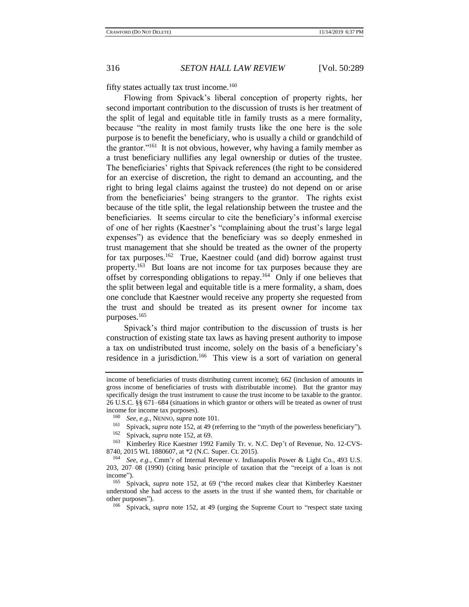fifty states actually tax trust income.<sup>160</sup>

Flowing from Spivack's liberal conception of property rights, her second important contribution to the discussion of trusts is her treatment of the split of legal and equitable title in family trusts as a mere formality, because "the reality in most family trusts like the one here is the sole purpose is to benefit the beneficiary, who is usually a child or grandchild of the grantor."<sup>161</sup> It is not obvious, however, why having a family member as a trust beneficiary nullifies any legal ownership or duties of the trustee. The beneficiaries' rights that Spivack references (the right to be considered for an exercise of discretion, the right to demand an accounting, and the right to bring legal claims against the trustee) do not depend on or arise from the beneficiaries' being strangers to the grantor. The rights exist because of the title split, the legal relationship between the trustee and the beneficiaries. It seems circular to cite the beneficiary's informal exercise of one of her rights (Kaestner's "complaining about the trust's large legal expenses") as evidence that the beneficiary was so deeply enmeshed in trust management that she should be treated as the owner of the property for tax purposes.<sup>162</sup> True, Kaestner could (and did) borrow against trust property.<sup>163</sup> But loans are not income for tax purposes because they are offset by corresponding obligations to repay.<sup>164</sup> Only if one believes that the split between legal and equitable title is a mere formality, a sham, does one conclude that Kaestner would receive any property she requested from the trust and should be treated as its present owner for income tax purposes.<sup>165</sup>

Spivack's third major contribution to the discussion of trusts is her construction of existing state tax laws as having present authority to impose a tax on undistributed trust income, solely on the basis of a beneficiary's residence in a jurisdiction.<sup>166</sup> This view is a sort of variation on general

<sup>161</sup> Spivack, *supra* not[e 152,](#page-25-0) at 49 (referring to the "myth of the powerless beneficiary").<br><sup>162</sup> Saiveak supra note 152 at 60

Kimberley Rice Kaestner 1992 Family Tr. v. N.C. Dep't of Revenue, No. 12-CVS-8740, 2015 WL 1880607, at \*2 (N.C. Super. Ct. 2015).

<span id="page-27-0"></span>income of beneficiaries of trusts distributing current income); 662 (inclusion of amounts in gross income of beneficiaries of trusts with distributable income). But the grantor may specifically design the trust instrument to cause the trust income to be taxable to the grantor. 26 U.S.C. §§ 671–684 (situations in which grantor or others will be treated as owner of trust income for income tax purposes).

<sup>&</sup>lt;sup>160</sup> *See, e.g.*, NENNO, *supra* not[e 101.](#page-17-1)<br><sup>161</sup> Snivack *supra* note 152 at 49 (re

 $\frac{162}{163}$  Spivack, *supra* not[e 152,](#page-25-0) at 69.

<sup>164</sup> *See, e.g.*, Cmm'r of Internal Revenue v. Indianapolis Power & Light Co., 493 U.S. 203, 207–08 (1990) (citing basic principle of taxation that the "receipt of a loan is not income").

<sup>165</sup> Spivack, *supra* note [152,](#page-25-0) at 69 ("the record makes clear that Kimberley Kaestner understood she had access to the assets in the trust if she wanted them, for charitable or other purposes").<br> $\frac{166}{2}$  Spiveck

<sup>166</sup> Spivack, *supra* note [152,](#page-25-0) at 49 (urging the Supreme Court to "respect state taxing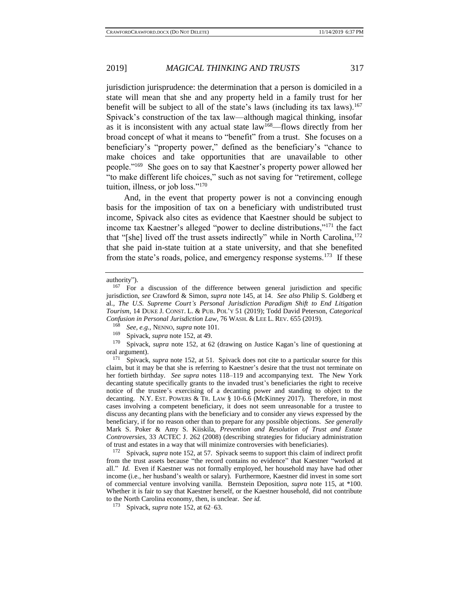jurisdiction jurisprudence: the determination that a person is domiciled in a state will mean that she and any property held in a family trust for her benefit will be subject to all of the state's laws (including its tax laws).<sup>167</sup> Spivack's construction of the tax law—although magical thinking, insofar as it is inconsistent with any actual state law<sup>168</sup>—flows directly from her broad concept of what it means to "benefit" from a trust. She focuses on a beneficiary's "property power," defined as the beneficiary's "chance to make choices and take opportunities that are unavailable to other people."<sup>169</sup> She goes on to say that Kaestner's property power allowed her "to make different life choices," such as not saving for "retirement, college tuition, illness, or job loss."<sup>170</sup>

<span id="page-28-1"></span><span id="page-28-0"></span>And, in the event that property power is not a convincing enough basis for the imposition of tax on a beneficiary with undistributed trust income, Spivack also cites as evidence that Kaestner should be subject to income tax Kaestner's alleged "power to decline distributions,"<sup>171</sup> the fact that "[she] lived off the trust assets indirectly" while in North Carolina,<sup>172</sup> that she paid in-state tuition at a state university, and that she benefited from the state's roads, police, and emergency response systems.<sup>173</sup> If these

<sup>172</sup> Spivack, *supra* not[e 152](#page-25-0)*,* at 57. Spivack seems to support this claim of indirect profit from the trust assets because "the record contains no evidence" that Kaestner "worked at all." *Id.* Even if Kaestner was not formally employed, her household may have had other income (i.e., her husband's wealth or salary). Furthermore, Kaestner did invest in some sort of commercial venture involving vanilla. Bernstein Deposition, *supra* note [115,](#page-19-1) at \*100. Whether it is fair to say that Kaestner herself, or the Kaestner household, did not contribute to the North Carolina economy, then, is unclear. *See id.*

authority").

<sup>&</sup>lt;sup>167</sup> For a discussion of the difference between general jurisdiction and specific jurisdiction, *see* Crawford & Simon, *supra* note [145,](#page-23-0) at 14. *See also* Philip S. Goldberg et al., *The U.S. Supreme Court's Personal Jurisdiction Paradigm Shift to End Litigation Tourism*, 14 DUKE J. CONST. L. & PUB. POL'Y 51 (2019); Todd David Peterson, *Categorical Confusion in Personal Jurisdiction Law*, 76 WASH. & LEE L. REV. 655 (2019).

<sup>168</sup> *See, e.g.,* NENNO, *supra* not[e 101.](#page-17-1)

<sup>&</sup>lt;sup>169</sup> Spivack, *supra* not[e 152,](#page-25-0) at 49.<br><sup>170</sup> Spivack, *supra* note 152, at 6<sup>2</sup>

Spivack, *supra* note [152,](#page-25-0) at 62 (drawing on Justice Kagan's line of questioning at oral argument).<br> $\frac{171 \text{ Sniyock}}{27}$ 

<sup>171</sup> Spivack, *supra* note [152,](#page-25-0) at 51. Spivack does not cite to a particular source for this claim, but it may be that she is referring to Kaestner's desire that the trust not terminate on her fortieth birthday. *See supra* notes [118–](#page-20-0)[119](#page-20-1) and accompanying text. The New York decanting statute specifically grants to the invaded trust's beneficiaries the right to receive notice of the trustee's exercising of a decanting power and standing to object to the decanting. N.Y. EST. POWERS & TR. LAW § 10-6.6 (McKinney 2017). Therefore, in most cases involving a competent beneficiary, it does not seem unreasonable for a trustee to discuss any decanting plans with the beneficiary and to consider any views expressed by the beneficiary, if for no reason other than to prepare for any possible objections. *See generally* Mark S. Poker & Amy S. Kiiskila, *Prevention and Resolution of Trust and Estate Controversies*, 33 ACTEC J. 262 (2008) (describing strategies for fiduciary administration of trust and estates in a way that will minimize controversies with beneficiaries).

<sup>173</sup> Spivack, *supra* not[e 152,](#page-25-0) at 62–63.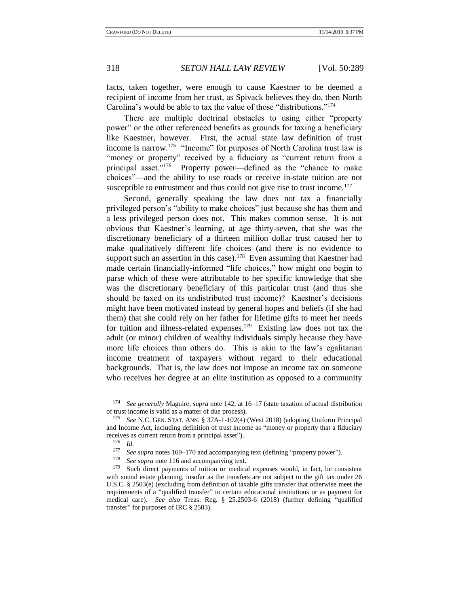<span id="page-29-0"></span>

facts, taken together, were enough to cause Kaestner to be deemed a recipient of income from her trust, as Spivack believes they do, then North Carolina's would be able to tax the value of those "distributions."<sup>174</sup>

There are multiple doctrinal obstacles to using either "property power" or the other referenced benefits as grounds for taxing a beneficiary like Kaestner, however. First, the actual state law definition of trust income is narrow.<sup>175</sup> "Income" for purposes of North Carolina trust law is "money or property" received by a fiduciary as "current return from a principal asset."<sup>176</sup> Property power—defined as the "chance to make choices"—and the ability to use roads or receive in-state tuition are not susceptible to entrustment and thus could not give rise to trust income.<sup>177</sup>

Second, generally speaking the law does not tax a financially privileged person's "ability to make choices" just because she has them and a less privileged person does not. This makes common sense. It is not obvious that Kaestner's learning, at age thirty-seven, that she was the discretionary beneficiary of a thirteen million dollar trust caused her to make qualitatively different life choices (and there is no evidence to support such an assertion in this case).<sup>178</sup> Even assuming that Kaestner had made certain financially-informed "life choices," how might one begin to parse which of these were attributable to her specific knowledge that she was the discretionary beneficiary of this particular trust (and thus she should be taxed on its undistributed trust income)? Kaestner's decisions might have been motivated instead by general hopes and beliefs (if she had them) that she could rely on her father for lifetime gifts to meet her needs for tuition and illness-related expenses.<sup>179</sup> Existing law does not tax the adult (or minor) children of wealthy individuals simply because they have more life choices than others do. This is akin to the law's egalitarian income treatment of taxpayers without regard to their educational backgrounds. That is, the law does not impose an income tax on someone who receives her degree at an elite institution as opposed to a community

<sup>174</sup> *See generally* Maguire, *supra* not[e 142,](#page-23-1) at 16–17 (state taxation of actual distribution of trust income is valid as a matter of due process).

<sup>175</sup> *See* N.C. GEN. STAT. ANN. § 37A-1-102(4) (West 2018) (adopting Uniform Principal and Income Act, including definition of trust income as "money or property that a fiduciary receives as current return from a principal asset").<br> $\frac{176}{176}$   $\frac{11}{14}$ 

 $\frac{176}{177}$  *Id.* 

<sup>&</sup>lt;sup>177</sup> See supra notes [169–](#page-28-0)[170](#page-28-1) and accompanying text (defining "property power").<br><sup>178</sup> See supra note 116 and accompanying text

<sup>&</sup>lt;sup>178</sup> *See supra* not[e 116](#page-19-2) and accompanying text.

Such direct payments of tuition or medical expenses would, in fact, be consistent with sound estate planning, insofar as the transfers are not subject to the gift tax under 26 U.S.C. § 2503(e) (excluding from definition of taxable gifts transfer that otherwise meet the requirements of a "qualified transfer" to certain educational institutions or as payment for medical care). *See also* Treas. Reg. § 25.2503-6 (2018) (further defining "qualified transfer" for purposes of IRC § 2503).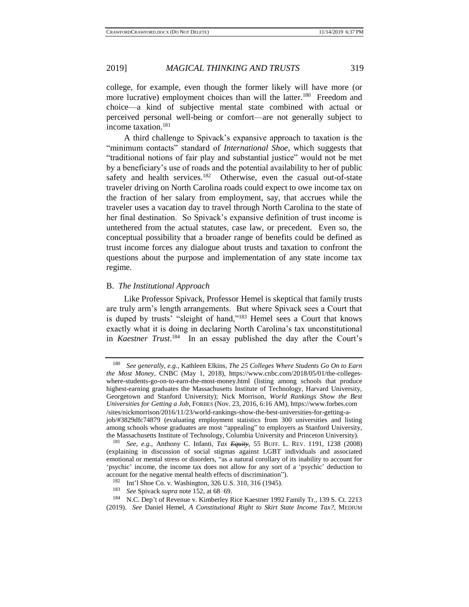college, for example, even though the former likely will have more (or more lucrative) employment choices than will the latter.<sup>180</sup> Freedom and choice—a kind of subjective mental state combined with actual or perceived personal well-being or comfort—are not generally subject to income taxation.<sup>181</sup>

A third challenge to Spivack's expansive approach to taxation is the "minimum contacts" standard of *International Shoe*, which suggests that "traditional notions of fair play and substantial justice" would not be met by a beneficiary's use of roads and the potential availability to her of public safety and health services.<sup>182</sup> Otherwise, even the casual out-of-state traveler driving on North Carolina roads could expect to owe income tax on the fraction of her salary from employment, say, that accrues while the traveler uses a vacation day to travel through North Carolina to the state of her final destination. So Spivack's expansive definition of trust income is untethered from the actual statutes, case law, or precedent. Even so, the conceptual possibility that a broader range of benefits could be defined as trust income forces any dialogue about trusts and taxation to confront the questions about the purpose and implementation of any state income tax regime.

#### B. *The Institutional Approach*

Like Professor Spivack, Professor Hemel is skeptical that family trusts are truly arm's length arrangements. But where Spivack sees a Court that is duped by trusts' "sleight of hand,"<sup>183</sup> Hemel sees a Court that knows exactly what it is doing in declaring North Carolina's tax unconstitutional in *Kaestner Trust*. 184 In an essay published the day after the Court's

<span id="page-30-0"></span><sup>180</sup> *See generally, e.g.*, Kathleen Elkins, *The 25 Colleges Where Students Go On to Earn the Most Money*, CNBC (May 1, 2018), https://www.cnbc.com/2018/05/01/the-collegeswhere-students-go-on-to-earn-the-most-money.html (listing among schools that produce highest-earning graduates the Massachusetts Institute of Technology, Harvard University, Georgetown and Stanford University); Nick Morrison, *World Rankings Show the Best Universities for Getting a Job*, FORBES (Nov. 23, 2016, 6:16 AM), https://www.forbes.com /sites/nickmorrison/2016/11/23/world-rankings-show-the-best-universities-for-getting-ajob/#3829dfc74879 (evaluating employment statistics from 300 universities and listing among schools whose graduates are most "appealing" to employers as Stanford University, the Massachusetts Institute of Technology, Columbia University and Princeton University).

<sup>181</sup> *See, e.g.*, Anthony C. Infanti, *Tax Equity*, 55 BUFF. L. REV. 1191, 1238 (2008) (explaining in discussion of social stigmas against LGBT individuals and associated emotional or mental stress or disorders, "as a natural corollary of its inability to account for 'psychic' income, the income tax does not allow for any sort of a 'psychic' deduction to account for the negative mental health effects of discrimination").

<sup>182</sup> Int'l Shoe Co. v. Washington, 326 U.S. 310, 316 (1945).

<sup>183</sup> *See* Spivack *supra* not[e 152,](#page-25-0) at 68–69.

<sup>184</sup> N.C. Dep't of Revenue v. Kimberley Rice Kaestner 1992 Family Tr., 139 S. Ct. 2213 (2019). *See* Daniel Hemel, *A Constitutional Right to Skirt State Income Tax?*, MEDIUM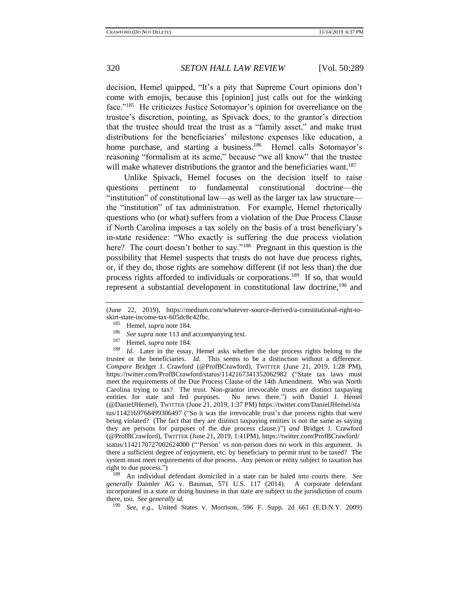decision, Hemel quipped, "It's a pity that Supreme Court opinions don't come with emojis, because this [opinion] just calls out for the winking face."<sup>185</sup> He criticizes Justice Sotomayor's opinion for overreliance on the trustee's discretion, pointing, as Spivack does, to the grantor's direction that the trustee should treat the trust as a "family asset," and make trust distributions for the beneficiaries' milestone expenses like education, a home purchase, and starting a business.<sup>186</sup> Hemel calls Sotomayor's reasoning "formalism at its acme," because "we all know" that the trustee will make whatever distributions the grantor and the beneficiaries want.<sup>187</sup>

Unlike Spivack, Hemel focuses on the decision itself to raise questions pertinent to fundamental constitutional doctrine—the "institution" of constitutional law—as well as the larger tax law structure the "institution" of tax administration. For example, Hemel rhetorically questions who (or what) suffers from a violation of the Due Process Clause if North Carolina imposes a tax solely on the basis of a trust beneficiary's in-state residence: "Who exactly is suffering the due process violation here? The court doesn't bother to say."<sup>188</sup> Pregnant in this question is the possibility that Hemel suspects that trusts do not have due process rights, or, if they do, those rights are somehow different (if not less than) the due process rights afforded to individuals or corporations.<sup>189</sup> If so, that would represent a substantial development in constitutional law doctrine,<sup>190</sup> and

<sup>189</sup> An individual defendant domiciled in a state can be haled into courts there. *See generally* Daimler AG v. Bauman, 571 U.S. 117 (2014). A corporate defendant incorporated in a state or doing business in that state are subject to the jurisdiction of courts there, too. *See generally id.*

<sup>190</sup> *See, e.g.,* United States v. Morrison, 596 F. Supp. 2d 661 (E.D.N.Y. 2009)

<sup>(</sup>June 22, 2019), https://medium.com/whatever-source-derived/a-constitutional-right-toskirt-state-income-tax-605dc8c42fbc.

<sup>&</sup>lt;sup>185</sup> Hemel, *supra* not[e 184.](#page-30-0)

<sup>&</sup>lt;sup>186</sup> *See supra* not[e 113](#page-19-0) and accompanying text.

<sup>&</sup>lt;sup>187</sup> Hemel, *supra* not[e 184.](#page-30-0)

*Id.* Later in the essay, Hemel asks whether the due process rights belong to the trustee or the beneficiaries. *Id.* This seems to be a distinction without a difference. *Compare* Bridget J. Crawford (@ProfBCrawford), TWITTER (June 21, 2019, 1:28 PM), https://twitter.com/ProfBCrawford/status/1142167341352062982 ("State tax laws must meet the requirements of the Due Process Clause of the 14th Amendment. Who was North Carolina trying to tax? The trust. Non-grantor irrevocable trusts are distinct taxpaying entities for state and fed purposes. No news there.") *with* Daniel J. Hemel (@DanielJHemel), TWITTER (June 21, 2019, 1:37 PM) https://twitter.com/DanielJHemel/sta tus/1142169768499306497 ("So it was the irrevocable trust's due process rights that were being violated? (The fact that they are distinct taxpaying entities is not the same as saying they are persons for purposes of the due process clause.)") *and* Bridget J. Crawford (@ProfBCrawford), TWITTER (June 21, 2019, 1:41PM), https://twitter.com/ProfBCrawford/ status/1142170727002624000 ("'Person' vs non-person does no work in this argument. Is there a sufficient degree of enjoyment, etc. by beneficiary to permit trust to be taxed? The system must meet requirements of due process. Any person or entity subject to taxation has right to due process.")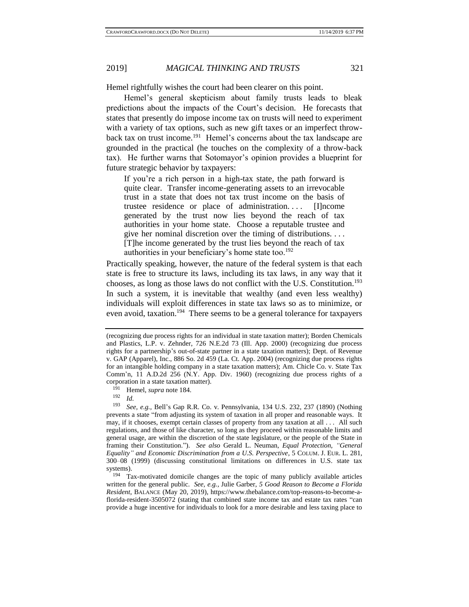Hemel rightfully wishes the court had been clearer on this point.

Hemel's general skepticism about family trusts leads to bleak predictions about the impacts of the Court's decision. He forecasts that states that presently do impose income tax on trusts will need to experiment with a variety of tax options, such as new gift taxes or an imperfect throwback tax on trust income.<sup>191</sup> Hemel's concerns about the tax landscape are grounded in the practical (he touches on the complexity of a throw-back tax). He further warns that Sotomayor's opinion provides a blueprint for future strategic behavior by taxpayers:

If you're a rich person in a high-tax state, the path forward is quite clear. Transfer income-generating assets to an irrevocable trust in a state that does not tax trust income on the basis of trustee residence or place of administration. . . . [I]ncome generated by the trust now lies beyond the reach of tax authorities in your home state. Choose a reputable trustee and give her nominal discretion over the timing of distributions. . . . [T]he income generated by the trust lies beyond the reach of tax authorities in your beneficiary's home state too.<sup>192</sup>

Practically speaking, however, the nature of the federal system is that each state is free to structure its laws, including its tax laws, in any way that it chooses, as long as those laws do not conflict with the U.S. Constitution.<sup>193</sup> In such a system, it is inevitable that wealthy (and even less wealthy) individuals will exploit differences in state tax laws so as to minimize, or even avoid, taxation.<sup>194</sup> There seems to be a general tolerance for taxpayers

<sup>191</sup> Hemel, *supra* not[e 184.](#page-30-0)

<sup>(</sup>recognizing due process rights for an individual in state taxation matter); Borden Chemicals and Plastics, L.P. v. Zehnder, 726 N.E.2d 73 (Ill. App. 2000) (recognizing due process rights for a partnership's out-of-state partner in a state taxation matters); Dept. of Revenue v. GAP (Apparel), Inc., 886 So. 2d 459 (La. Ct. App. 2004) (recognizing due process rights for an intangible holding company in a state taxation matters); Am. Chicle Co. v. State Tax Comm'n, 11 A.D.2d 256 (N.Y. App. Div. 1960) (recognizing due process rights of a corporation in a state taxation matter).

 $\frac{192}{193}$  *Id.* 

<sup>193</sup> *See, e.g.,* Bell's Gap R.R. Co. v. Pennsylvania, 134 U.S. 232, 237 (1890) (Nothing prevents a state "from adjusting its system of taxation in all proper and reasonable ways. It may, if it chooses, exempt certain classes of property from any taxation at all . . . All such regulations, and those of like character, so long as they proceed within reasonable limits and general usage, are within the discretion of the state legislature, or the people of the State in framing their Constitution."). *See also* Gerald L. Neuman, *Equal Protection, "General Equality" and Economic Discrimination from a U.S. Perspective*, 5 COLUM. J. EUR. L. 281, 300–08 (1999) (discussing constitutional limitations on differences in U.S. state tax systems).

<sup>194</sup> Tax-motivated domicile changes are the topic of many publicly available articles written for the general public. *See, e.g.*, Julie Garber, *5 Good Reason to Become a Florida Resident*, BALANCE (May 20, 2019), https://www.thebalance.com/top-reasons-to-become-aflorida-resident-3505072 (stating that combined state income tax and estate tax rates "can provide a huge incentive for individuals to look for a more desirable and less taxing place to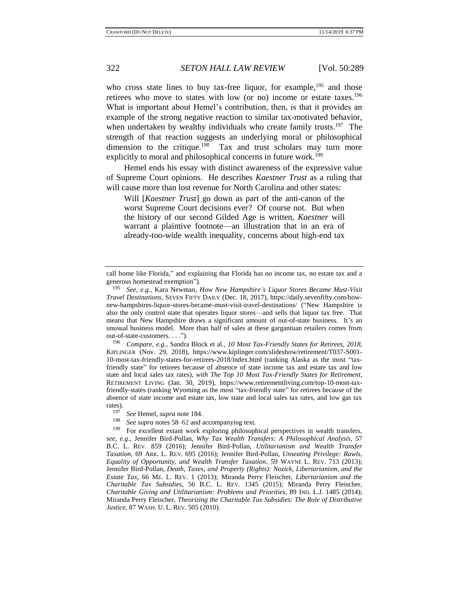who cross state lines to buy tax-free liquor, for example,  $195$  and those retirees who move to states with low (or no) income or estate taxes.<sup>196</sup> What is important about Hemel's contribution, then, is that it provides an example of the strong negative reaction to similar tax-motivated behavior, when undertaken by wealthy individuals who create family trusts.<sup>197</sup> The strength of that reaction suggests an underlying moral or philosophical dimension to the critique.<sup>198</sup> Tax and trust scholars may turn more explicitly to moral and philosophical concerns in future work.<sup>199</sup>

Hemel ends his essay with distinct awareness of the expressive value of Supreme Court opinions. He describes *Kaestner Trust* as a ruling that will cause more than lost revenue for North Carolina and other states:

Will [*Kaestner Trust*] go down as part of the anti-canon of the worst Supreme Court decisions ever? Of course not. But when the history of our second Gilded Age is written, *Kaestner* will warrant a plaintive footnote—an illustration that in an era of already-too-wide wealth inequality, concerns about high-end tax

<sup>196</sup> *Compare, e.g.*, Sandra Block et al., *10 Most Tax-Friendly States for Retirees, 2018*, KIPLINGER (Nov. 29, 2018), https://www.kiplinger.com/slideshow/retirement/T037-S001- 10-most-tax-friendly-states-for-retirees-2018/index.html (ranking Alaska as the most "taxfriendly state" for retirees because of absence of state income tax and estate tax and low state and local sales tax rates), *with The Top 10 Most Tax-Friendly States for Retirement*, RETIREMENT LIVING (Jan. 30, 2019), https://www.retirementliving.com/top-10-most-taxfriendly-states (ranking Wyoming as the most "tax-friendly state" for retirees because of the absence of state income and estate tax, low state and local sales tax rates, and low gas tax rates).

<sup>198</sup> *See supra* notes [58](#page-11-0)[–62](#page-11-1) and accompanying text.

For excellent extant work exploring philosophical perspectives in wealth transfers, *see, e.g.*, Jennifer Bird-Pollan, *Why Tax Wealth Transfers: A Philosophical Analysis*, 57 B.C. L. REV. 859 (2016); Jennifer Bird-Pollan, *Utilitarianism and Wealth Transfer Taxation*, 69 ARK. L. REV. 695 (2016); Jennifer Bird-Pollan, *Unseating Privilege: Rawls, Equality of Opportunity, and Wealth Transfer Taxation*, 59 WAYNE L. REV. 713 (2013); Jennifer Bird-Pollan, *Death, Taxes, and Property (Rights): Nozick, Libertarianism, and the Estate Tax*, 66 ME. L. REV. 1 (2013); Miranda Perry Fleischer, *Libertarianism and the Charitable Tax Subsidies*, 56 B.C. L. REV. 1345 (2015); Miranda Perry Fleischer, *Charitable Giving and Utilitarianism: Problems and Priorities*, 89 IND. L.J. 1485 (2014); Miranda Perry Fleischer, *Theorizing the Charitable Tax Subsidies: The Role of Distributive Justice*, 87 WASH. U. L. REV. 505 (2010).

call home like Florida," and explaining that Florida has no income tax, no estate tax and a generous homestead exemption").

<sup>195</sup> *See, e.g.,* Kara Newman, *How New Hampshire's Liquor Stores Became Must-Visit Travel Destinations*, SEVEN FIFTY DAILY (Dec. 18, 2017), https://daily.sevenfifty.com/hownew-hampshires-liquor-stores-became-must-visit-travel-destinations/ ("New Hampshire is also the only control state that operates liquor stores—and sells that liquor tax free. That means that New Hampshire draws a significant amount of out-of-state business. It's an unusual business model. More than half of sales at these gargantuan retailers comes from out-of-state-customers. . . .").

<sup>&</sup>lt;sup>197</sup> *See* Hemel, *supra* note [184.](#page-30-0)<br><sup>198</sup> *See supra* potes 58–62 and *s*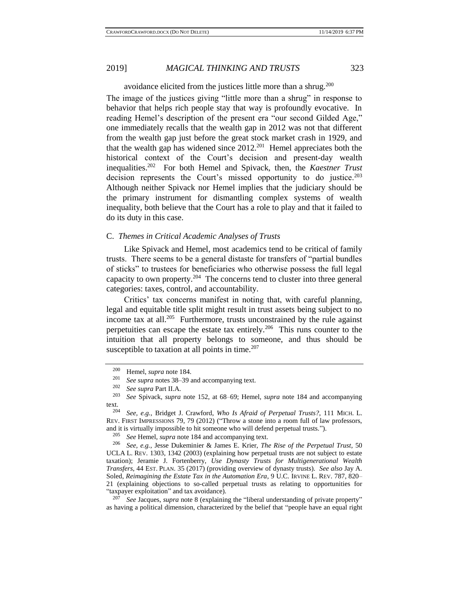avoidance elicited from the justices little more than a shrug.<sup>200</sup> The image of the justices giving "little more than a shrug" in response to behavior that helps rich people stay that way is profoundly evocative. In reading Hemel's description of the present era "our second Gilded Age," one immediately recalls that the wealth gap in 2012 was not that different from the wealth gap just before the great stock market crash in 1929, and that the wealth gap has widened since  $2012^{201}$  Hemel appreciates both the historical context of the Court's decision and present-day wealth inequalities.<sup>202</sup> For both Hemel and Spivack, then, the *Kaestner Trust* decision represents the Court's missed opportunity to do justice. $203$ Although neither Spivack nor Hemel implies that the judiciary should be the primary instrument for dismantling complex systems of wealth inequality, both believe that the Court has a role to play and that it failed to do its duty in this case.

### C. *Themes in Critical Academic Analyses of Trusts*

Like Spivack and Hemel, most academics tend to be critical of family trusts. There seems to be a general distaste for transfers of "partial bundles of sticks" to trustees for beneficiaries who otherwise possess the full legal capacity to own property.<sup>204</sup> The concerns tend to cluster into three general categories: taxes, control, and accountability.

Critics' tax concerns manifest in noting that, with careful planning, legal and equitable title split might result in trust assets being subject to no income tax at all.<sup>205</sup> Furthermore, trusts unconstrained by the rule against perpetuities can escape the estate tax entirely.<sup>206</sup> This runs counter to the intuition that all property belongs to someone, and thus should be susceptible to taxation at all points in time.<sup>207</sup>

<sup>205</sup> *See* Hemel, *supra* note [184](#page-30-0) and accompanying text.<br><sup>206</sup> *See e o* Jesse Dukeminier & James E. Krier. *Th*.

<sup>206</sup> *See, e.g.*, Jesse Dukeminier & James E. Krier, *The Rise of the Perpetual Trust*, 50 UCLA L. REV. 1303, 1342 (2003) (explaining how perpetual trusts are not subject to estate taxation); Jeramie J. Fortenberry, *Use Dynasty Trusts for Multigenerational Wealth Transfers*, 44 EST. PLAN. 35 (2017) (providing overview of dynasty trusts). *See also* Jay A. Soled, *Reimagining the Estate Tax in the Automation Era*, 9 U.C. IRVINE L. REV. 787, 820– 21 (explaining objections to so-called perpetual trusts as relating to opportunities for "taxpayer exploitation" and tax avoidance).

<sup>207</sup> *See* Jacques, *supra* note [8](#page-2-2) (explaining the "liberal understanding of private property" as having a political dimension, characterized by the belief that "people have an equal right

<span id="page-34-0"></span> $^{200}$  Hemel, *supra* not[e 184.](#page-30-0)

<sup>&</sup>lt;sup>201</sup> *See supra* notes [38](#page-7-0)[–39](#page-7-1) and accompanying text.

 $\frac{202}{203}$  *See supra* Part II.A.

<sup>203</sup> *See* Spivack, *supra* note [152,](#page-25-0) at 68–69; Hemel, *supra* note [184](#page-30-0) and accompanying text.<br> $204$ 

<sup>204</sup> *See, e.g.,* Bridget J. Crawford, *Who Is Afraid of Perpetual Trusts?*, 111 MICH. L. REV. FIRST IMPRESSIONS 79, 79 (2012) ("Throw a stone into a room full of law professors, and it is virtually impossible to hit someone who will defend perpetual trusts.").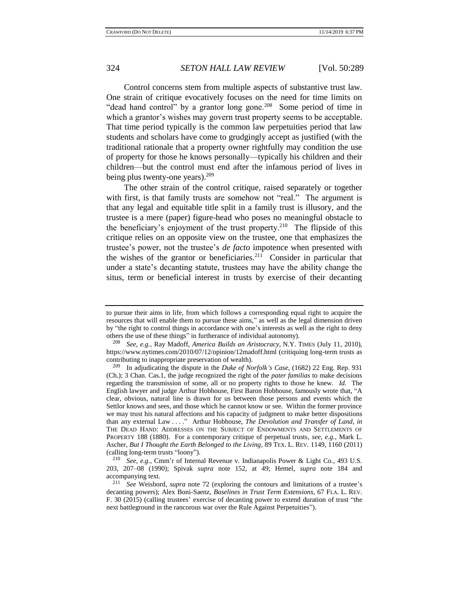Control concerns stem from multiple aspects of substantive trust law. One strain of critique evocatively focuses on the need for time limits on "dead hand control" by a grantor long gone.<sup>208</sup> Some period of time in which a grantor's wishes may govern trust property seems to be acceptable. That time period typically is the common law perpetuities period that law students and scholars have come to grudgingly accept as justified (with the traditional rationale that a property owner rightfully may condition the use of property for those he knows personally—typically his children and their children—but the control must end after the infamous period of lives in being plus twenty-one years).<sup>209</sup>

The other strain of the control critique, raised separately or together with first, is that family trusts are somehow not "real." The argument is that any legal and equitable title split in a family trust is illusory, and the trustee is a mere (paper) figure-head who poses no meaningful obstacle to the beneficiary's enjoyment of the trust property.<sup>210</sup> The flipside of this critique relies on an opposite view on the trustee, one that emphasizes the trustee's power, not the trustee's *de facto* impotence when presented with the wishes of the grantor or beneficiaries.<sup>211</sup> Consider in particular that under a state's decanting statute, trustees may have the ability change the situs, term or beneficial interest in trusts by exercise of their decanting

to pursue their aims in life, from which follows a corresponding equal right to acquire the resources that will enable them to pursue these aims," as well as the legal dimension driven by "the right to control things in accordance with one's interests as well as the right to deny others the use of these things" in furtherance of individual autonomy).

<sup>208</sup> *See, e.g.*, Ray Madoff, *America Builds an Aristocracy*, N.Y. TIMES (July 11, 2010), https://www.nytimes.com/2010/07/12/opinion/12madoff.html (critiquing long-term trusts as contributing to inappropriate preservation of wealth).

<sup>209</sup> In adjudicating the dispute in the *Duke of Norfolk's Case*, (1682) 22 Eng. Rep. 931 (Ch.); 3 Chan. Cas.1, the judge recognized the right of the *pater familias* to make decisions regarding the transmission of some, all or no property rights to those he knew. *Id.* The English lawyer and judge Arthur Hobhouse, First Baron Hobhouse, famously wrote that, "A clear, obvious, natural line is drawn for us between those persons and events which the Settlor knows and sees, and those which he cannot know or see. Within the former province we may trust his natural affections and his capacity of judgment to make better dispositions than any external Law . . . ." Arthur Hobhouse, *The Devolution and Transfer of Land*, *in* THE DEAD HAND: ADDRESSES ON THE SUBJECT OF ENDOWMENTS AND SETTLEMENTS OF PROPERTY 188 (1880). For a contemporary critique of perpetual trusts, *see, e.g.*, Mark L. Ascher, *But I Thought the Earth Belonged to the Living*, 89 TEX. L. REV. 1149, 1160 (2011) (calling long-term trusts "loony").

<sup>210</sup> *See, e.g.*, Cmm'r of Internal Revenue v. Indianapolis Power & Light Co., 493 U.S. 203, 207–08 (1990); Spivak *supra* note [152,](#page-25-0) at 49; Hemel, *supra* note [184](#page-30-0) and accompanying text.

<sup>211</sup> *See* Weisbord, *supra* note [72](#page-13-0) (exploring the contours and limitations of a trustee's decanting powers); Alex Boni-Saenz, *Baselines in Trust Term Extensions*, 67 FLA. L. REV. F. 30 (2015) (calling trustees' exercise of decanting power to extend duration of trust "the next battleground in the rancorous war over the Rule Against Perpetuities").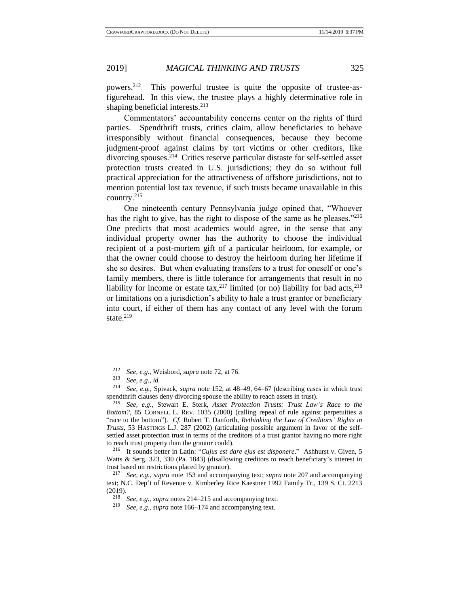powers.<sup>212</sup> This powerful trustee is quite the opposite of trustee-asfigurehead. In this view, the trustee plays a highly determinative role in shaping beneficial interests.<sup>213</sup>

<span id="page-36-0"></span>Commentators' accountability concerns center on the rights of third parties. Spendthrift trusts, critics claim, allow beneficiaries to behave irresponsibly without financial consequences, because they become judgment-proof against claims by tort victims or other creditors, like divorcing spouses.<sup>214</sup> Critics reserve particular distaste for self-settled asset protection trusts created in U.S. jurisdictions; they do so without full practical appreciation for the attractiveness of offshore jurisdictions, not to mention potential lost tax revenue, if such trusts became unavailable in this country.<sup>215</sup>

<span id="page-36-1"></span>One nineteenth century Pennsylvania judge opined that, "Whoever has the right to give, has the right to dispose of the same as he pleases."<sup>216</sup> One predicts that most academics would agree, in the sense that any individual property owner has the authority to choose the individual recipient of a post-mortem gift of a particular heirloom, for example, or that the owner could choose to destroy the heirloom during her lifetime if she so desires. But when evaluating transfers to a trust for oneself or one's family members, there is little tolerance for arrangements that result in no liability for income or estate tax,  $2^{17}$  limited (or no) liability for bad acts,  $2^{18}$ or limitations on a jurisdiction's ability to hale a trust grantor or beneficiary into court, if either of them has any contact of any level with the forum state. $219$ 

<sup>212</sup> *See, e.g.*, Weisbord, *supra* not[e 72,](#page-13-0) at 76.

<sup>213</sup> *See, e.g.*, *id.*

<sup>214</sup> *See, e.g.*, Spivack, *supra* note [152,](#page-25-0) at 48–49, 64–67 (describing cases in which trust spendthrift clauses deny divorcing spouse the ability to reach assets in trust).

<sup>215</sup> *See, e.g.*, Stewart E. Sterk, *Asset Protection Trusts: Trust Law's Race to the Bottom?*, 85 CORNELL L. REV. 1035 (2000) (calling repeal of rule against perpetuities a "race to the bottom"). *Cf.* Robert T. Danforth, *Rethinking the Law of Creditors' Rights in Trusts*, 53 HASTINGS L.J. 287 (2002) (articulating possible argument in favor of the selfsettled asset protection trust in terms of the creditors of a trust grantor having no more right to reach trust property than the grantor could).

<sup>216</sup> It sounds better in Latin: "*Cujus est dare ejus est disponere*." Ashhurst v. Given, 5 Watts & Serg. 323, 330 (Pa. 1843) (disallowing creditors to reach beneficiary's interest in trust based on restrictions placed by grantor).

<sup>217</sup> *See, e.g.*, *supra* note [153](#page-25-1) and accompanying text; *supra* not[e 207](#page-34-0) and accompanying text; N.C. Dep't of Revenue v. Kimberley Rice Kaestner 1992 Family Tr., 139 S. Ct. 2213 (2019).

<sup>218</sup> *See, e.g., supra* note[s 214](#page-36-0)[–215](#page-36-1) and accompanying text.

<sup>219</sup> *See, e.g., supra* not[e 166](#page-27-0)[–174](#page-29-0) and accompanying text.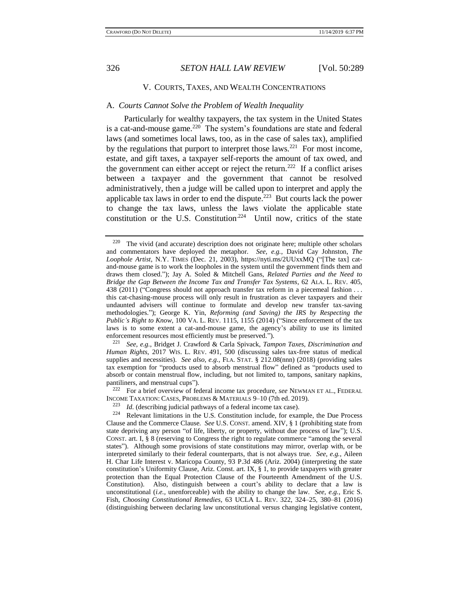<span id="page-37-0"></span>

## V. COURTS, TAXES, AND WEALTH CONCENTRATIONS

#### A. *Courts Cannot Solve the Problem of Wealth Inequality*

Particularly for wealthy taxpayers, the tax system in the United States is a cat-and-mouse game.<sup>220</sup> The system's foundations are state and federal laws (and sometimes local laws, too, as in the case of sales tax), amplified by the regulations that purport to interpret those laws.<sup>221</sup> For most income, estate, and gift taxes, a taxpayer self-reports the amount of tax owed, and the government can either accept or reject the return.<sup>222</sup> If a conflict arises between a taxpayer and the government that cannot be resolved administratively, then a judge will be called upon to interpret and apply the applicable tax laws in order to end the dispute.<sup>223</sup> But courts lack the power to change the tax laws, unless the laws violate the applicable state constitution or the U.S. Constitution<sup>224</sup> Until now, critics of the state

<sup>222</sup> For a brief overview of federal income tax procedure, *see* NEWMAN ET AL., FEDERAL INCOME TAXATION: CASES, PROBLEMS & MATERIALS 9–10 (7th ed. 2019).

 $220$  The vivid (and accurate) description does not originate here; multiple other scholars and commentators have deployed the metaphor. *See, e.g.*, David Cay Johnston, *The Loophole Artist*, N.Y. TIMES (Dec. 21, 2003), https://nyti.ms/2UUxxMQ ("[The tax] catand-mouse game is to work the loopholes in the system until the government finds them and draws them closed."); Jay A. Soled & Mitchell Gans, *Related Parties and the Need to Bridge the Gap Between the Income Tax and Transfer Tax Systems*, 62 ALA. L. REV. 405, 438 (2011) ("Congress should not approach transfer tax reform in a piecemeal fashion . . . this cat-chasing-mouse process will only result in frustration as clever taxpayers and their undaunted advisers will continue to formulate and develop new transfer tax-saving methodologies."); George K. Yin, *Reforming (and Saving) the IRS by Respecting the Public's Right to Know*, 100 VA. L. REV. 1115, 1155 (2014) ("Since enforcement of the tax laws is to some extent a cat-and-mouse game, the agency's ability to use its limited enforcement resources most efficiently must be preserved.").

<sup>221</sup> *See, e.g.*, Bridget J. Crawford & Carla Spivack, *Tampon Taxes, Discrimination and Human Rights*, 2017 WIS. L. REV. 491, 500 (discussing sales tax-free status of medical supplies and necessities). *See also, e.g.,* FLA. STAT. § 212.08(nnn) (2018) (providing sales tax exemption for "products used to absorb menstrual flow" defined as "products used to absorb or contain menstrual flow, including, but not limited to, tampons, sanitary napkins, pantiliners, and menstrual cups").

*Id.* (describing judicial pathways of a federal income tax case).

<sup>224</sup> Relevant limitations in the U.S. Constitution include, for example, the Due Process Clause and the Commerce Clause. *See* U.S. CONST. amend. XIV, § 1 (prohibiting state from state depriving any person "of life, liberty, or property, without due process of law"); U.S. CONST. art. I, § 8 (reserving to Congress the right to regulate commerce "among the several states"). Although some provisions of state constitutions may mirror, overlap with, or be interpreted similarly to their federal counterparts, that is not always true. *See, e.g.*, Aileen H. Char Life Interest v. Maricopa County, 93 P.3d 486 (Ariz. 2004) (interpreting the state constitution's Uniformity Clause, Ariz. Const. art. IX, § 1, to provide taxpayers with greater protection than the Equal Protection Clause of the Fourteenth Amendment of the U.S. Constitution). Also, distinguish between a court's ability to declare that a law is unconstitutional (*i.e.,* unenforceable) with the ability to change the law. *See, e.g.,* Eric S. Fish, *Choosing Constitutional Remedies*, 63 UCLA L. REV. 322, 324–25, 380–81 (2016) (distinguishing between declaring law unconstitutional versus changing legislative content,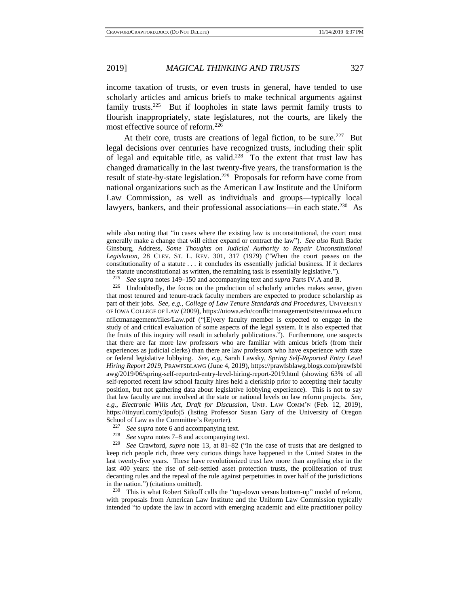<span id="page-38-0"></span>

income taxation of trusts, or even trusts in general, have tended to use scholarly articles and amicus briefs to make technical arguments against family trusts.<sup>225</sup> But if loopholes in state laws permit family trusts to flourish inappropriately, state legislatures, not the courts, are likely the most effective source of reform.<sup>226</sup>

At their core, trusts are creations of legal fiction, to be sure.<sup>227</sup> But legal decisions over centuries have recognized trusts, including their split of legal and equitable title, as valid.<sup>228</sup> To the extent that trust law has changed dramatically in the last twenty-five years, the transformation is the result of state-by-state legislation.<sup>229</sup> Proposals for reform have come from national organizations such as the American Law Institute and the Uniform Law Commission, as well as individuals and groups—typically local lawyers, bankers, and their professional associations—in each state.<sup>230</sup> As

<sup>22[8](#page-2-2)</sup> *See supra* notes [7–](#page-2-0)8 and accompanying text.<br><sup>229</sup> *See Crawford, supra* note 13, at 81–82 ("In

<sup>230</sup> This is what Robert Sitkoff calls the "top-down versus bottom-up" model of reform, with proposals from American Law Institute and the Uniform Law Commission typically intended "to update the law in accord with emerging academic and elite practitioner policy

while also noting that "in cases where the existing law is unconstitutional, the court must generally make a change that will either expand or contract the law"). *See also* Ruth Bader Ginsburg, Address, *Some Thoughts on Judicial Authority to Repair Unconstitutional Legislation,* 28 CLEV. ST. L. REV. 301, 317 (1979) ("When the court passes on the constitutionality of a statute . . . it concludes its essentially judicial business. If it declares the statute unconstitutional as written, the remaining task is essentially legislative.").<br> $\frac{225}{225}$  See sunge potes 140, 150 and accompanying text and sunge Ports IV A and B.

<sup>225</sup> *See supra* notes [149–](#page-24-2)[150](#page-24-1) and accompanying text and *supra* Parts IV.A and B.

 $226$  Undoubtedly, the focus on the production of scholarly articles makes sense, given that most tenured and tenure-track faculty members are expected to produce scholarship as part of their jobs. *See, e.g.*, *College of Law Tenure Standards and Procedures*, UNIVERSITY OF IOWA COLLEGE OF LAW (2009), https://uiowa.edu/conflictmanagement/sites/uiowa.edu.co nflictmanagement/files/Law.pdf ("[E]very faculty member is expected to engage in the study of and critical evaluation of some aspects of the legal system. It is also expected that the fruits of this inquiry will result in scholarly publications."). Furthermore, one suspects that there are far more law professors who are familiar with amicus briefs (from their experiences as judicial clerks) than there are law professors who have experience with state or federal legislative lobbying. *See, e.g*, Sarah Lawsky, *Spring Self-Reported Entry Level Hiring Report 2019*, PRAWFSBLAWG (June 4, 2019), https://prawfsblawg.blogs.com/prawfsbl awg/2019/06/spring-self-reported-entry-level-hiring-report-2019.html (showing 63% of all self-reported recent law school faculty hires held a clerkship prior to accepting their faculty position, but not gathering data about legislative lobbying experience). This is not to say that law faculty are not involved at the state or national levels on law reform projects. *See, e.g.*, *Electronic Wills Act, Draft for Discussion*, UNIF. LAW COMM'N (Feb. 12, 2019), https://tinyurl.com/y3pufoj5 (listing Professor Susan Gary of the University of Oregon School of Law as the Committee's Reporter).<br> $\frac{227}{227}$  See surve note 6 and accompanying to

<sup>&</sup>lt;sup>227</sup> *See supra* not[e 6](#page-2-3) and accompanying text.<br><sup>228</sup> *See supra* notes  $\frac{7}{2}$  and accompanying to

See Crawford, *supra* note [13,](#page-3-1) at 81-82 ("In the case of trusts that are designed to keep rich people rich, three very curious things have happened in the United States in the last twenty-five years. These have revolutionized trust law more than anything else in the last 400 years: the rise of self-settled asset protection trusts, the proliferation of trust decanting rules and the repeal of the rule against perpetuities in over half of the jurisdictions in the nation.") (citations omitted).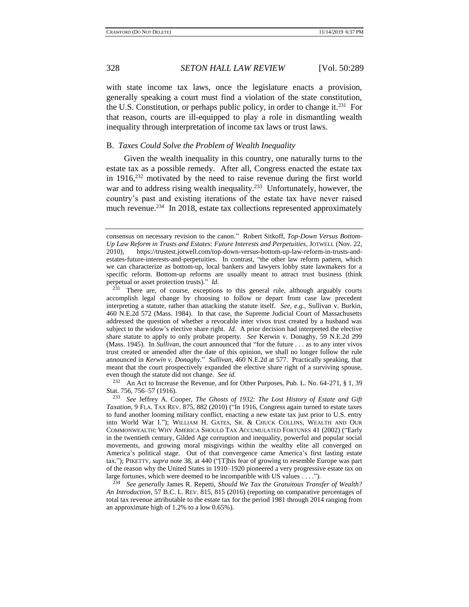with state income tax laws, once the legislature enacts a provision, generally speaking a court must find a violation of the state constitution, the U.S. Constitution, or perhaps public policy, in order to change it.<sup>231</sup> For that reason, courts are ill-equipped to play a role in dismantling wealth inequality through interpretation of income tax laws or trust laws.

#### B. *Taxes Could Solve the Problem of Wealth Inequality*

Given the wealth inequality in this country, one naturally turns to the estate tax as a possible remedy. After all, Congress enacted the estate tax in 1916, $232$  motivated by the need to raise revenue during the first world war and to address rising wealth inequality.<sup>233</sup> Unfortunately, however, the country's past and existing iterations of the estate tax have never raised much revenue.<sup>234</sup> In 2018, estate tax collections represented approximately

<sup>232</sup> An Act to Increase the Revenue, and for Other Purposes, Pub. L. No. 64-271, § 1, 39 Stat. 756, 756–57 (1916).

<sup>233</sup> *See* Jeffrey A. Cooper, *The Ghosts of 1932: The Lost History of Estate and Gift Taxation*, 9 FLA. TAX REV. 875, 882 (2010) ("In 1916, Congress again turned to estate taxes to fund another looming military conflict, enacting a new estate tax just prior to U.S. entry into World War I."); WILLIAM H. GATES, SR. & CHUCK COLLINS, WEALTH AND OUR COMMONWEALTH: WHY AMERICA SHOULD TAX ACCUMULATED FORTUNES 41 (2002) ("Early in the twentieth century, Gilded Age corruption and inequality, powerful and popular social movements, and growing moral misgivings within the wealthy elite all converged on America's political stage. Out of that convergence came America's first lasting estate tax."); PIKETTY, *supra* note [38,](#page-7-0) at 440 ("[T]his fear of growing to resemble Europe was part of the reason why the United States in 1910–1920 pioneered a very progressive estate tax on large fortunes, which were deemed to be incompatible with US values . . . .").

<sup>234</sup> *See generally* James R. Repetti, *Should We Tax the Gratuitous Transfer of Wealth? An Introduction*, 57 B.C. L. REV. 815, 815 (2016) (reporting on comparative percentages of total tax revenue attributable to the estate tax for the period 1981 through 2014 ranging from an approximate high of 1.2% to a low 0.65%).

<span id="page-39-0"></span>consensus on necessary revision to the canon." Robert Sitkoff, *Top-Down Versus Bottom-Up Law Reform in Trusts and Estates: Future Interests and Perpetuities*, JOTWELL (Nov. 22, 2010), https://trustest.jotwell.com/top-down-versus-bottom-up-law-reform-in-trusts-andestates-future-interests-and-perpetuities. In contrast, "the other law reform pattern, which we can characterize as bottom-up, local bankers and lawyers lobby state lawmakers for a specific reform. Bottom-up reforms are usually meant to attract trust business (think perpetual or asset protection trusts)." *Id.*

 $231$  There are, of course, exceptions to this general rule, although arguably courts accomplish legal change by choosing to follow or depart from case law precedent interpreting a statute, rather than attacking the statute itself. *See, e.g.*, Sullivan v. Burkin, 460 N.E.2d 572 (Mass. 1984). In that case, the Supreme Judicial Court of Massachusetts addressed the question of whether a revocable inter vivos trust created by a husband was subject to the widow's elective share right. *Id.* A prior decision had interpreted the elective share statute to apply to only probate property. *See* Kerwin v. Donaghy, 59 N.E.2d 299 (Mass. 1945). In *Sullivan*, the court announced that "for the future . . . as to any inter vivos trust created or amended after the date of this opinion, we shall no longer follow the rule announced in *Kerwin v. Donaghy*." *Sullivan*, 460 N.E.2d at 577. Practically speaking, that meant that the court prospectively expanded the elective share right of a surviving spouse, even though the statute did not change. *See id.*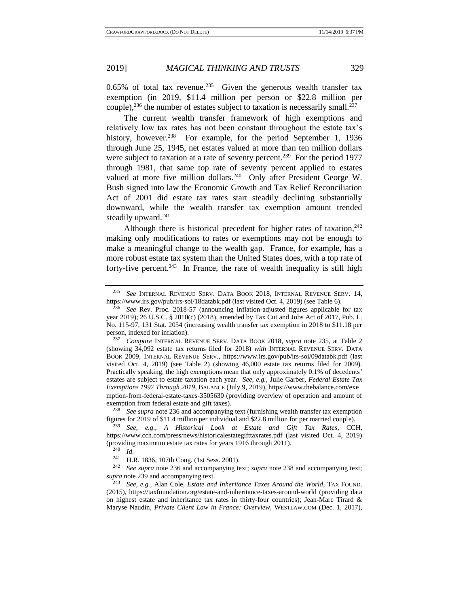$0.65\%$  of total tax revenue.<sup>235</sup> Given the generous wealth transfer tax exemption (in 2019, \$11.4 million per person or \$22.8 million per couple),  $^{236}$  the number of estates subject to taxation is necessarily small.  $^{237}$ 

<span id="page-40-1"></span><span id="page-40-0"></span>The current wealth transfer framework of high exemptions and relatively low tax rates has not been constant throughout the estate tax's history, however.<sup>238</sup> For example, for the period September 1, 1936 through June 25, 1945, net estates valued at more than ten million dollars were subject to taxation at a rate of seventy percent.<sup>239</sup> For the period 1977 through 1981, that same top rate of seventy percent applied to estates valued at more five million dollars.<sup>240</sup> Only after President George W. Bush signed into law the Economic Growth and Tax Relief Reconciliation Act of 2001 did estate tax rates start steadily declining substantially downward, while the wealth transfer tax exemption amount trended steadily upward.<sup>241</sup>

Although there is historical precedent for higher rates of taxation, $242$ making only modifications to rates or exemptions may not be enough to make a meaningful change to the wealth gap. France, for example, has a more robust estate tax system than the United States does, with a top rate of forty-five percent.<sup>243</sup> In France, the rate of wealth inequality is still high

<sup>238</sup> *See supra* note [236](#page-40-0) and accompanying text (furnishing wealth transfer tax exemption figures for 2019 of \$11.4 million per individual and \$22.8 million for per married couple).

 $\frac{240}{241}$  *Id.* 

<span id="page-40-2"></span>

<sup>235</sup> *See* INTERNAL REVENUE SERV. DATA BOOK 2018, INTERNAL REVENUE SERV. 14, https://www.irs.gov/pub/irs-soi/18databk.pdf (last visited Oct. 4, 2019) (see Table 6).

<sup>236</sup> *See* Rev. Proc. 2018-57 (announcing inflation-adjusted figures applicable for tax year 2019); 26 U.S.C. § 2010(c) (2018), amended by Tax Cut and Jobs Act of 2017, Pub. L. No. 115-97, 131 Stat. 2054 (increasing wealth transfer tax exemption in 2018 to \$11.18 per person, indexed for inflation).

<sup>237</sup> *Compare* INTERNAL REVENUE SERV. DATA BOOK 2018, *supra* note [235,](#page-37-0) at Table 2 (showing 34,092 estate tax returns filed for 2018) *with* INTERNAL REVENUE SERV. DATA BOOK 2009, INTERNAL REVENUE SERV., https://www.irs.gov/pub/irs-soi/09databk.pdf (last visited Oct. 4, 2019) (see Table 2) (showing 46,000 estate tax returns filed for 2009). Practically speaking, the high exemptions mean that only approximately 0.1% of decedents' estates are subject to estate taxation each year. *See, e.g.,* Julie Garber, *Federal Estate Tax Exemptions 1997 Through 2019*, BALANCE (July 9, 2019), https://www.thebalance.com/exe mption-from-federal-estate-taxes-3505630 (providing overview of operation and amount of exemption from federal estate and gift taxes).

<sup>239</sup> *See, e.g.*, *A Historical Look at Estate and Gift Tax Rates*, CCH, https://www.cch.com/press/news/historicalestategifttaxrates.pdf (last visited Oct. 4, 2019) (providing maximum estate tax rates for years 1916 through 2011).

<sup>&</sup>lt;sup>241</sup> H.R. 1836, 107th Cong. (1st Sess. 2001).<br><sup>242</sup> Sessences at a 226 and assessmenting to

See supra note [236](#page-40-0) and accompanying text; *supra* not[e 238](#page-40-1) and accompanying text; *supra* not[e 239](#page-40-2) and accompanying text.

<sup>243</sup> *See, e.g.*, Alan Cole, *Estate and Inheritance Taxes Around the World*, TAX FOUND. (2015), https://taxfoundation.org/estate-and-inheritance-taxes-around-world (providing data on highest estate and inheritance tax rates in thirty-four countries); Jean-Marc Tirard  $\&$ Maryse Naudin, *Private Client Law in France: Overview*, WESTLAW.COM (Dec. 1, 2017),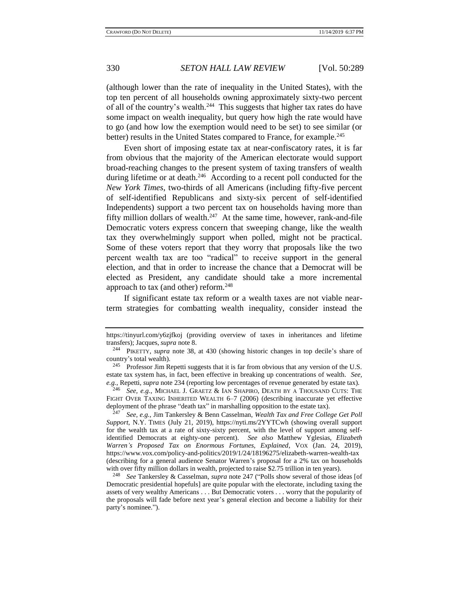(although lower than the rate of inequality in the United States), with the top ten percent of all households owning approximately sixty-two percent of all of the country's wealth.<sup>244</sup> This suggests that higher tax rates do have some impact on wealth inequality, but query how high the rate would have to go (and how low the exemption would need to be set) to see similar (or better) results in the United States compared to France, for example.<sup>245</sup>

<span id="page-41-0"></span>Even short of imposing estate tax at near-confiscatory rates, it is far from obvious that the majority of the American electorate would support broad-reaching changes to the present system of taxing transfers of wealth during lifetime or at death.<sup>246</sup> According to a recent poll conducted for the *New York Times*, two-thirds of all Americans (including fifty-five percent of self-identified Republicans and sixty-six percent of self-identified Independents) support a two percent tax on households having more than fifty million dollars of wealth. $247$  At the same time, however, rank-and-file Democratic voters express concern that sweeping change, like the wealth tax they overwhelmingly support when polled, might not be practical. Some of these voters report that they worry that proposals like the two percent wealth tax are too "radical" to receive support in the general election, and that in order to increase the chance that a Democrat will be elected as President, any candidate should take a more incremental approach to tax (and other) reform.<sup>248</sup>

If significant estate tax reform or a wealth taxes are not viable nearterm strategies for combatting wealth inequality, consider instead the

https://tinyurl.com/y6zjfkoj (providing overview of taxes in inheritances and lifetime transfers); Jacques, *supra* not[e 8.](#page-2-2)

<sup>244</sup> PIKETTY, *supra* note [38,](#page-7-0) at 430 (showing historic changes in top decile's share of country's total wealth).

<sup>&</sup>lt;sup>245</sup> Professor Jim Repetti suggests that it is far from obvious that any version of the U.S. estate tax system has, in fact, been effective in breaking up concentrations of wealth. *See, e.g.*, Repetti, *supra* not[e 234](#page-39-0) (reporting low percentages of revenue generated by estate tax).

<sup>246</sup> *See, e.g.*, MICHAEL J. GRAETZ & IAN SHAPIRO, DEATH BY A THOUSAND CUTS: THE FIGHT OVER TAXING INHERITED WEALTH 6–7 (2006) (describing inaccurate yet effective deployment of the phrase "death tax" in marshalling opposition to the estate tax).

<sup>247</sup> *See, e.g.,* Jim Tankersley & Benn Casselman, *Wealth Tax and Free College Get Poll Support*, N.Y. TIMES (July 21, 2019), https://nyti.ms/2YYTCwh (showing overall support for the wealth tax at a rate of sixty-sixty percent, with the level of support among selfidentified Democrats at eighty-one percent). *See also* Matthew Yglesias, *Elizabeth Warren's Proposed Tax on Enormous Fortunes, Explained*, VOX (Jan. 24, 2019), https://www.vox.com/policy-and-politics/2019/1/24/18196275/elizabeth-warren-wealth-tax (describing for a general audience Senator Warren's proposal for a 2% tax on households with over fifty million dollars in wealth, projected to raise \$2.75 trillion in ten years).

<sup>248</sup> *See* Tankersley & Casselman, *supra* note [247](#page-41-0) ("Polls show several of those ideas [of Democratic presidential hopefuls] are quite popular with the electorate, including taxing the assets of very wealthy Americans . . . But Democratic voters . . . worry that the popularity of the proposals will fade before next year's general election and become a liability for their party's nominee.").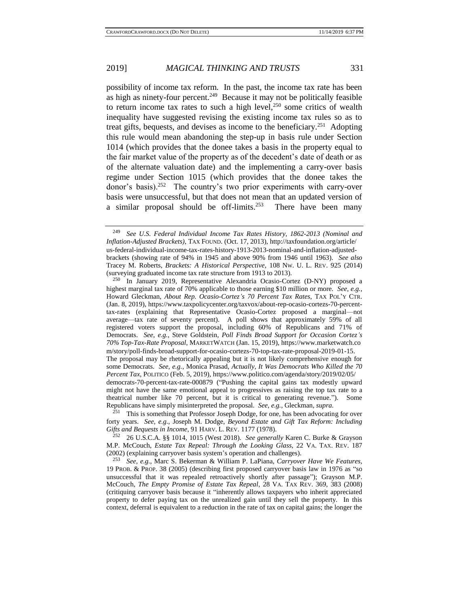possibility of income tax reform. In the past, the income tax rate has been as high as ninety-four percent.<sup>249</sup> Because it may not be politically feasible to return income tax rates to such a high level, $250$  some critics of wealth inequality have suggested revising the existing income tax rules so as to treat gifts, bequests, and devises as income to the beneficiary.<sup>251</sup> Adopting this rule would mean abandoning the step-up in basis rule under Section 1014 (which provides that the donee takes a basis in the property equal to the fair market value of the property as of the decedent's date of death or as of the alternate valuation date) and the implementing a carry-over basis regime under Section 1015 (which provides that the donee takes the donor's basis).<sup>252</sup> The country's two prior experiments with carry-over basis were unsuccessful, but that does not mean that an updated version of a similar proposal should be off-limits.<sup>253</sup> There have been many

<sup>249</sup> *See U.S. Federal Individual Income Tax Rates History, 1862-2013 (Nominal and Inflation-Adjusted Brackets)*, TAX FOUND. (Oct. 17, 2013), http://taxfoundation.org/article/ us-federal-individual-income-tax-rates-history-1913-2013-nominal-and-inflation-adjustedbrackets (showing rate of 94% in 1945 and above 90% from 1946 until 1963). *See also* Tracey M. Roberts, *Brackets: A Historical Perspective*, 108 NW. U. L. REV. 925 (2014) (surveying graduated income tax rate structure from 1913 to 2013).

 $250$  In January 2019, Representative Alexandria Ocasio-Cortez (D-NY) proposed a highest marginal tax rate of 70% applicable to those earning \$10 million or more. *See, e.g.,* Howard Gleckman, *About Rep. Ocasio-Cortez's 70 Percent Tax Rates*, TAX POL'Y CTR. (Jan. 8, 2019), https://www.taxpolicycenter.org/taxvox/about-rep-ocasio-cortezs-70-percenttax-rates (explaining that Representative Ocasio-Cortez proposed a marginal—not average—tax rate of seventy percent). A poll shows that approximately 59% of all registered voters support the proposal, including 60% of Republicans and 71% of Democrats. *See, e.g.*, Steve Goldstein, *Poll Finds Broad Support for Occasion Cortez's 70% Top-Tax-Rate Proposal*, MARKETWATCH (Jan. 15, 2019), https://www.marketwatch.co m/story/poll-finds-broad-support-for-ocasio-cortezs-70-top-tax-rate-proposal-2019-01-15.

The proposal may be rhetorically appealing but it is not likely comprehensive enough for some Democrats. *See, e.g.*, Monica Prasad, *Actually, It Was Democrats Who Killed the 70 Percent Tax*, POLITICO (Feb. 5, 2019), https://www.politico.com/agenda/story/2019/02/05/

democrats-70-percent-tax-rate-000879 ("Pushing the capital gains tax modestly upward might not have the same emotional appeal to progressives as raising the top tax rate to a theatrical number like 70 percent, but it is critical to generating revenue."). Some Republicans have simply misinterpreted the proposal. *See, e.g.,* Gleckman, *supra*.

This is something that Professor Joseph Dodge, for one, has been advocating for over forty years. *See, e.g.*, Joseph M. Dodge, *Beyond Estate and Gift Tax Reform: Including Gifts and Bequests in Income*, 91 HARV. L. REV. 1177 (1978).

<sup>252</sup> 26 U.S.C.A. §§ 1014, 1015 (West 2018). *See generally* Karen C. Burke & Grayson M.P. McCouch, *Estate Tax Repeal: Through the Looking Glass*, 22 VA. TAX. REV. 187 (2002) (explaining carryover basis system's operation and challenges).

<sup>253</sup> *See, e.g.*, Marc S. Bekerman & William P. LaPiana, *Carryover Have We Features*, 19 PROB. & PROP. 38 (2005) (describing first proposed carryover basis law in 1976 as "so unsuccessful that it was repealed retroactively shortly after passage"); Grayson M.P. McCouch, *The Empty Promise of Estate Tax Repeal*, 28 VA. TAX REV. 369, 383 (2008) (critiquing carryover basis because it "inherently allows taxpayers who inherit appreciated property to defer paying tax on the unrealized gain until they sell the property. In this context, deferral is equivalent to a reduction in the rate of tax on capital gains; the longer the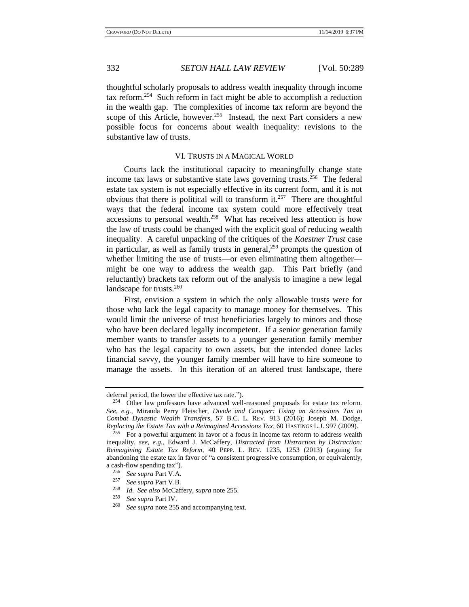thoughtful scholarly proposals to address wealth inequality through income tax reform.<sup>254</sup> Such reform in fact might be able to accomplish a reduction in the wealth gap. The complexities of income tax reform are beyond the scope of this Article, however.<sup>255</sup> Instead, the next Part considers a new possible focus for concerns about wealth inequality: revisions to the substantive law of trusts.

#### <span id="page-43-0"></span>VI. TRUSTS IN A MAGICAL WORLD

Courts lack the institutional capacity to meaningfully change state income tax laws or substantive state laws governing trusts.<sup>256</sup> The federal estate tax system is not especially effective in its current form, and it is not obvious that there is political will to transform it.<sup>257</sup> There are thoughtful ways that the federal income tax system could more effectively treat accessions to personal wealth.<sup>258</sup> What has received less attention is how the law of trusts could be changed with the explicit goal of reducing wealth inequality. A careful unpacking of the critiques of the *Kaestner Trust* case in particular, as well as family trusts in general, $^{259}$  prompts the question of whether limiting the use of trusts—or even eliminating them altogether might be one way to address the wealth gap. This Part briefly (and reluctantly) brackets tax reform out of the analysis to imagine a new legal landscape for trusts. $260$ 

First, envision a system in which the only allowable trusts were for those who lack the legal capacity to manage money for themselves. This would limit the universe of trust beneficiaries largely to minors and those who have been declared legally incompetent. If a senior generation family member wants to transfer assets to a younger generation family member who has the legal capacity to own assets, but the intended donee lacks financial savvy, the younger family member will have to hire someone to manage the assets. In this iteration of an altered trust landscape, there

deferral period, the lower the effective tax rate.").

<sup>&</sup>lt;sup>254</sup> Other law professors have advanced well-reasoned proposals for estate tax reform. *See, e.g.,* Miranda Perry Fleischer, *Divide and Conquer: Using an Accessions Tax to Combat Dynastic Wealth Transfers*, 57 B.C. L. REV. 913 (2016); Joseph M. Dodge, *Replacing the Estate Tax with a Reimagined Accessions Tax*, 60 HASTINGS L.J. 997 (2009).

For a powerful argument in favor of a focus in income tax reform to address wealth inequality, *see, e.g.*, Edward J. McCaffery, *Distracted from Distraction by Distraction: Reimagining Estate Tax Reform*, 40 PEPP. L. REV. 1235, 1253 (2013) (arguing for abandoning the estate tax in favor of "a consistent progressive consumption, or equivalently, a cash-flow spending tax").

<sup>256</sup> *See supra* Part V.A.

<sup>&</sup>lt;sup>257</sup> *See supra* Part V.B.<br><sup>258</sup> *L.J. See also* MaGaf

<sup>258</sup> *Id. See also* McCaffery, *supra* note [255.](#page-43-0)

<sup>259</sup> *See supra* Part IV.

See supra not[e 255](#page-43-0) and accompanying text.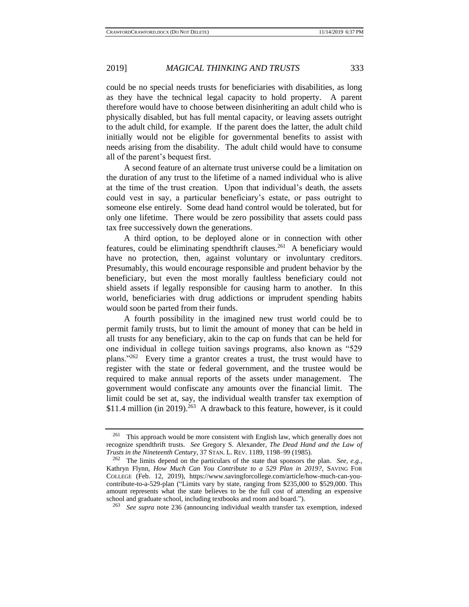could be no special needs trusts for beneficiaries with disabilities, as long as they have the technical legal capacity to hold property. A parent therefore would have to choose between disinheriting an adult child who is physically disabled, but has full mental capacity, or leaving assets outright to the adult child, for example. If the parent does the latter, the adult child initially would not be eligible for governmental benefits to assist with needs arising from the disability. The adult child would have to consume all of the parent's bequest first.

A second feature of an alternate trust universe could be a limitation on the duration of any trust to the lifetime of a named individual who is alive at the time of the trust creation. Upon that individual's death, the assets could vest in say, a particular beneficiary's estate, or pass outright to someone else entirely. Some dead hand control would be tolerated, but for only one lifetime. There would be zero possibility that assets could pass tax free successively down the generations.

<span id="page-44-0"></span>A third option, to be deployed alone or in connection with other features, could be eliminating spendthrift clauses.<sup>261</sup> A beneficiary would have no protection, then, against voluntary or involuntary creditors. Presumably, this would encourage responsible and prudent behavior by the beneficiary, but even the most morally faultless beneficiary could not shield assets if legally responsible for causing harm to another. In this world, beneficiaries with drug addictions or imprudent spending habits would soon be parted from their funds.

A fourth possibility in the imagined new trust world could be to permit family trusts, but to limit the amount of money that can be held in all trusts for any beneficiary, akin to the cap on funds that can be held for one individual in college tuition savings programs, also known as "529 plans."<sup>262</sup> Every time a grantor creates a trust, the trust would have to register with the state or federal government, and the trustee would be required to make annual reports of the assets under management. The government would confiscate any amounts over the financial limit. The limit could be set at, say, the individual wealth transfer tax exemption of  $$11.4$  million (in 2019).<sup>263</sup> A drawback to this feature, however, is it could

<sup>&</sup>lt;sup>261</sup> This approach would be more consistent with English law, which generally does not recognize spendthrift trusts. *See* Gregory S. Alexander, *The Dead Hand and the Law of Trusts in the Nineteenth Century*, 37 STAN. L. REV. 1189, 1198–99 (1985).

<sup>262</sup> The limits depend on the particulars of the state that sponsors the plan. *See, e.g.*, Kathryn Flynn, *How Much Can You Contribute to a 529 Plan in 2019?*, SAVING FOR COLLEGE (Feb. 12, 2019), https://www.savingforcollege.com/article/how-much-can-youcontribute-to-a-529-plan ("Limits vary by state, ranging from \$235,000 to \$529,000. This amount represents what the state believes to be the full cost of attending an expensive school and graduate school, including textbooks and room and board.").

<sup>263</sup> *See supra* note [236](#page-40-0) (announcing individual wealth transfer tax exemption, indexed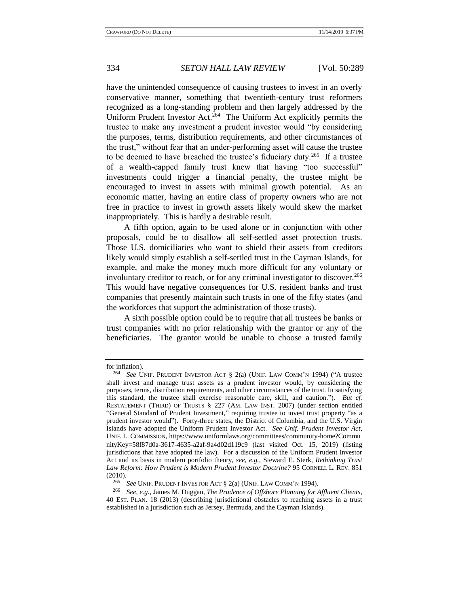have the unintended consequence of causing trustees to invest in an overly conservative manner, something that twentieth-century trust reformers recognized as a long-standing problem and then largely addressed by the Uniform Prudent Investor Act.<sup>264</sup> The Uniform Act explicitly permits the trustee to make any investment a prudent investor would "by considering the purposes, terms, distribution requirements, and other circumstances of the trust," without fear that an under-performing asset will cause the trustee to be deemed to have breached the trustee's fiduciary duty.<sup>265</sup> If a trustee of a wealth-capped family trust knew that having "too successful" investments could trigger a financial penalty, the trustee might be encouraged to invest in assets with minimal growth potential. As an economic matter, having an entire class of property owners who are not free in practice to invest in growth assets likely would skew the market inappropriately. This is hardly a desirable result.

A fifth option, again to be used alone or in conjunction with other proposals, could be to disallow all self-settled asset protection trusts. Those U.S. domiciliaries who want to shield their assets from creditors likely would simply establish a self-settled trust in the Cayman Islands, for example, and make the money much more difficult for any voluntary or involuntary creditor to reach, or for any criminal investigator to discover.<sup>266</sup> This would have negative consequences for U.S. resident banks and trust companies that presently maintain such trusts in one of the fifty states (and the workforces that support the administration of those trusts).

A sixth possible option could be to require that all trustees be banks or trust companies with no prior relationship with the grantor or any of the beneficiaries. The grantor would be unable to choose a trusted family

for inflation).

<sup>264</sup> *See* UNIF. PRUDENT INVESTOR ACT § 2(a) (UNIF. LAW COMM'<sup>N</sup> 1994) ("A trustee shall invest and manage trust assets as a prudent investor would, by considering the purposes, terms, distribution requirements, and other circumstances of the trust. In satisfying this standard, the trustee shall exercise reasonable care, skill, and caution."). *But cf.*  RESTATEMENT (THIRD) OF TRUSTS § 227 (AM. LAW INST. 2007) (under section entitled "General Standard of Prudent Investment," requiring trustee to invest trust property "as a prudent investor would"). Forty-three states, the District of Columbia, and the U.S. Virgin Islands have adopted the Uniform Prudent Investor Act. *See Unif. Prudent Investor Act*, UNIF. L. COMMISSION, https://www.uniformlaws.org/committees/community-home?Commu nityKey=58f87d0a-3617-4635-a2af-9a4d02d119c9 (last visited Oct. 15, 2019) (listing jurisdictions that have adopted the law). For a discussion of the Uniform Prudent Investor Act and its basis in modern portfolio theory, *see, e.g.*, Steward E. Sterk, *Rethinking Trust Law Reform: How Prudent is Modern Prudent Investor Doctrine?* 95 CORNELL L. REV. 851  $(2010).$ <br>265

<sup>&</sup>lt;sup>265</sup> *See* UNIF. PRUDENT INVESTOR ACT § 2(a) (UNIF. LAW COMM'N 1994).<br><sup>266</sup> *See e g* James M. Duggan *The Prudence of Offshore Planning for A* 

<sup>266</sup> *See, e.g.*, James M. Duggan, *The Prudence of Offshore Planning for Affluent Clients*, 40 EST. PLAN. 18 (2013) (describing jurisdictional obstacles to reaching assets in a trust established in a jurisdiction such as Jersey, Bermuda, and the Cayman Islands).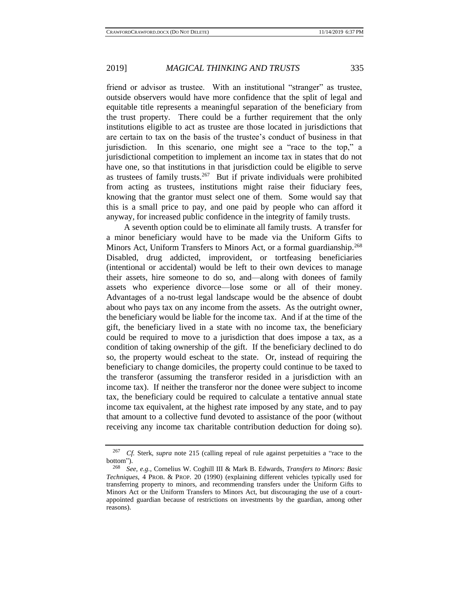friend or advisor as trustee. With an institutional "stranger" as trustee, outside observers would have more confidence that the split of legal and equitable title represents a meaningful separation of the beneficiary from the trust property. There could be a further requirement that the only institutions eligible to act as trustee are those located in jurisdictions that are certain to tax on the basis of the trustee's conduct of business in that jurisdiction. In this scenario, one might see a "race to the top," a jurisdictional competition to implement an income tax in states that do not have one, so that institutions in that jurisdiction could be eligible to serve as trustees of family trusts.<sup>267</sup> But if private individuals were prohibited from acting as trustees, institutions might raise their fiduciary fees, knowing that the grantor must select one of them. Some would say that this is a small price to pay, and one paid by people who can afford it anyway, for increased public confidence in the integrity of family trusts.

A seventh option could be to eliminate all family trusts. A transfer for a minor beneficiary would have to be made via the Uniform Gifts to Minors Act, Uniform Transfers to Minors Act, or a formal guardianship.<sup>268</sup> Disabled, drug addicted, improvident, or tortfeasing beneficiaries (intentional or accidental) would be left to their own devices to manage their assets, hire someone to do so, and—along with donees of family assets who experience divorce—lose some or all of their money. Advantages of a no-trust legal landscape would be the absence of doubt about who pays tax on any income from the assets. As the outright owner, the beneficiary would be liable for the income tax. And if at the time of the gift, the beneficiary lived in a state with no income tax, the beneficiary could be required to move to a jurisdiction that does impose a tax, as a condition of taking ownership of the gift. If the beneficiary declined to do so, the property would escheat to the state. Or, instead of requiring the beneficiary to change domiciles, the property could continue to be taxed to the transferor (assuming the transferor resided in a jurisdiction with an income tax). If neither the transferor nor the donee were subject to income tax, the beneficiary could be required to calculate a tentative annual state income tax equivalent, at the highest rate imposed by any state, and to pay that amount to a collective fund devoted to assistance of the poor (without receiving any income tax charitable contribution deduction for doing so).

<sup>267</sup> *Cf.* Sterk, *supra* note [215](#page-36-1) (calling repeal of rule against perpetuities a "race to the bottom").

<sup>268</sup> *See, e.g.*, Cornelius W. Coghill III & Mark B. Edwards, *Transfers to Minors: Basic Techniques*, 4 PROB. & PROP. 20 (1990) (explaining different vehicles typically used for transferring property to minors, and recommending transfers under the Uniform Gifts to Minors Act or the Uniform Transfers to Minors Act, but discouraging the use of a courtappointed guardian because of restrictions on investments by the guardian, among other reasons).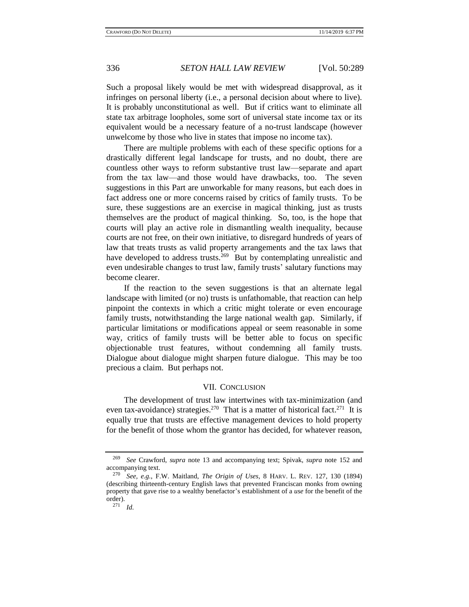Such a proposal likely would be met with widespread disapproval, as it infringes on personal liberty (i.e., a personal decision about where to live). It is probably unconstitutional as well. But if critics want to eliminate all state tax arbitrage loopholes, some sort of universal state income tax or its equivalent would be a necessary feature of a no-trust landscape (however unwelcome by those who live in states that impose no income tax).

There are multiple problems with each of these specific options for a drastically different legal landscape for trusts, and no doubt, there are countless other ways to reform substantive trust law—separate and apart from the tax law—and those would have drawbacks, too. The seven suggestions in this Part are unworkable for many reasons, but each does in fact address one or more concerns raised by critics of family trusts. To be sure, these suggestions are an exercise in magical thinking, just as trusts themselves are the product of magical thinking. So, too, is the hope that courts will play an active role in dismantling wealth inequality, because courts are not free, on their own initiative, to disregard hundreds of years of law that treats trusts as valid property arrangements and the tax laws that have developed to address trusts.<sup>269</sup> But by contemplating unrealistic and even undesirable changes to trust law, family trusts' salutary functions may become clearer.

If the reaction to the seven suggestions is that an alternate legal landscape with limited (or no) trusts is unfathomable, that reaction can help pinpoint the contexts in which a critic might tolerate or even encourage family trusts, notwithstanding the large national wealth gap. Similarly, if particular limitations or modifications appeal or seem reasonable in some way, critics of family trusts will be better able to focus on specific objectionable trust features, without condemning all family trusts. Dialogue about dialogue might sharpen future dialogue. This may be too precious a claim. But perhaps not.

#### VII. CONCLUSION

The development of trust law intertwines with tax-minimization (and even tax-avoidance) strategies.<sup>270</sup> That is a matter of historical fact.<sup>271</sup> It is equally true that trusts are effective management devices to hold property for the benefit of those whom the grantor has decided, for whatever reason,

<sup>269</sup> *See* Crawford, *supra* note [13](#page-3-1) and accompanying text; Spivak, *supra* note [152](#page-25-0) and accompanying text.

<sup>270</sup> *See, e.g.*, F.W. Maitland, *The Origin of Uses*, 8 HARV. L. REV. 127, 130 (1894) (describing thirteenth-century English laws that prevented Franciscan monks from owning property that gave rise to a wealthy benefactor's establishment of a *use* for the benefit of the  $\text{order}$ ).<br> $\frac{271}{ }$ 

<sup>271</sup> *Id.*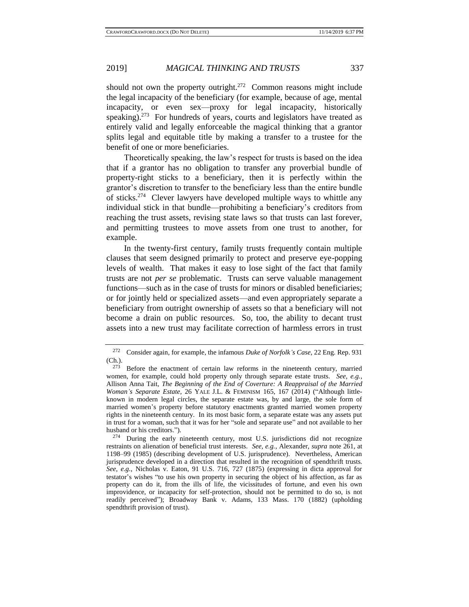should not own the property outright.<sup>272</sup> Common reasons might include the legal incapacity of the beneficiary (for example, because of age, mental incapacity, or even sex—proxy for legal incapacity, historically speaking).<sup>273</sup> For hundreds of years, courts and legislators have treated as entirely valid and legally enforceable the magical thinking that a grantor splits legal and equitable title by making a transfer to a trustee for the benefit of one or more beneficiaries.

Theoretically speaking, the law's respect for trusts is based on the idea that if a grantor has no obligation to transfer any proverbial bundle of property-right sticks to a beneficiary, then it is perfectly within the grantor's discretion to transfer to the beneficiary less than the entire bundle of sticks.<sup>274</sup> Clever lawyers have developed multiple ways to whittle any individual stick in that bundle—prohibiting a beneficiary's creditors from reaching the trust assets, revising state laws so that trusts can last forever, and permitting trustees to move assets from one trust to another, for example.

In the twenty-first century, family trusts frequently contain multiple clauses that seem designed primarily to protect and preserve eye-popping levels of wealth. That makes it easy to lose sight of the fact that family trusts are not *per se* problematic. Trusts can serve valuable management functions—such as in the case of trusts for minors or disabled beneficiaries; or for jointly held or specialized assets—and even appropriately separate a beneficiary from outright ownership of assets so that a beneficiary will not become a drain on public resources. So, too, the ability to decant trust assets into a new trust may facilitate correction of harmless errors in trust

<sup>272</sup> Consider again, for example, the infamous *Duke of Norfolk's Case*, 22 Eng. Rep. 931  $\frac{\text{Ch.}}{273}$ .

Before the enactment of certain law reforms in the nineteenth century, married women, for example, could hold property only through separate estate trusts. *See, e.g.*, Allison Anna Tait, *The Beginning of the End of Coverture: A Reappraisal of the Married Woman's Separate Estate*, 26 YALE J.L. & FEMINISM 165, 167 (2014) ("Although littleknown in modern legal circles, the separate estate was, by and large, the sole form of married women's property before statutory enactments granted married women property rights in the nineteenth century. In its most basic form, a separate estate was any assets put in trust for a woman, such that it was for her "sole and separate use" and not available to her husband or his creditors.").

<sup>&</sup>lt;sup>274</sup> During the early nineteenth century, most U.S. jurisdictions did not recognize restraints on alienation of beneficial trust interests. *See, e.g.*, Alexander, *supra* note [261,](#page-44-0) at 1198–99 (1985) (describing development of U.S. jurisprudence). Nevertheless, American jurisprudence developed in a direction that resulted in the recognition of spendthrift trusts. *See, e.g.*, Nicholas v. Eaton, 91 U.S. 716, 727 (1875) (expressing in dicta approval for testator's wishes "to use his own property in securing the object of his affection, as far as property can do it, from the ills of life, the vicissitudes of fortune, and even his own improvidence, or incapacity for self-protection, should not be permitted to do so, is not readily perceived"); Broadway Bank v. Adams, 133 Mass. 170 (1882) (upholding spendthrift provision of trust).